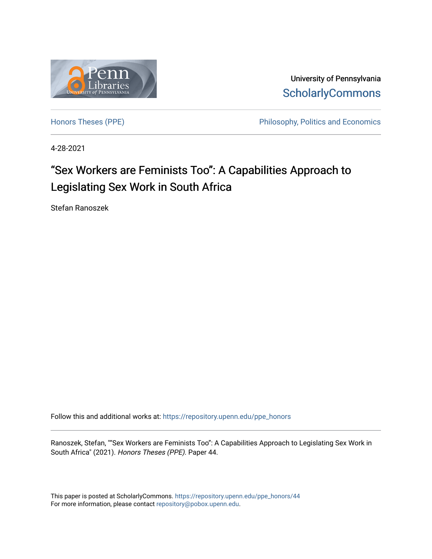

University of Pennsylvania **ScholarlyCommons** 

[Honors Theses \(PPE\)](https://repository.upenn.edu/ppe_honors) The Philosophy, Politics and Economics

4-28-2021

# "Sex Workers are Feminists Too": A Capabilities Approach to Legislating Sex Work in South Africa

Stefan Ranoszek

Follow this and additional works at: [https://repository.upenn.edu/ppe\\_honors](https://repository.upenn.edu/ppe_honors?utm_source=repository.upenn.edu%2Fppe_honors%2F44&utm_medium=PDF&utm_campaign=PDFCoverPages) 

Ranoszek, Stefan, ""Sex Workers are Feminists Too": A Capabilities Approach to Legislating Sex Work in South Africa" (2021). Honors Theses (PPE). Paper 44.

This paper is posted at ScholarlyCommons. [https://repository.upenn.edu/ppe\\_honors/44](https://repository.upenn.edu/ppe_honors/44)  For more information, please contact [repository@pobox.upenn.edu.](mailto:repository@pobox.upenn.edu)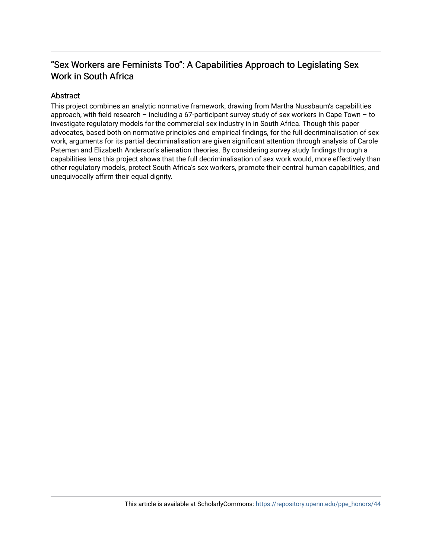# "Sex Workers are Feminists Too": A Capabilities Approach to Legislating Sex Work in South Africa

# Abstract

This project combines an analytic normative framework, drawing from Martha Nussbaum's capabilities approach, with field research – including a 67-participant survey study of sex workers in Cape Town – to investigate regulatory models for the commercial sex industry in in South Africa. Though this paper advocates, based both on normative principles and empirical findings, for the full decriminalisation of sex work, arguments for its partial decriminalisation are given significant attention through analysis of Carole Pateman and Elizabeth Anderson's alienation theories. By considering survey study findings through a capabilities lens this project shows that the full decriminalisation of sex work would, more effectively than other regulatory models, protect South Africa's sex workers, promote their central human capabilities, and unequivocally affirm their equal dignity.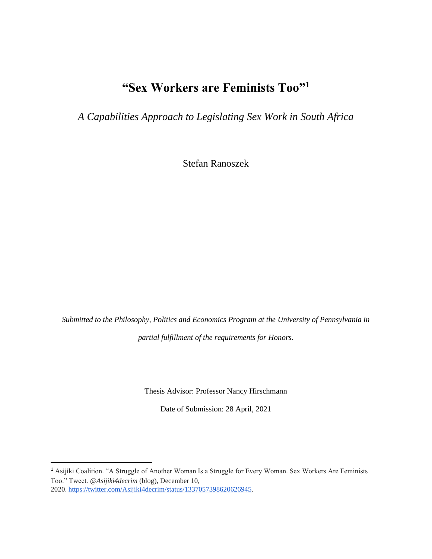# **"Sex Workers are Feminists Too"<sup>1</sup>**

*A Capabilities Approach to Legislating Sex Work in South Africa*

Stefan Ranoszek

*Submitted to the Philosophy, Politics and Economics Program at the University of Pennsylvania in partial fulfillment of the requirements for Honors.*

Thesis Advisor: Professor Nancy Hirschmann

Date of Submission: 28 April, 2021

<sup>1</sup> Asijiki Coalition. "A Struggle of Another Woman Is a Struggle for Every Woman. Sex Workers Are Feminists Too." Tweet. *@Asijiki4decrim* (blog), December 10, 2020. [https://twitter.com/Asijiki4decrim/status/1337057398620626945.](https://twitter.com/Asijiki4decrim/status/1337057398620626945)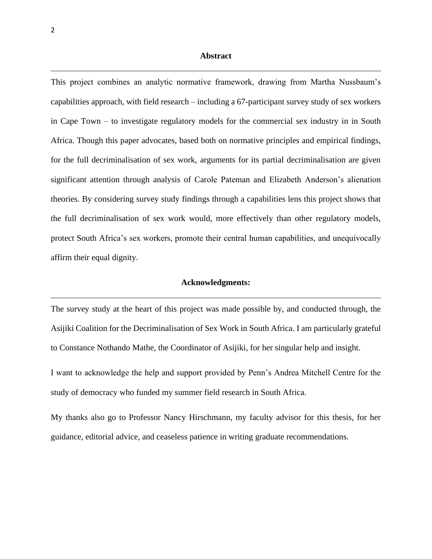#### **Abstract**

This project combines an analytic normative framework, drawing from Martha Nussbaum's capabilities approach, with field research – including a 67-participant survey study of sex workers in Cape Town – to investigate regulatory models for the commercial sex industry in in South Africa. Though this paper advocates, based both on normative principles and empirical findings, for the full decriminalisation of sex work, arguments for its partial decriminalisation are given significant attention through analysis of Carole Pateman and Elizabeth Anderson's alienation theories. By considering survey study findings through a capabilities lens this project shows that the full decriminalisation of sex work would, more effectively than other regulatory models, protect South Africa's sex workers, promote their central human capabilities, and unequivocally affirm their equal dignity.

#### **Acknowledgments:**

The survey study at the heart of this project was made possible by, and conducted through, the Asijiki Coalition for the Decriminalisation of Sex Work in South Africa. I am particularly grateful to Constance Nothando Mathe, the Coordinator of Asijiki, for her singular help and insight.

I want to acknowledge the help and support provided by Penn's Andrea Mitchell Centre for the study of democracy who funded my summer field research in South Africa.

My thanks also go to Professor Nancy Hirschmann, my faculty advisor for this thesis, for her guidance, editorial advice, and ceaseless patience in writing graduate recommendations.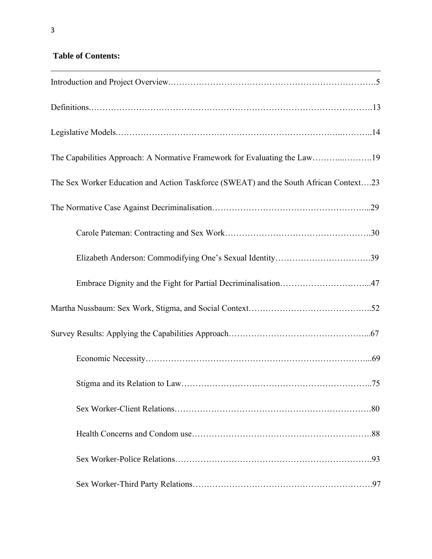# **Table of Contents:**

| The Capabilities Approach: A Normative Framework for Evaluating the Law19             |
|---------------------------------------------------------------------------------------|
| The Sex Worker Education and Action Taskforce (SWEAT) and the South African Context23 |
|                                                                                       |
|                                                                                       |
|                                                                                       |
| Embrace Dignity and the Fight for Partial Decriminalisation47                         |
|                                                                                       |
|                                                                                       |
|                                                                                       |
|                                                                                       |
|                                                                                       |
|                                                                                       |
|                                                                                       |
|                                                                                       |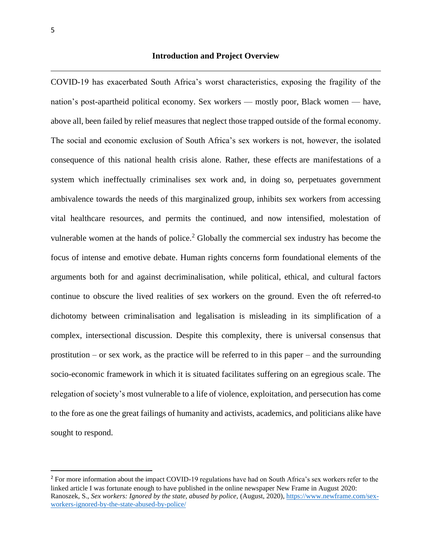COVID-19 has exacerbated South Africa's worst characteristics, exposing the fragility of the nation's post-apartheid political economy. Sex workers — mostly poor, Black women — have, above all, been failed by relief measures that neglect those trapped outside of the formal economy. The social and economic exclusion of South Africa's sex workers is not, however, the isolated consequence of this national health crisis alone. Rather, these effects are manifestations of a system which ineffectually criminalises sex work and, in doing so, perpetuates government ambivalence towards the needs of this marginalized group, inhibits sex workers from accessing vital healthcare resources, and permits the continued, and now intensified, molestation of vulnerable women at the hands of police.<sup>2</sup> Globally the commercial sex industry has become the focus of intense and emotive debate. Human rights concerns form foundational elements of the arguments both for and against decriminalisation, while political, ethical, and cultural factors continue to obscure the lived realities of sex workers on the ground. Even the oft referred-to dichotomy between criminalisation and legalisation is misleading in its simplification of a complex, intersectional discussion. Despite this complexity, there is universal consensus that prostitution – or sex work, as the practice will be referred to in this paper – and the surrounding socio-economic framework in which it is situated facilitates suffering on an egregious scale. The relegation of society's most vulnerable to a life of violence, exploitation, and persecution has come to the fore as one the great failings of humanity and activists, academics, and politicians alike have sought to respond.

<sup>&</sup>lt;sup>2</sup> For more information about the impact COVID-19 regulations have had on South Africa's sex workers refer to the linked article I was fortunate enough to have published in the online newspaper New Frame in August 2020: Ranoszek, S., *Sex workers: Ignored by the state, abused by police,* (August, 2020), [https://www.newframe.com/sex](https://www.newframe.com/sex-workers-ignored-by-the-state-abused-by-police/)[workers-ignored-by-the-state-abused-by-police/](https://www.newframe.com/sex-workers-ignored-by-the-state-abused-by-police/)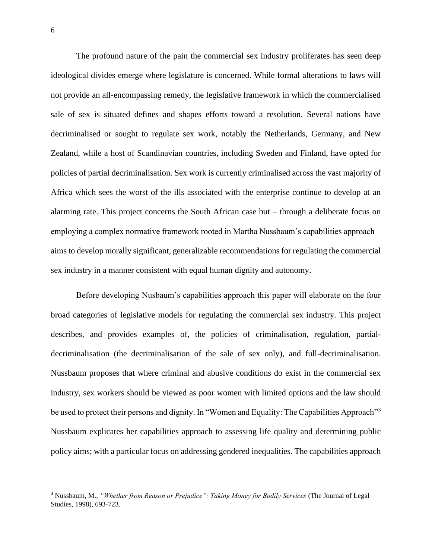The profound nature of the pain the commercial sex industry proliferates has seen deep ideological divides emerge where legislature is concerned. While formal alterations to laws will not provide an all-encompassing remedy, the legislative framework in which the commercialised sale of sex is situated defines and shapes efforts toward a resolution. Several nations have decriminalised or sought to regulate sex work, notably the Netherlands, Germany, and New Zealand, while a host of Scandinavian countries, including Sweden and Finland, have opted for policies of partial decriminalisation. Sex work is currently criminalised across the vast majority of Africa which sees the worst of the ills associated with the enterprise continue to develop at an alarming rate. This project concerns the South African case but – through a deliberate focus on employing a complex normative framework rooted in Martha Nussbaum's capabilities approach – aims to develop morally significant, generalizable recommendations for regulating the commercial sex industry in a manner consistent with equal human dignity and autonomy.

Before developing Nusbaum's capabilities approach this paper will elaborate on the four broad categories of legislative models for regulating the commercial sex industry. This project describes, and provides examples of, the policies of criminalisation, regulation, partialdecriminalisation (the decriminalisation of the sale of sex only), and full-decriminalisation. Nussbaum proposes that where criminal and abusive conditions do exist in the commercial sex industry, sex workers should be viewed as poor women with limited options and the law should be used to protect their persons and dignity. In "Women and Equality: The Capabilities Approach"<sup>3</sup> Nussbaum explicates her capabilities approach to assessing life quality and determining public policy aims; with a particular focus on addressing gendered inequalities. The capabilities approach

<sup>3</sup> Nussbaum, M., *"Whether from Reason or Prejudice": Taking Money for Bodily Services* (The Journal of Legal Studies, 1998), 693-723.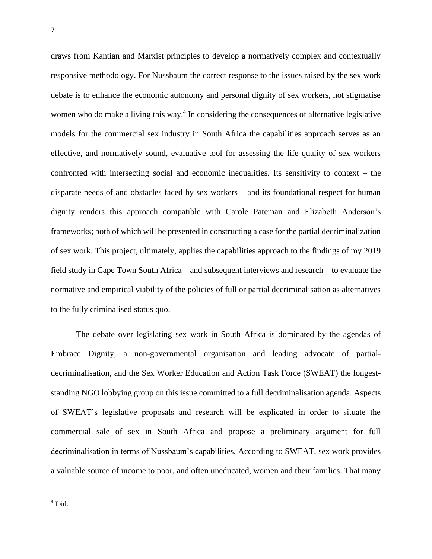draws from Kantian and Marxist principles to develop a normatively complex and contextually responsive methodology. For Nussbaum the correct response to the issues raised by the sex work debate is to enhance the economic autonomy and personal dignity of sex workers, not stigmatise women who do make a living this way. $4$  In considering the consequences of alternative legislative models for the commercial sex industry in South Africa the capabilities approach serves as an effective, and normatively sound, evaluative tool for assessing the life quality of sex workers confronted with intersecting social and economic inequalities. Its sensitivity to context – the disparate needs of and obstacles faced by sex workers – and its foundational respect for human dignity renders this approach compatible with Carole Pateman and Elizabeth Anderson's frameworks; both of which will be presented in constructing a case for the partial decriminalization of sex work. This project, ultimately, applies the capabilities approach to the findings of my 2019 field study in Cape Town South Africa – and subsequent interviews and research – to evaluate the normative and empirical viability of the policies of full or partial decriminalisation as alternatives to the fully criminalised status quo.

The debate over legislating sex work in South Africa is dominated by the agendas of Embrace Dignity, a non-governmental organisation and leading advocate of partialdecriminalisation, and the Sex Worker Education and Action Task Force (SWEAT) the longeststanding NGO lobbying group on this issue committed to a full decriminalisation agenda. Aspects of SWEAT's legislative proposals and research will be explicated in order to situate the commercial sale of sex in South Africa and propose a preliminary argument for full decriminalisation in terms of Nussbaum's capabilities. According to SWEAT, sex work provides a valuable source of income to poor, and often uneducated, women and their families. That many

<sup>4</sup> Ibid.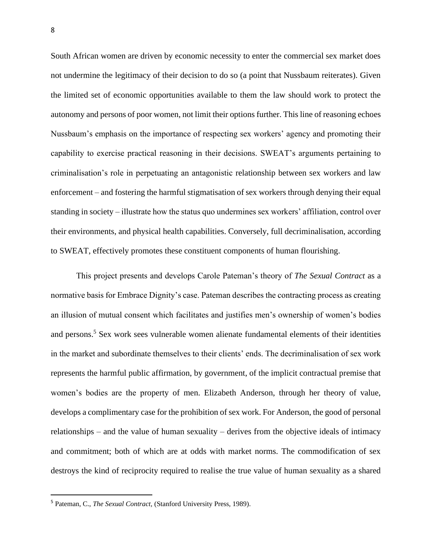South African women are driven by economic necessity to enter the commercial sex market does not undermine the legitimacy of their decision to do so (a point that Nussbaum reiterates). Given the limited set of economic opportunities available to them the law should work to protect the autonomy and persons of poor women, not limit their options further. This line of reasoning echoes Nussbaum's emphasis on the importance of respecting sex workers' agency and promoting their capability to exercise practical reasoning in their decisions. SWEAT's arguments pertaining to criminalisation's role in perpetuating an antagonistic relationship between sex workers and law enforcement – and fostering the harmful stigmatisation of sex workers through denying their equal standing in society – illustrate how the status quo undermines sex workers' affiliation, control over their environments, and physical health capabilities. Conversely, full decriminalisation, according to SWEAT, effectively promotes these constituent components of human flourishing.

This project presents and develops Carole Pateman's theory of *The Sexual Contract* as a normative basis for Embrace Dignity's case. Pateman describes the contracting process as creating an illusion of mutual consent which facilitates and justifies men's ownership of women's bodies and persons.<sup>5</sup> Sex work sees vulnerable women alienate fundamental elements of their identities in the market and subordinate themselves to their clients' ends. The decriminalisation of sex work represents the harmful public affirmation, by government, of the implicit contractual premise that women's bodies are the property of men. Elizabeth Anderson, through her theory of value, develops a complimentary case for the prohibition of sex work. For Anderson, the good of personal relationships – and the value of human sexuality – derives from the objective ideals of intimacy and commitment; both of which are at odds with market norms. The commodification of sex destroys the kind of reciprocity required to realise the true value of human sexuality as a shared

<sup>5</sup> Pateman, C., *The Sexual Contract,* (Stanford University Press, 1989).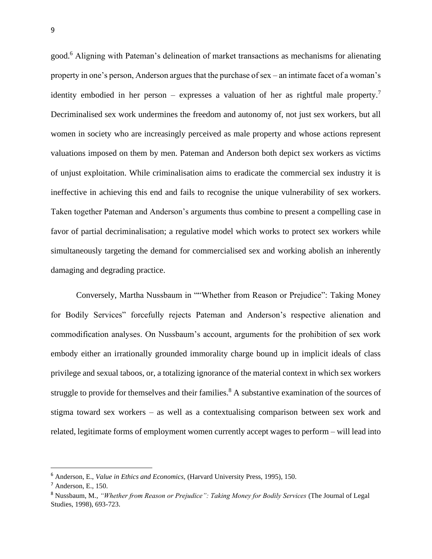good.<sup>6</sup> Aligning with Pateman's delineation of market transactions as mechanisms for alienating property in one's person, Anderson argues that the purchase of sex – an intimate facet of a woman's identity embodied in her person – expresses a valuation of her as rightful male property.<sup>7</sup> Decriminalised sex work undermines the freedom and autonomy of, not just sex workers, but all women in society who are increasingly perceived as male property and whose actions represent valuations imposed on them by men. Pateman and Anderson both depict sex workers as victims of unjust exploitation. While criminalisation aims to eradicate the commercial sex industry it is ineffective in achieving this end and fails to recognise the unique vulnerability of sex workers. Taken together Pateman and Anderson's arguments thus combine to present a compelling case in favor of partial decriminalisation; a regulative model which works to protect sex workers while simultaneously targeting the demand for commercialised sex and working abolish an inherently damaging and degrading practice.

Conversely, Martha Nussbaum in ""Whether from Reason or Prejudice": Taking Money for Bodily Services" forcefully rejects Pateman and Anderson's respective alienation and commodification analyses. On Nussbaum's account, arguments for the prohibition of sex work embody either an irrationally grounded immorality charge bound up in implicit ideals of class privilege and sexual taboos, or, a totalizing ignorance of the material context in which sex workers struggle to provide for themselves and their families.<sup>8</sup> A substantive examination of the sources of stigma toward sex workers – as well as a contextualising comparison between sex work and related, legitimate forms of employment women currently accept wages to perform – will lead into

<sup>6</sup> Anderson, E., *Value in Ethics and Economics,* (Harvard University Press, 1995), 150.

 $<sup>7</sup>$  Anderson, E., 150.</sup>

<sup>8</sup> Nussbaum, M., *"Whether from Reason or Prejudice": Taking Money for Bodily Services* (The Journal of Legal Studies, 1998), 693-723.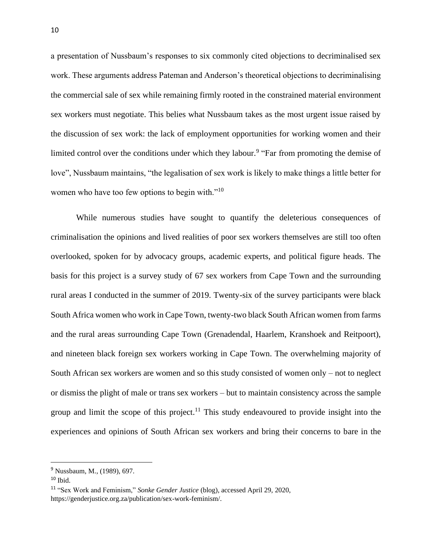a presentation of Nussbaum's responses to six commonly cited objections to decriminalised sex work. These arguments address Pateman and Anderson's theoretical objections to decriminalising the commercial sale of sex while remaining firmly rooted in the constrained material environment sex workers must negotiate. This belies what Nussbaum takes as the most urgent issue raised by the discussion of sex work: the lack of employment opportunities for working women and their limited control over the conditions under which they labour.<sup>9</sup> "Far from promoting the demise of love", Nussbaum maintains, "the legalisation of sex work is likely to make things a little better for women who have too few options to begin with."<sup>10</sup>

While numerous studies have sought to quantify the deleterious consequences of criminalisation the opinions and lived realities of poor sex workers themselves are still too often overlooked, spoken for by advocacy groups, academic experts, and political figure heads. The basis for this project is a survey study of 67 sex workers from Cape Town and the surrounding rural areas I conducted in the summer of 2019. Twenty-six of the survey participants were black South Africa women who work in Cape Town, twenty-two black South African women from farms and the rural areas surrounding Cape Town (Grenadendal, Haarlem, Kranshoek and Reitpoort), and nineteen black foreign sex workers working in Cape Town. The overwhelming majority of South African sex workers are women and so this study consisted of women only – not to neglect or dismiss the plight of male or trans sex workers – but to maintain consistency across the sample group and limit the scope of this project.<sup>11</sup> This study endeavoured to provide insight into the experiences and opinions of South African sex workers and bring their concerns to bare in the

<sup>9</sup> Nussbaum, M., (1989), 697.

 $10$  Ibid.

<sup>11</sup> ["Sex Work and Feminism,"](https://www.zotero.org/google-docs/?ypQsuP) *[Sonke Gender Justice](https://www.zotero.org/google-docs/?ypQsuP)* [\(blog\), accessed April 29,](https://www.zotero.org/google-docs/?ypQsuP) 2020, [https://genderjustice.org.za/publication/sex-work-feminism/.](https://www.zotero.org/google-docs/?ypQsuP)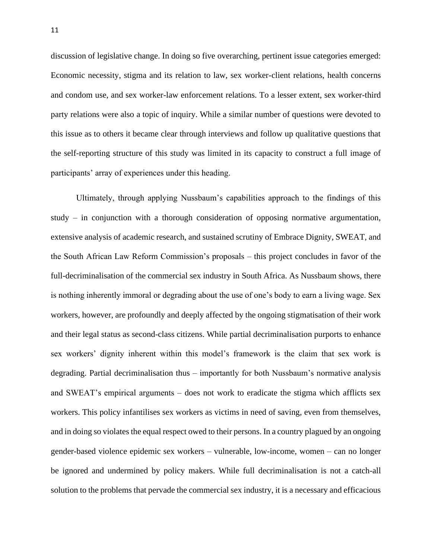discussion of legislative change. In doing so five overarching, pertinent issue categories emerged: Economic necessity, stigma and its relation to law, sex worker-client relations, health concerns and condom use, and sex worker-law enforcement relations. To a lesser extent, sex worker-third party relations were also a topic of inquiry. While a similar number of questions were devoted to this issue as to others it became clear through interviews and follow up qualitative questions that the self-reporting structure of this study was limited in its capacity to construct a full image of participants' array of experiences under this heading.

Ultimately, through applying Nussbaum's capabilities approach to the findings of this study – in conjunction with a thorough consideration of opposing normative argumentation, extensive analysis of academic research, and sustained scrutiny of Embrace Dignity, SWEAT, and the South African Law Reform Commission's proposals – this project concludes in favor of the full-decriminalisation of the commercial sex industry in South Africa. As Nussbaum shows, there is nothing inherently immoral or degrading about the use of one's body to earn a living wage. Sex workers, however, are profoundly and deeply affected by the ongoing stigmatisation of their work and their legal status as second-class citizens. While partial decriminalisation purports to enhance sex workers' dignity inherent within this model's framework is the claim that sex work is degrading. Partial decriminalisation thus – importantly for both Nussbaum's normative analysis and SWEAT's empirical arguments – does not work to eradicate the stigma which afflicts sex workers. This policy infantilises sex workers as victims in need of saving, even from themselves, and in doing so violates the equal respect owed to their persons. In a country plagued by an ongoing gender-based violence epidemic sex workers – vulnerable, low-income, women – can no longer be ignored and undermined by policy makers. While full decriminalisation is not a catch-all solution to the problems that pervade the commercial sex industry, it is a necessary and efficacious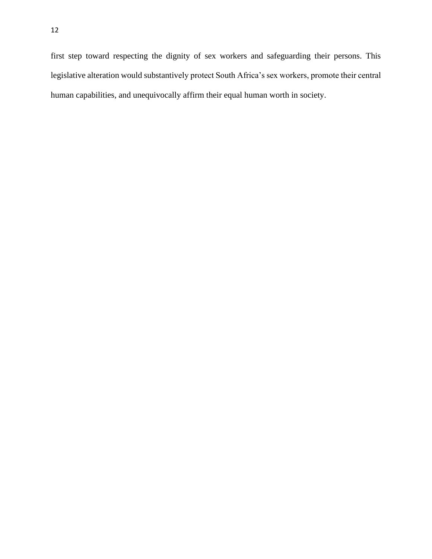first step toward respecting the dignity of sex workers and safeguarding their persons. This legislative alteration would substantively protect South Africa's sex workers, promote their central human capabilities, and unequivocally affirm their equal human worth in society.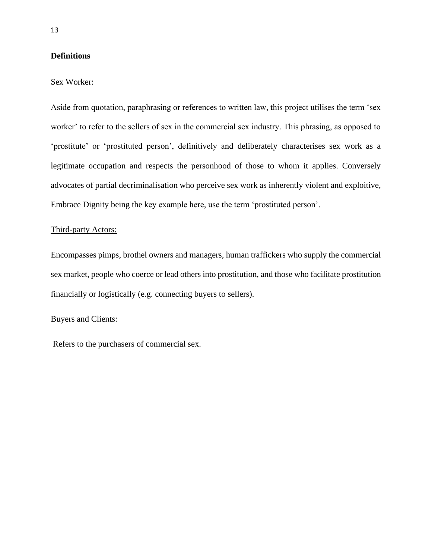## **Definitions**

#### Sex Worker:

Aside from quotation, paraphrasing or references to written law, this project utilises the term 'sex worker' to refer to the sellers of sex in the commercial sex industry. This phrasing, as opposed to 'prostitute' or 'prostituted person', definitively and deliberately characterises sex work as a legitimate occupation and respects the personhood of those to whom it applies. Conversely advocates of partial decriminalisation who perceive sex work as inherently violent and exploitive, Embrace Dignity being the key example here, use the term 'prostituted person'.

## Third-party Actors:

Encompasses pimps, brothel owners and managers, human traffickers who supply the commercial sex market, people who coerce or lead others into prostitution, and those who facilitate prostitution financially or logistically (e.g. connecting buyers to sellers).

## Buyers and Clients:

Refers to the purchasers of commercial sex.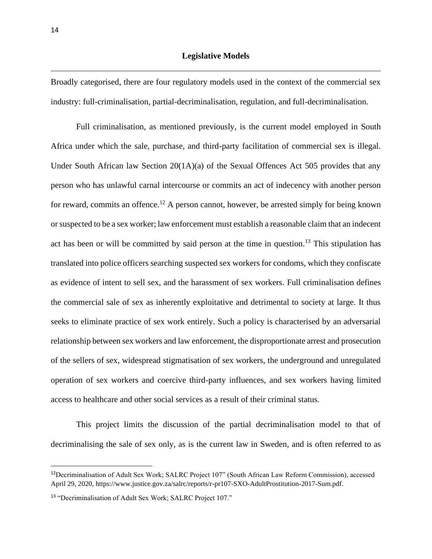Broadly categorised, there are four regulatory models used in the context of the commercial sex industry: full-criminalisation, partial-decriminalisation, regulation, and full-decriminalisation.

Full criminalisation, as mentioned previously, is the current model employed in South Africa under which the sale, purchase, and third-party facilitation of commercial sex is illegal. Under South African law Section  $20(1A)(a)$  of the Sexual Offences Act 505 provides that any person who has unlawful carnal intercourse or commits an act of indecency with another person for reward, commits an offence.<sup>12</sup> A person cannot, however, be arrested simply for being known or suspected to be a sex worker; law enforcement must establish a reasonable claim that an indecent act has been or will be committed by said person at the time in question.<sup>13</sup> This stipulation has translated into police officers searching suspected sex workers for condoms, which they confiscate as evidence of intent to sell sex, and the harassment of sex workers. Full criminalisation defines the commercial sale of sex as inherently exploitative and detrimental to society at large. It thus seeks to eliminate practice of sex work entirely. Such a policy is characterised by an adversarial relationship between sex workers and law enforcement, the disproportionate arrest and prosecution of the sellers of sex, widespread stigmatisation of sex workers, the underground and unregulated operation of sex workers and coercive third-party influences, and sex workers having limited access to healthcare and other social services as a result of their criminal status.

This project limits the discussion of the partial decriminalisation model to that of decriminalising the sale of sex only, as is the current law in Sweden, and is often referred to as

<sup>12</sup>Decriminalisation of Adult Sex Work; SALRC Project 107" (South African Law Reform Commission), accessed April 29, 2020, https://www.justice.gov.za/salrc/reports/r-pr107-SXO-AdultProstitution-2017-Sum.pdf.

<sup>&</sup>lt;sup>13</sup> ["Decriminalisation of Adult Sex Work; SALRC Project 107."](https://www.zotero.org/google-docs/?Jum0kc)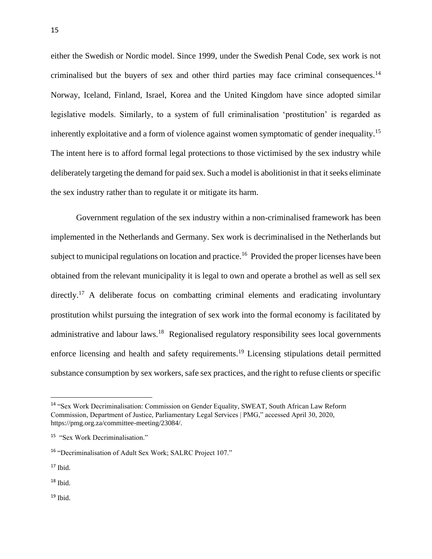either the Swedish or Nordic model. Since 1999, under the Swedish Penal Code, sex work is not criminalised but the buyers of sex and other third parties may face criminal consequences.<sup>14</sup> Norway, Iceland, Finland, Israel, Korea and the United Kingdom have since adopted similar legislative models. Similarly, to a system of full criminalisation 'prostitution' is regarded as inherently exploitative and a form of violence against women symptomatic of gender inequality.<sup>15</sup> The intent here is to afford formal legal protections to those victimised by the sex industry while deliberately targeting the demand for paid sex. Such a model is abolitionist in that it seeks eliminate the sex industry rather than to regulate it or mitigate its harm.

Government regulation of the sex industry within a non-criminalised framework has been implemented in the Netherlands and Germany. Sex work is decriminalised in the Netherlands but subject to municipal regulations on location and practice.<sup>16</sup> Provided the proper licenses have been obtained from the relevant municipality it is legal to own and operate a brothel as well as sell sex directly.<sup>17</sup> A deliberate focus on combatting criminal elements and eradicating involuntary prostitution whilst pursuing the integration of sex work into the formal economy is facilitated by administrative and labour laws.<sup>18</sup> Regionalised regulatory responsibility sees local governments enforce licensing and health and safety requirements.<sup>19</sup> Licensing stipulations detail permitted substance consumption by sex workers, safe sex practices, and the right to refuse clients or specific

 $17$  Ibid.

 $18$  Ibid.

 $19$  Ibid.

<sup>14</sup> ["Sex Work Decriminalisation: Commission on Gender Equality, SWEAT, South African Law Reform](https://www.zotero.org/google-docs/?rHJxJH)  [Commission, Department of Justice, Parliamentary Legal Services | PMG," accessed April 30, 2020,](https://www.zotero.org/google-docs/?rHJxJH)  [https://pmg.org.za/committee-meeting/23084/.](https://www.zotero.org/google-docs/?rHJxJH)

<sup>&</sup>lt;sup>15</sup> "Sex Work [Decriminalisation."](https://www.zotero.org/google-docs/?pko5UJ)

<sup>16</sup> ["Decriminalisation of Adult Sex Work; SALRC Project 107."](https://www.zotero.org/google-docs/?dog0yx)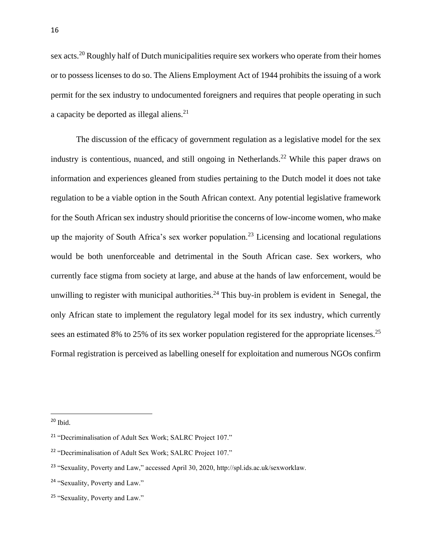sex acts.<sup>20</sup> Roughly half of Dutch municipalities require sex workers who operate from their homes or to possess licenses to do so. The Aliens Employment Act of 1944 prohibits the issuing of a work permit for the sex industry to undocumented foreigners and requires that people operating in such a capacity be deported as illegal aliens.<sup>21</sup>

The discussion of the efficacy of government regulation as a legislative model for the sex industry is contentious, nuanced, and still ongoing in Netherlands.<sup>22</sup> While this paper draws on information and experiences gleaned from studies pertaining to the Dutch model it does not take regulation to be a viable option in the South African context. Any potential legislative framework for the South African sex industry should prioritise the concerns of low-income women, who make up the majority of South Africa's sex worker population.<sup>23</sup> Licensing and locational regulations would be both unenforceable and detrimental in the South African case. Sex workers, who currently face stigma from society at large, and abuse at the hands of law enforcement, would be unwilling to register with municipal authorities.<sup>24</sup> This buy-in problem is evident in Senegal, the only African state to implement the regulatory legal model for its sex industry, which currently sees an estimated 8% to 25% of its sex worker population registered for the appropriate licenses.<sup>25</sup> Formal registration is perceived as labelling oneself for exploitation and numerous NGOs confirm

<sup>20</sup> Ibid.

<sup>21</sup> ["Decriminalisation of Adult Sex Work; SALRC Project 107."](https://www.zotero.org/google-docs/?8AzoTo)

<sup>&</sup>lt;sup>22</sup> ["Decriminalisation of Adult Sex Work; SALRC Project 107."](https://www.zotero.org/google-docs/?UbHerH)

<sup>23</sup> ["Sexuality, Poverty and Law," accessed April 30, 2020, http://spl.ids.ac.uk/sexworklaw.](https://www.zotero.org/google-docs/?2Hz5kM)

<sup>24</sup> ["Sexuality, Poverty and Law."](https://www.zotero.org/google-docs/?ftYsAk)

<sup>&</sup>lt;sup>25</sup> ["Sexuality, Poverty and Law."](https://www.zotero.org/google-docs/?KtO1Cd)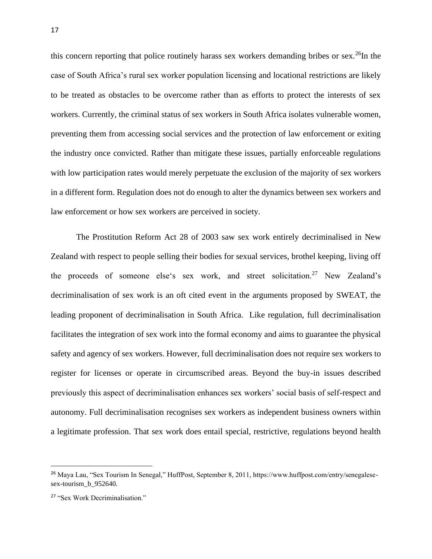this concern reporting that police routinely harass sex workers demanding bribes or sex.<sup>26</sup>In the case of South Africa's rural sex worker population licensing and locational restrictions are likely to be treated as obstacles to be overcome rather than as efforts to protect the interests of sex workers. Currently, the criminal status of sex workers in South Africa isolates vulnerable women, preventing them from accessing social services and the protection of law enforcement or exiting the industry once convicted. Rather than mitigate these issues, partially enforceable regulations with low participation rates would merely perpetuate the exclusion of the majority of sex workers in a different form. Regulation does not do enough to alter the dynamics between sex workers and law enforcement or how sex workers are perceived in society.

The Prostitution Reform Act 28 of 2003 saw sex work entirely decriminalised in New Zealand with respect to people selling their bodies for sexual services, brothel keeping, living off the proceeds of someone else's sex work, and street solicitation.<sup>27</sup> New Zealand's decriminalisation of sex work is an oft cited event in the arguments proposed by SWEAT, the leading proponent of decriminalisation in South Africa. Like regulation, full decriminalisation facilitates the integration of sex work into the formal economy and aims to guarantee the physical safety and agency of sex workers. However, full decriminalisation does not require sex workers to register for licenses or operate in circumscribed areas. Beyond the buy-in issues described previously this aspect of decriminalisation enhances sex workers' social basis of self-respect and autonomy. Full decriminalisation recognises sex workers as independent business owners within a legitimate profession. That sex work does entail special, restrictive, regulations beyond health

<sup>26</sup> [Maya Lau, "Sex Tourism In Senegal," HuffPost, September 8, 2011, https://www.huffpost.com/entry/senegalese](https://www.zotero.org/google-docs/?uxk45U)sex-tourism **b** 952640.

<sup>&</sup>lt;sup>27</sup> ["Sex Work Decriminalisation."](https://www.zotero.org/google-docs/?pko5UJ)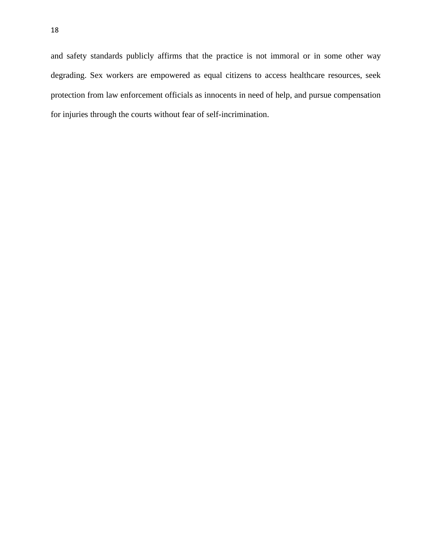and safety standards publicly affirms that the practice is not immoral or in some other way degrading. Sex workers are empowered as equal citizens to access healthcare resources, seek protection from law enforcement officials as innocents in need of help, and pursue compensation for injuries through the courts without fear of self-incrimination.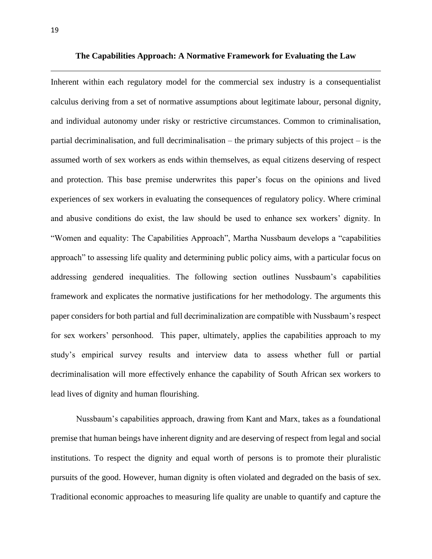#### **The Capabilities Approach: A Normative Framework for Evaluating the Law**

Inherent within each regulatory model for the commercial sex industry is a consequentialist calculus deriving from a set of normative assumptions about legitimate labour, personal dignity, and individual autonomy under risky or restrictive circumstances. Common to criminalisation, partial decriminalisation, and full decriminalisation – the primary subjects of this project – is the assumed worth of sex workers as ends within themselves, as equal citizens deserving of respect and protection. This base premise underwrites this paper's focus on the opinions and lived experiences of sex workers in evaluating the consequences of regulatory policy. Where criminal and abusive conditions do exist, the law should be used to enhance sex workers' dignity. In "Women and equality: The Capabilities Approach", Martha Nussbaum develops a "capabilities approach" to assessing life quality and determining public policy aims, with a particular focus on addressing gendered inequalities. The following section outlines Nussbaum's capabilities framework and explicates the normative justifications for her methodology. The arguments this paper considers for both partial and full decriminalization are compatible with Nussbaum's respect for sex workers' personhood. This paper, ultimately, applies the capabilities approach to my study's empirical survey results and interview data to assess whether full or partial decriminalisation will more effectively enhance the capability of South African sex workers to lead lives of dignity and human flourishing.

Nussbaum's capabilities approach, drawing from Kant and Marx, takes as a foundational premise that human beings have inherent dignity and are deserving of respect from legal and social institutions. To respect the dignity and equal worth of persons is to promote their pluralistic pursuits of the good. However, human dignity is often violated and degraded on the basis of sex. Traditional economic approaches to measuring life quality are unable to quantify and capture the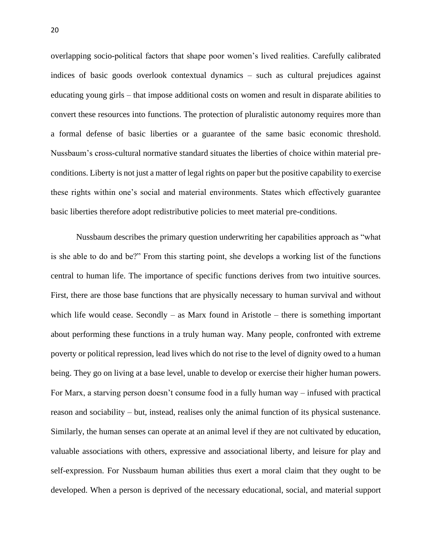overlapping socio-political factors that shape poor women's lived realities. Carefully calibrated indices of basic goods overlook contextual dynamics – such as cultural prejudices against educating young girls – that impose additional costs on women and result in disparate abilities to convert these resources into functions. The protection of pluralistic autonomy requires more than a formal defense of basic liberties or a guarantee of the same basic economic threshold. Nussbaum's cross-cultural normative standard situates the liberties of choice within material preconditions. Liberty is not just a matter of legal rights on paper but the positive capability to exercise these rights within one's social and material environments. States which effectively guarantee basic liberties therefore adopt redistributive policies to meet material pre-conditions.

Nussbaum describes the primary question underwriting her capabilities approach as "what is she able to do and be?" From this starting point, she develops a working list of the functions central to human life. The importance of specific functions derives from two intuitive sources. First, there are those base functions that are physically necessary to human survival and without which life would cease. Secondly  $-$  as Marx found in Aristotle  $-$  there is something important about performing these functions in a truly human way. Many people, confronted with extreme poverty or political repression, lead lives which do not rise to the level of dignity owed to a human being. They go on living at a base level, unable to develop or exercise their higher human powers. For Marx, a starving person doesn't consume food in a fully human way – infused with practical reason and sociability – but, instead, realises only the animal function of its physical sustenance. Similarly, the human senses can operate at an animal level if they are not cultivated by education, valuable associations with others, expressive and associational liberty, and leisure for play and self-expression. For Nussbaum human abilities thus exert a moral claim that they ought to be developed. When a person is deprived of the necessary educational, social, and material support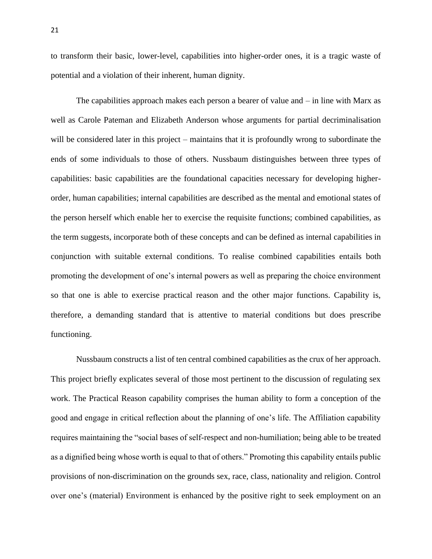to transform their basic, lower-level, capabilities into higher-order ones, it is a tragic waste of potential and a violation of their inherent, human dignity.

The capabilities approach makes each person a bearer of value and – in line with Marx as well as Carole Pateman and Elizabeth Anderson whose arguments for partial decriminalisation will be considered later in this project – maintains that it is profoundly wrong to subordinate the ends of some individuals to those of others. Nussbaum distinguishes between three types of capabilities: basic capabilities are the foundational capacities necessary for developing higherorder, human capabilities; internal capabilities are described as the mental and emotional states of the person herself which enable her to exercise the requisite functions; combined capabilities, as the term suggests, incorporate both of these concepts and can be defined as internal capabilities in conjunction with suitable external conditions. To realise combined capabilities entails both promoting the development of one's internal powers as well as preparing the choice environment so that one is able to exercise practical reason and the other major functions. Capability is, therefore, a demanding standard that is attentive to material conditions but does prescribe functioning.

Nussbaum constructs a list of ten central combined capabilities as the crux of her approach. This project briefly explicates several of those most pertinent to the discussion of regulating sex work. The Practical Reason capability comprises the human ability to form a conception of the good and engage in critical reflection about the planning of one's life. The Affiliation capability requires maintaining the "social bases of self-respect and non-humiliation; being able to be treated as a dignified being whose worth is equal to that of others." Promoting this capability entails public provisions of non-discrimination on the grounds sex, race, class, nationality and religion. Control over one's (material) Environment is enhanced by the positive right to seek employment on an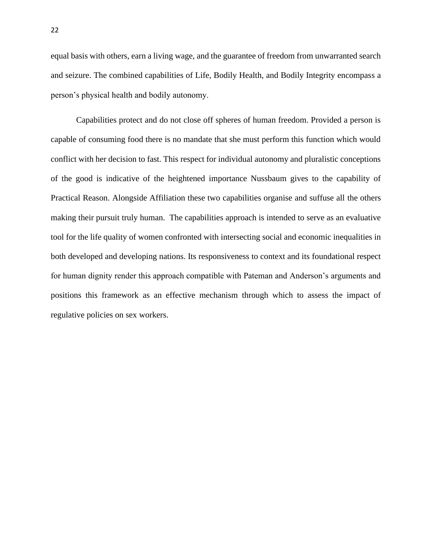equal basis with others, earn a living wage, and the guarantee of freedom from unwarranted search and seizure. The combined capabilities of Life, Bodily Health, and Bodily Integrity encompass a person's physical health and bodily autonomy.

Capabilities protect and do not close off spheres of human freedom. Provided a person is capable of consuming food there is no mandate that she must perform this function which would conflict with her decision to fast. This respect for individual autonomy and pluralistic conceptions of the good is indicative of the heightened importance Nussbaum gives to the capability of Practical Reason. Alongside Affiliation these two capabilities organise and suffuse all the others making their pursuit truly human. The capabilities approach is intended to serve as an evaluative tool for the life quality of women confronted with intersecting social and economic inequalities in both developed and developing nations. Its responsiveness to context and its foundational respect for human dignity render this approach compatible with Pateman and Anderson's arguments and positions this framework as an effective mechanism through which to assess the impact of regulative policies on sex workers.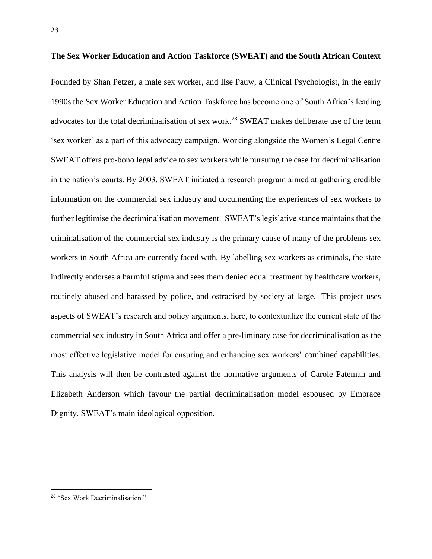### **The Sex Worker Education and Action Taskforce (SWEAT) and the South African Context**

Founded by Shan Petzer, a male sex worker, and Ilse Pauw, a Clinical Psychologist, in the early 1990s the Sex Worker Education and Action Taskforce has become one of South Africa's leading advocates for the total decriminalisation of sex work.<sup>28</sup> SWEAT makes deliberate use of the term 'sex worker' as a part of this advocacy campaign. Working alongside the Women's Legal Centre SWEAT offers pro-bono legal advice to sex workers while pursuing the case for decriminalisation in the nation's courts. By 2003, SWEAT initiated a research program aimed at gathering credible information on the commercial sex industry and documenting the experiences of sex workers to further legitimise the decriminalisation movement. SWEAT's legislative stance maintains that the criminalisation of the commercial sex industry is the primary cause of many of the problems sex workers in South Africa are currently faced with. By labelling sex workers as criminals, the state indirectly endorses a harmful stigma and sees them denied equal treatment by healthcare workers, routinely abused and harassed by police, and ostracised by society at large. This project uses aspects of SWEAT's research and policy arguments, here, to contextualize the current state of the commercial sex industry in South Africa and offer a pre-liminary case for decriminalisation as the most effective legislative model for ensuring and enhancing sex workers' combined capabilities. This analysis will then be contrasted against the normative arguments of Carole Pateman and Elizabeth Anderson which favour the partial decriminalisation model espoused by Embrace Dignity, SWEAT's main ideological opposition.

<sup>28</sup> ["Sex Work Decriminalisation."](https://www.zotero.org/google-docs/?pmMEkF)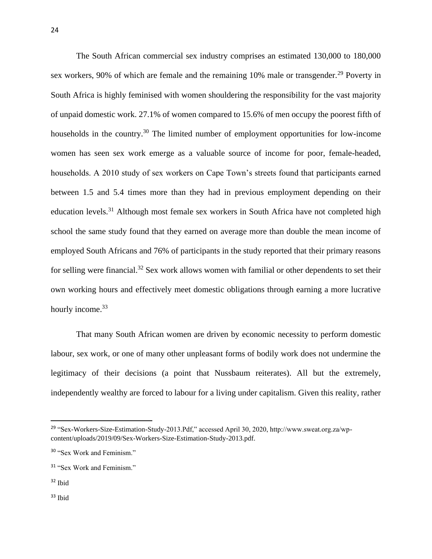The South African commercial sex industry comprises an estimated 130,000 to 180,000 sex workers, 90% of which are female and the remaining 10% male or transgender.<sup>29</sup> Poverty in South Africa is highly feminised with women shouldering the responsibility for the vast majority of unpaid domestic work. 27.1% of women compared to 15.6% of men occupy the poorest fifth of households in the country.<sup>30</sup> The limited number of employment opportunities for low-income women has seen sex work emerge as a valuable source of income for poor, female-headed, households. A 2010 study of sex workers on Cape Town's streets found that participants earned between 1.5 and 5.4 times more than they had in previous employment depending on their education levels.<sup>31</sup> Although most female sex workers in South Africa have not completed high school the same study found that they earned on average more than double the mean income of employed South Africans and 76% of participants in the study reported that their primary reasons for selling were financial.<sup>32</sup> Sex work allows women with familial or other dependents to set their own working hours and effectively meet domestic obligations through earning a more lucrative hourly income.<sup>33</sup>

That many South African women are driven by economic necessity to perform domestic labour, sex work, or one of many other unpleasant forms of bodily work does not undermine the legitimacy of their decisions (a point that Nussbaum reiterates). All but the extremely, independently wealthy are forced to labour for a living under capitalism. Given this reality, rather

<sup>29</sup> ["Sex-Workers-Size-Estimation-Study-2013.Pdf," accessed April 30, 2020, http://www.sweat.org.za/wp](https://www.zotero.org/google-docs/?uUVXhk)[content/uploads/2019/09/Sex-Workers-Size-Estimation-Study-2013.pdf.](https://www.zotero.org/google-docs/?uUVXhk)

<sup>&</sup>lt;sup>30</sup> ["Sex Work and Feminism."](https://www.zotero.org/google-docs/?9wroLW)

<sup>&</sup>lt;sup>31</sup> ["Sex Work and Feminism."](https://www.zotero.org/google-docs/?rhRWKP)

 $32$  Ibid

 $33$  Ibid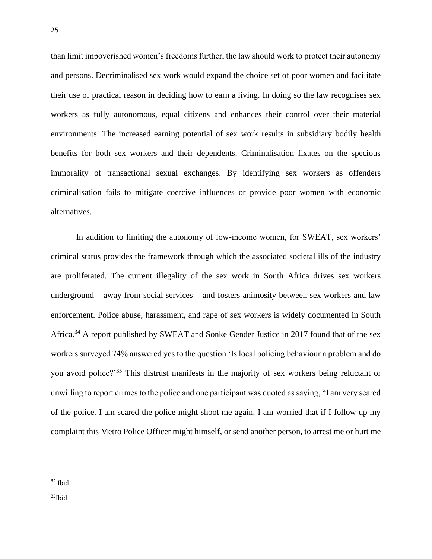than limit impoverished women's freedoms further, the law should work to protect their autonomy and persons. Decriminalised sex work would expand the choice set of poor women and facilitate their use of practical reason in deciding how to earn a living. In doing so the law recognises sex workers as fully autonomous, equal citizens and enhances their control over their material environments. The increased earning potential of sex work results in subsidiary bodily health benefits for both sex workers and their dependents. Criminalisation fixates on the specious immorality of transactional sexual exchanges. By identifying sex workers as offenders criminalisation fails to mitigate coercive influences or provide poor women with economic alternatives.

In addition to limiting the autonomy of low-income women, for SWEAT, sex workers' criminal status provides the framework through which the associated societal ills of the industry are proliferated. The current illegality of the sex work in South Africa drives sex workers underground – away from social services – and fosters animosity between sex workers and law enforcement. Police abuse, harassment, and rape of sex workers is widely documented in South Africa.<sup>34</sup> A report published by SWEAT and Sonke Gender Justice in 2017 found that of the sex workers surveyed 74% answered yes to the question 'Is local policing behaviour a problem and do you avoid police?'<sup>35</sup> This distrust manifests in the majority of sex workers being reluctant or unwilling to report crimes to the police and one participant was quoted as saying, "I am very scared of the police. I am scared the police might shoot me again. I am worried that if I follow up my complaint this Metro Police Officer might himself, or send another person, to arrest me or hurt me

<sup>34</sup> Ibid

<sup>35</sup>Ibid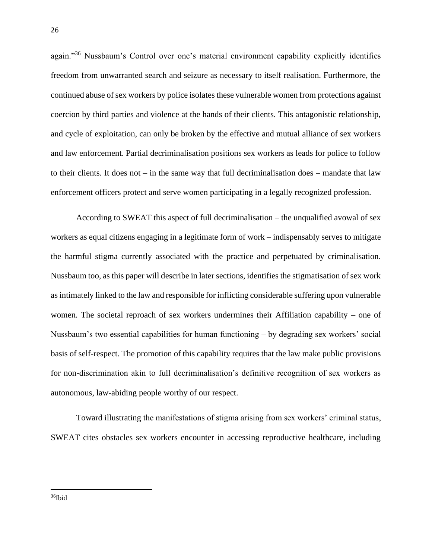again."<sup>36</sup> Nussbaum's Control over one's material environment capability explicitly identifies freedom from unwarranted search and seizure as necessary to itself realisation. Furthermore, the continued abuse of sex workers by police isolates these vulnerable women from protections against coercion by third parties and violence at the hands of their clients. This antagonistic relationship, and cycle of exploitation, can only be broken by the effective and mutual alliance of sex workers and law enforcement. Partial decriminalisation positions sex workers as leads for police to follow to their clients. It does not – in the same way that full decriminalisation does – mandate that law enforcement officers protect and serve women participating in a legally recognized profession.

According to SWEAT this aspect of full decriminalisation – the unqualified avowal of sex workers as equal citizens engaging in a legitimate form of work – indispensably serves to mitigate the harmful stigma currently associated with the practice and perpetuated by criminalisation. Nussbaum too, as this paper will describe in later sections, identifies the stigmatisation of sex work as intimately linked to the law and responsible for inflicting considerable suffering upon vulnerable women. The societal reproach of sex workers undermines their Affiliation capability – one of Nussbaum's two essential capabilities for human functioning – by degrading sex workers' social basis of self-respect. The promotion of this capability requires that the law make public provisions for non-discrimination akin to full decriminalisation's definitive recognition of sex workers as autonomous, law-abiding people worthy of our respect.

Toward illustrating the manifestations of stigma arising from sex workers' criminal status, SWEAT cites obstacles sex workers encounter in accessing reproductive healthcare, including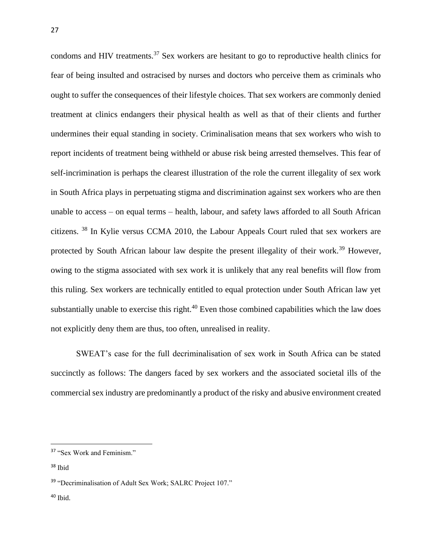condoms and HIV treatments.<sup>37</sup> Sex workers are hesitant to go to reproductive health clinics for fear of being insulted and ostracised by nurses and doctors who perceive them as criminals who ought to suffer the consequences of their lifestyle choices. That sex workers are commonly denied treatment at clinics endangers their physical health as well as that of their clients and further undermines their equal standing in society. Criminalisation means that sex workers who wish to report incidents of treatment being withheld or abuse risk being arrested themselves. This fear of self-incrimination is perhaps the clearest illustration of the role the current illegality of sex work in South Africa plays in perpetuating stigma and discrimination against sex workers who are then unable to access – on equal terms – health, labour, and safety laws afforded to all South African citizens. <sup>38</sup> In Kylie versus CCMA 2010, the Labour Appeals Court ruled that sex workers are protected by South African labour law despite the present illegality of their work.<sup>39</sup> However, owing to the stigma associated with sex work it is unlikely that any real benefits will flow from this ruling. Sex workers are technically entitled to equal protection under South African law yet substantially unable to exercise this right. $40$  Even those combined capabilities which the law does not explicitly deny them are thus, too often, unrealised in reality.

SWEAT's case for the full decriminalisation of sex work in South Africa can be stated succinctly as follows: The dangers faced by sex workers and the associated societal ills of the commercial sex industry are predominantly a product of the risky and abusive environment created

 $40$  Ibid.

<sup>&</sup>lt;sup>37</sup> ["Sex Work and Feminism."](https://www.zotero.org/google-docs/?p24ZP3)

<sup>38</sup> Ibid

<sup>&</sup>lt;sup>39</sup> ["Decriminalisation of Adult Sex Work; SALRC Project 107."](https://www.zotero.org/google-docs/?1GQbn3)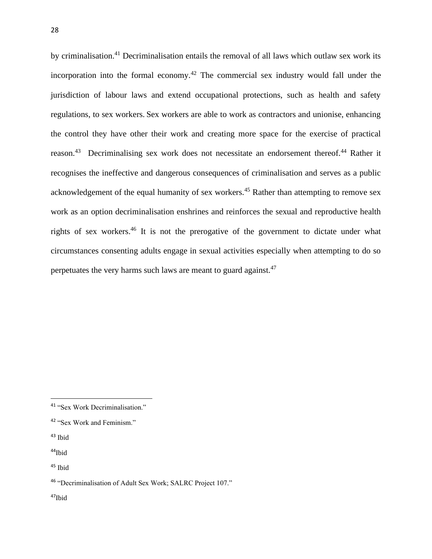by criminalisation.<sup>41</sup> Decriminalisation entails the removal of all laws which outlaw sex work its incorporation into the formal economy.<sup>42</sup> The commercial sex industry would fall under the jurisdiction of labour laws and extend occupational protections, such as health and safety regulations, to sex workers. Sex workers are able to work as contractors and unionise, enhancing the control they have other their work and creating more space for the exercise of practical reason.<sup>43</sup> Decriminalising sex work does not necessitate an endorsement thereof.<sup>44</sup> Rather it recognises the ineffective and dangerous consequences of criminalisation and serves as a public acknowledgement of the equal humanity of sex workers.<sup>45</sup> Rather than attempting to remove sex work as an option decriminalisation enshrines and reinforces the sexual and reproductive health rights of sex workers.<sup>46</sup> It is not the prerogative of the government to dictate under what circumstances consenting adults engage in sexual activities especially when attempting to do so perpetuates the very harms such laws are meant to guard against.<sup>47</sup>

28

<sup>47</sup>Ibid

<sup>41</sup> ["Sex Work Decriminalisation."](https://www.zotero.org/google-docs/?jxcU4R)

<sup>42</sup> ["Sex Work and Feminism."](https://www.zotero.org/google-docs/?VDBv3V)

<sup>43</sup> Ibid

<sup>44</sup>Ibid

<sup>45</sup> Ibid

<sup>46</sup> ["Decriminalisation of Adult Sex Work; SALRC Project 107."](https://www.zotero.org/google-docs/?1GQbn3)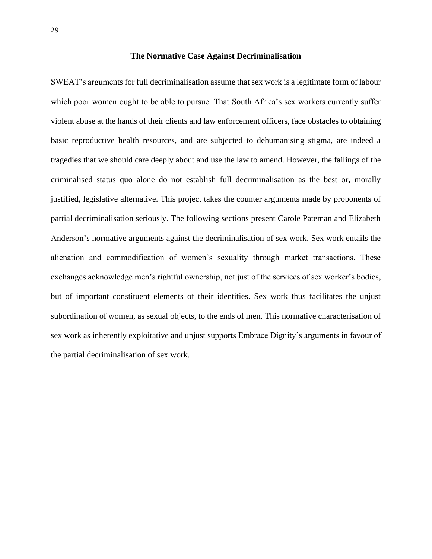SWEAT's arguments for full decriminalisation assume that sex work is a legitimate form of labour which poor women ought to be able to pursue. That South Africa's sex workers currently suffer violent abuse at the hands of their clients and law enforcement officers, face obstacles to obtaining basic reproductive health resources, and are subjected to dehumanising stigma, are indeed a tragedies that we should care deeply about and use the law to amend. However, the failings of the criminalised status quo alone do not establish full decriminalisation as the best or, morally justified, legislative alternative. This project takes the counter arguments made by proponents of partial decriminalisation seriously. The following sections present Carole Pateman and Elizabeth Anderson's normative arguments against the decriminalisation of sex work. Sex work entails the alienation and commodification of women's sexuality through market transactions. These exchanges acknowledge men's rightful ownership, not just of the services of sex worker's bodies, but of important constituent elements of their identities. Sex work thus facilitates the unjust subordination of women, as sexual objects, to the ends of men. This normative characterisation of sex work as inherently exploitative and unjust supports Embrace Dignity's arguments in favour of the partial decriminalisation of sex work.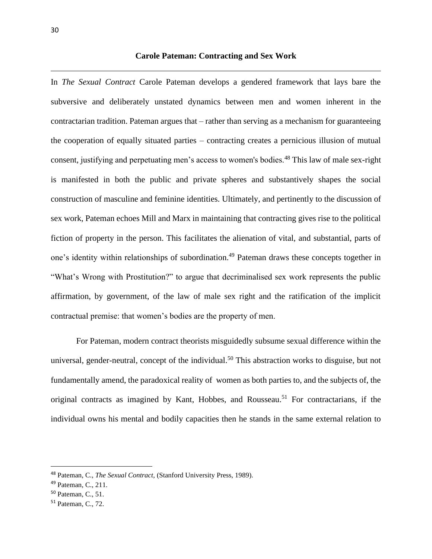In *The Sexual Contract* Carole Pateman develops a gendered framework that lays bare the subversive and deliberately unstated dynamics between men and women inherent in the contractarian tradition. Pateman argues that – rather than serving as a mechanism for guaranteeing the cooperation of equally situated parties – contracting creates a pernicious illusion of mutual consent, justifying and perpetuating men's access to women's bodies.<sup>48</sup> This law of male sex-right is manifested in both the public and private spheres and substantively shapes the social construction of masculine and feminine identities. Ultimately, and pertinently to the discussion of sex work, Pateman echoes Mill and Marx in maintaining that contracting gives rise to the political fiction of property in the person. This facilitates the alienation of vital, and substantial, parts of one's identity within relationships of subordination.<sup>49</sup> Pateman draws these concepts together in "What's Wrong with Prostitution?" to argue that decriminalised sex work represents the public affirmation, by government, of the law of male sex right and the ratification of the implicit contractual premise: that women's bodies are the property of men.

For Pateman, modern contract theorists misguidedly subsume sexual difference within the universal, gender-neutral, concept of the individual.<sup>50</sup> This abstraction works to disguise, but not fundamentally amend, the paradoxical reality of women as both parties to, and the subjects of, the original contracts as imagined by Kant, Hobbes, and Rousseau.<sup>51</sup> For contractarians, if the individual owns his mental and bodily capacities then he stands in the same external relation to

<sup>48</sup> Pateman, C., *The Sexual Contract,* (Stanford University Press, 1989).

<sup>49</sup> Pateman, C., 211.

<sup>50</sup> Pateman, C., 51.

<sup>51</sup> Pateman, C., 72.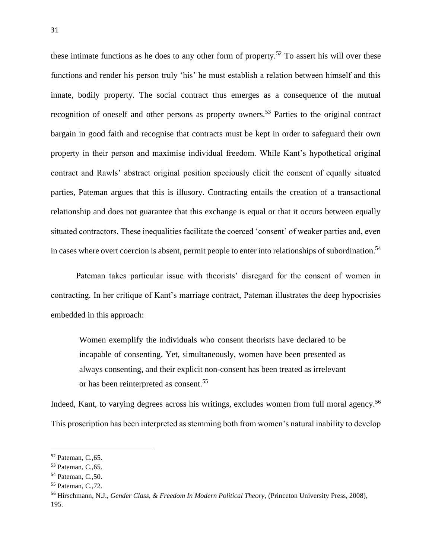these intimate functions as he does to any other form of property.<sup>52</sup> To assert his will over these functions and render his person truly 'his' he must establish a relation between himself and this innate, bodily property. The social contract thus emerges as a consequence of the mutual recognition of oneself and other persons as property owners.<sup>53</sup> Parties to the original contract bargain in good faith and recognise that contracts must be kept in order to safeguard their own property in their person and maximise individual freedom. While Kant's hypothetical original contract and Rawls' abstract original position speciously elicit the consent of equally situated parties, Pateman argues that this is illusory. Contracting entails the creation of a transactional relationship and does not guarantee that this exchange is equal or that it occurs between equally situated contractors. These inequalities facilitate the coerced 'consent' of weaker parties and, even in cases where overt coercion is absent, permit people to enter into relationships of subordination.<sup>54</sup>

Pateman takes particular issue with theorists' disregard for the consent of women in contracting. In her critique of Kant's marriage contract, Pateman illustrates the deep hypocrisies embedded in this approach:

Women exemplify the individuals who consent theorists have declared to be incapable of consenting. Yet, simultaneously, women have been presented as always consenting, and their explicit non-consent has been treated as irrelevant or has been reinterpreted as consent.<sup>55</sup>

Indeed, Kant, to varying degrees across his writings, excludes women from full moral agency.<sup>56</sup> This proscription has been interpreted as stemming both from women's natural inability to develop

<sup>52</sup> Pateman, C.,65.

<sup>53</sup> Pateman, C.,65.

<sup>54</sup> Pateman, C.,50.

<sup>55</sup> Pateman, C.,72.

<sup>56</sup> Hirschmann, N.J., *Gender Class, & Freedom In Modern Political Theory,* (Princeton University Press, 2008), 195.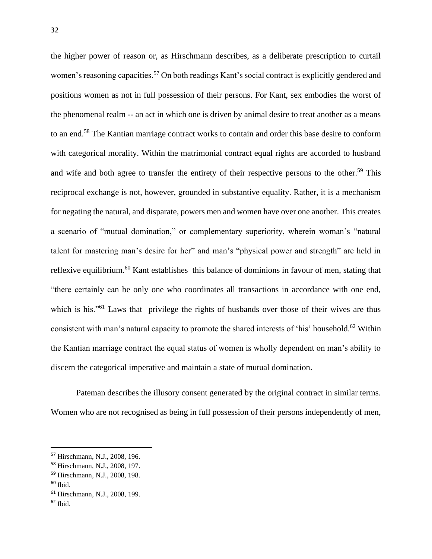the higher power of reason or, as Hirschmann describes, as a deliberate prescription to curtail women's reasoning capacities.<sup>57</sup> On both readings Kant's social contract is explicitly gendered and positions women as not in full possession of their persons. For Kant, sex embodies the worst of the phenomenal realm -- an act in which one is driven by animal desire to treat another as a means to an end.<sup>58</sup> The Kantian marriage contract works to contain and order this base desire to conform with categorical morality. Within the matrimonial contract equal rights are accorded to husband and wife and both agree to transfer the entirety of their respective persons to the other.<sup>59</sup> This reciprocal exchange is not, however, grounded in substantive equality. Rather, it is a mechanism for negating the natural, and disparate, powers men and women have over one another. This creates a scenario of "mutual domination," or complementary superiority, wherein woman's "natural talent for mastering man's desire for her" and man's "physical power and strength" are held in reflexive equilibrium.<sup>60</sup> Kant establishes this balance of dominions in favour of men, stating that "there certainly can be only one who coordinates all transactions in accordance with one end, which is his."<sup>61</sup> Laws that privilege the rights of husbands over those of their wives are thus consistent with man's natural capacity to promote the shared interests of 'his' household.<sup>62</sup> Within the Kantian marriage contract the equal status of women is wholly dependent on man's ability to discern the categorical imperative and maintain a state of mutual domination.

Pateman describes the illusory consent generated by the original contract in similar terms. Women who are not recognised as being in full possession of their persons independently of men,

<sup>57</sup> Hirschmann, N.J., 2008, 196.

<sup>58</sup> Hirschmann, N.J., 2008, 197.

<sup>59</sup> Hirschmann, N.J., 2008, 198.

 $60$  Ibid.

<sup>61</sup> Hirschmann, N.J., 2008, 199.

 $62$  Ibid.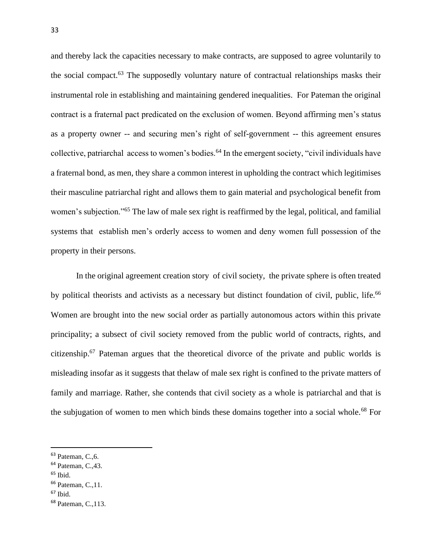and thereby lack the capacities necessary to make contracts, are supposed to agree voluntarily to the social compact. $63$  The supposedly voluntary nature of contractual relationships masks their instrumental role in establishing and maintaining gendered inequalities. For Pateman the original contract is a fraternal pact predicated on the exclusion of women. Beyond affirming men's status as a property owner -- and securing men's right of self-government -- this agreement ensures collective, patriarchal access to women's bodies.<sup>64</sup> In the emergent society, "civil individuals have a fraternal bond, as men, they share a common interest in upholding the contract which legitimises their masculine patriarchal right and allows them to gain material and psychological benefit from women's subjection."<sup>65</sup> The law of male sex right is reaffirmed by the legal, political, and familial systems that establish men's orderly access to women and deny women full possession of the property in their persons.

In the original agreement creation story of civil society, the private sphere is often treated by political theorists and activists as a necessary but distinct foundation of civil, public, life.<sup>66</sup> Women are brought into the new social order as partially autonomous actors within this private principality; a subsect of civil society removed from the public world of contracts, rights, and citizenship.<sup>67</sup> Pateman argues that the theoretical divorce of the private and public worlds is misleading insofar as it suggests that thelaw of male sex right is confined to the private matters of family and marriage. Rather, she contends that civil society as a whole is patriarchal and that is the subjugation of women to men which binds these domains together into a social whole.<sup>68</sup> For

<sup>64</sup> Pateman, C., 43.

<sup>63</sup> Pateman, C.,6.

 $65$  Ibid.

<sup>66</sup> Pateman, C.,11.

 $67$  Ibid.

<sup>68</sup> Pateman, C.,113.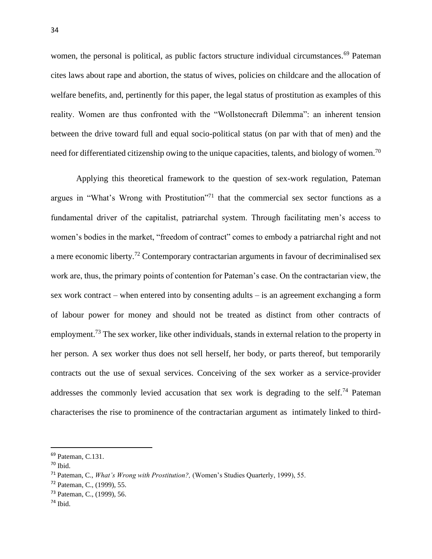women, the personal is political, as public factors structure individual circumstances.<sup>69</sup> Pateman cites laws about rape and abortion, the status of wives, policies on childcare and the allocation of welfare benefits, and, pertinently for this paper, the legal status of prostitution as examples of this reality. Women are thus confronted with the "Wollstonecraft Dilemma": an inherent tension between the drive toward full and equal socio-political status (on par with that of men) and the need for differentiated citizenship owing to the unique capacities, talents, and biology of women.<sup>70</sup>

Applying this theoretical framework to the question of sex-work regulation, Pateman argues in "What's Wrong with Prostitution"<sup>71</sup> that the commercial sex sector functions as a fundamental driver of the capitalist, patriarchal system. Through facilitating men's access to women's bodies in the market, "freedom of contract" comes to embody a patriarchal right and not a mere economic liberty.<sup>72</sup> Contemporary contractarian arguments in favour of decriminalised sex work are, thus, the primary points of contention for Pateman's case. On the contractarian view, the sex work contract – when entered into by consenting adults – is an agreement exchanging a form of labour power for money and should not be treated as distinct from other contracts of employment.<sup>73</sup> The sex worker, like other individuals, stands in external relation to the property in her person. A sex worker thus does not sell herself, her body, or parts thereof, but temporarily contracts out the use of sexual services. Conceiving of the sex worker as a service-provider addresses the commonly levied accusation that sex work is degrading to the self.<sup>74</sup> Pateman characterises the rise to prominence of the contractarian argument as intimately linked to third-

<sup>69</sup> Pateman, C.131.

 $70$  Ibid.

<sup>71</sup> Pateman, C., *What's Wrong with Prostitution?,* (Women's Studies Quarterly, 1999), 55.

<sup>72</sup> Pateman, C., (1999), 55.

<sup>73</sup> Pateman, C., (1999), 56.

<sup>74</sup> Ibid.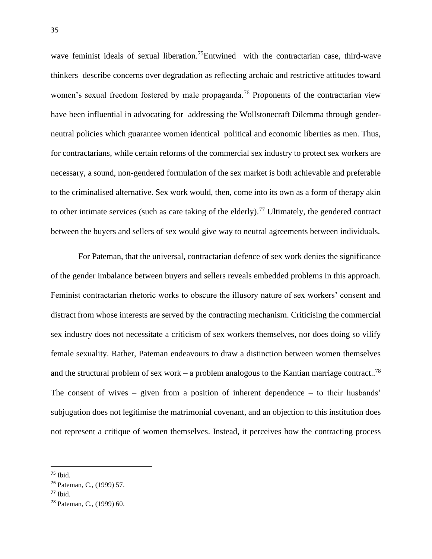wave feminist ideals of sexual liberation.<sup>75</sup>Entwined with the contractarian case, third-wave thinkers describe concerns over degradation as reflecting archaic and restrictive attitudes toward women's sexual freedom fostered by male propaganda.<sup>76</sup> Proponents of the contractarian view have been influential in advocating for addressing the Wollstonecraft Dilemma through genderneutral policies which guarantee women identical political and economic liberties as men. Thus, for contractarians, while certain reforms of the commercial sex industry to protect sex workers are necessary, a sound, non-gendered formulation of the sex market is both achievable and preferable to the criminalised alternative. Sex work would, then, come into its own as a form of therapy akin to other intimate services (such as care taking of the elderly).<sup>77</sup> Ultimately, the gendered contract between the buyers and sellers of sex would give way to neutral agreements between individuals.

For Pateman, that the universal, contractarian defence of sex work denies the significance of the gender imbalance between buyers and sellers reveals embedded problems in this approach. Feminist contractarian rhetoric works to obscure the illusory nature of sex workers' consent and distract from whose interests are served by the contracting mechanism. Criticising the commercial sex industry does not necessitate a criticism of sex workers themselves, nor does doing so vilify female sexuality. Rather, Pateman endeavours to draw a distinction between women themselves and the structural problem of sex work – a problem analogous to the Kantian marriage contract..<sup>78</sup> The consent of wives – given from a position of inherent dependence – to their husbands' subjugation does not legitimise the matrimonial covenant, and an objection to this institution does not represent a critique of women themselves. Instead, it perceives how the contracting process

<sup>75</sup> Ibid.

<sup>76</sup> Pateman, C., (1999) 57.

 $77$  Ibid.

<sup>78</sup> Pateman, C., (1999) 60.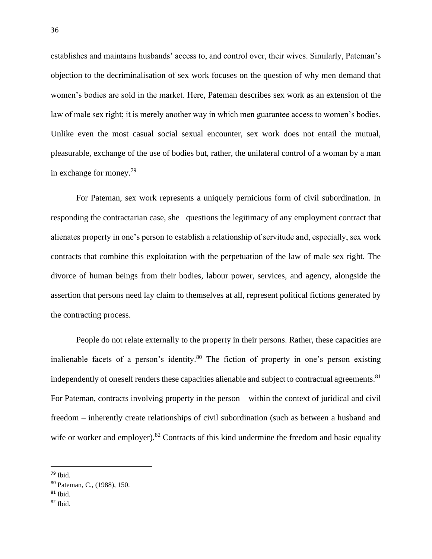establishes and maintains husbands' access to, and control over, their wives. Similarly, Pateman's objection to the decriminalisation of sex work focuses on the question of why men demand that women's bodies are sold in the market. Here, Pateman describes sex work as an extension of the law of male sex right; it is merely another way in which men guarantee access to women's bodies. Unlike even the most casual social sexual encounter, sex work does not entail the mutual, pleasurable, exchange of the use of bodies but, rather, the unilateral control of a woman by a man in exchange for money.<sup>79</sup>

For Pateman, sex work represents a uniquely pernicious form of civil subordination. In responding the contractarian case, she questions the legitimacy of any employment contract that alienates property in one's person to establish a relationship of servitude and, especially, sex work contracts that combine this exploitation with the perpetuation of the law of male sex right. The divorce of human beings from their bodies, labour power, services, and agency, alongside the assertion that persons need lay claim to themselves at all, represent political fictions generated by the contracting process.

People do not relate externally to the property in their persons. Rather, these capacities are inalienable facets of a person's identity.<sup>80</sup> The fiction of property in one's person existing independently of oneself renders these capacities alienable and subject to contractual agreements.<sup>81</sup> For Pateman, contracts involving property in the person – within the context of juridical and civil freedom – inherently create relationships of civil subordination (such as between a husband and wife or worker and employer).<sup>82</sup> Contracts of this kind undermine the freedom and basic equality

<sup>79</sup> Ibid.

<sup>80</sup> Pateman, C., (1988), 150.

 $81$  Ibid.

 $82$  Ibid.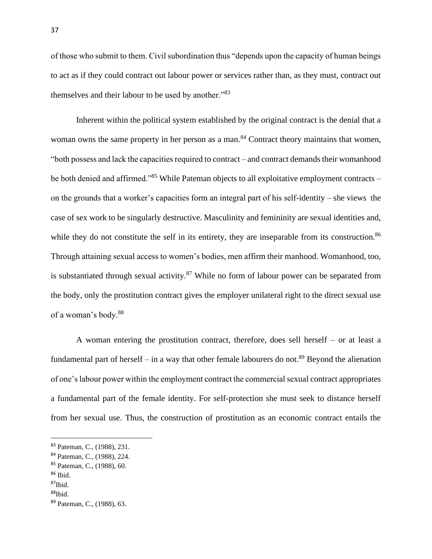of those who submit to them. Civil subordination thus "depends upon the capacity of human beings to act as if they could contract out labour power or services rather than, as they must, contract out themselves and their labour to be used by another."<sup>83</sup>

Inherent within the political system established by the original contract is the denial that a woman owns the same property in her person as a man.<sup>84</sup> Contract theory maintains that women, "both possess and lack the capacities required to contract – and contract demands their womanhood be both denied and affirmed."<sup>85</sup> While Pateman objects to all exploitative employment contracts – on the grounds that a worker's capacities form an integral part of his self-identity – she views the case of sex work to be singularly destructive. Masculinity and femininity are sexual identities and, while they do not constitute the self in its entirety, they are inseparable from its construction.<sup>86</sup> Through attaining sexual access to women's bodies, men affirm their manhood. Womanhood, too, is substantiated through sexual activity. $87$  While no form of labour power can be separated from the body, only the prostitution contract gives the employer unilateral right to the direct sexual use of a woman's body.<sup>88</sup>

A woman entering the prostitution contract, therefore, does sell herself – or at least a fundamental part of herself – in a way that other female labourers do not.<sup>89</sup> Beyond the alienation of one's labour power within the employment contract the commercial sexual contract appropriates a fundamental part of the female identity. For self-protection she must seek to distance herself from her sexual use. Thus, the construction of prostitution as an economic contract entails the

<sup>83</sup> Pateman, C., (1988), 231.

<sup>84</sup> Pateman, C., (1988), 224.

<sup>85</sup> Pateman, C., (1988), 60.

 $86$  Ibid.

<sup>87</sup>Ibid.

<sup>88</sup>Ibid.

<sup>89</sup> Pateman, C., (1988), 63.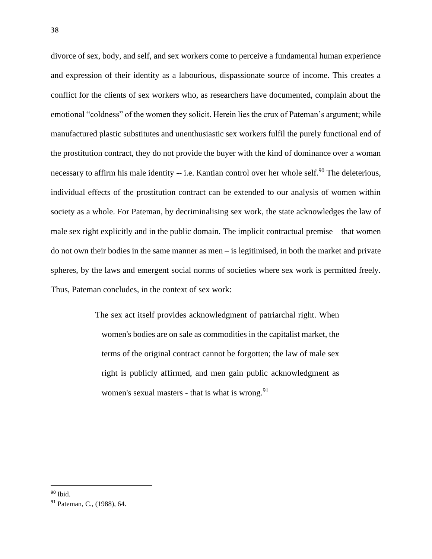divorce of sex, body, and self, and sex workers come to perceive a fundamental human experience and expression of their identity as a labourious, dispassionate source of income. This creates a conflict for the clients of sex workers who, as researchers have documented, complain about the emotional "coldness" of the women they solicit. Herein lies the crux of Pateman's argument; while manufactured plastic substitutes and unenthusiastic sex workers fulfil the purely functional end of the prostitution contract, they do not provide the buyer with the kind of dominance over a woman necessary to affirm his male identity -- i.e. Kantian control over her whole self.<sup>90</sup> The deleterious, individual effects of the prostitution contract can be extended to our analysis of women within society as a whole. For Pateman, by decriminalising sex work, the state acknowledges the law of male sex right explicitly and in the public domain. The implicit contractual premise – that women do not own their bodies in the same manner as men – is legitimised, in both the market and private spheres, by the laws and emergent social norms of societies where sex work is permitted freely. Thus, Pateman concludes, in the context of sex work:

> The sex act itself provides acknowledgment of patriarchal right. When women's bodies are on sale as commodities in the capitalist market, the terms of the original contract cannot be forgotten; the law of male sex right is publicly affirmed, and men gain public acknowledgment as women's sexual masters - that is what is wrong. $91$

<sup>90</sup> Ibid.

<sup>91</sup> Pateman, C., (1988), 64.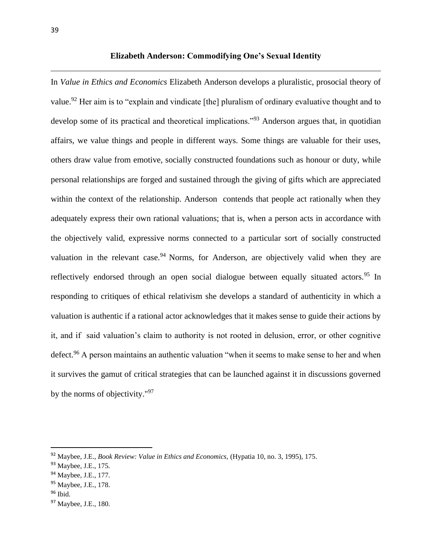**Elizabeth Anderson: Commodifying One's Sexual Identity**

In *Value in Ethics and Economics* Elizabeth Anderson develops a pluralistic, prosocial theory of value.<sup>92</sup> Her aim is to "explain and vindicate [the] pluralism of ordinary evaluative thought and to develop some of its practical and theoretical implications.<sup>"93</sup> Anderson argues that, in quotidian affairs, we value things and people in different ways. Some things are valuable for their uses, others draw value from emotive, socially constructed foundations such as honour or duty, while personal relationships are forged and sustained through the giving of gifts which are appreciated within the context of the relationship. Anderson contends that people act rationally when they adequately express their own rational valuations; that is, when a person acts in accordance with the objectively valid, expressive norms connected to a particular sort of socially constructed valuation in the relevant case.<sup>94</sup> Norms, for Anderson, are objectively valid when they are reflectively endorsed through an open social dialogue between equally situated actors.<sup>95</sup> In responding to critiques of ethical relativism she develops a standard of authenticity in which a valuation is authentic if a rational actor acknowledges that it makes sense to guide their actions by it, and if said valuation's claim to authority is not rooted in delusion, error, or other cognitive defect.<sup>96</sup> A person maintains an authentic valuation "when it seems to make sense to her and when it survives the gamut of critical strategies that can be launched against it in discussions governed by the norms of objectivity."<sup>97</sup>

<sup>92</sup> Maybee, J.E., *Book Review: Value in Ethics and Economics,* (Hypatia 10, no. 3, 1995), 175.

<sup>93</sup> Maybee, J.E., 175.

<sup>94</sup> Maybee, J.E., 177.

<sup>95</sup> Maybee, J.E., 178.

<sup>96</sup> Ibid.

<sup>97</sup> Maybee, J.E., 180.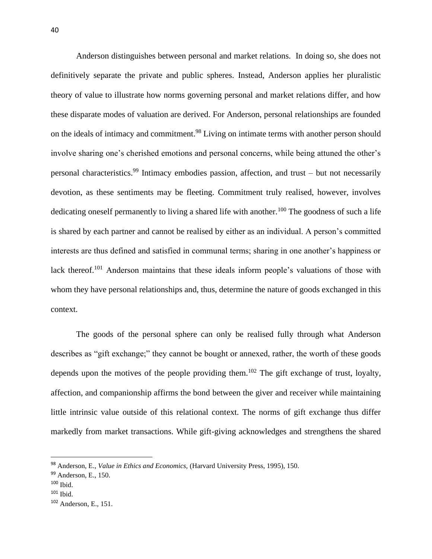Anderson distinguishes between personal and market relations. In doing so, she does not definitively separate the private and public spheres. Instead, Anderson applies her pluralistic theory of value to illustrate how norms governing personal and market relations differ, and how these disparate modes of valuation are derived. For Anderson, personal relationships are founded on the ideals of intimacy and commitment.<sup>98</sup> Living on intimate terms with another person should involve sharing one's cherished emotions and personal concerns, while being attuned the other's personal characteristics.<sup>99</sup> Intimacy embodies passion, affection, and trust – but not necessarily devotion, as these sentiments may be fleeting. Commitment truly realised, however, involves dedicating oneself permanently to living a shared life with another.<sup>100</sup> The goodness of such a life is shared by each partner and cannot be realised by either as an individual. A person's committed interests are thus defined and satisfied in communal terms; sharing in one another's happiness or lack thereof.<sup>101</sup> Anderson maintains that these ideals inform people's valuations of those with whom they have personal relationships and, thus, determine the nature of goods exchanged in this context.

The goods of the personal sphere can only be realised fully through what Anderson describes as "gift exchange;" they cannot be bought or annexed, rather, the worth of these goods depends upon the motives of the people providing them.<sup>102</sup> The gift exchange of trust, loyalty, affection, and companionship affirms the bond between the giver and receiver while maintaining little intrinsic value outside of this relational context. The norms of gift exchange thus differ markedly from market transactions. While gift-giving acknowledges and strengthens the shared

<sup>98</sup> Anderson, E., *Value in Ethics and Economics,* (Harvard University Press, 1995), 150.

<sup>&</sup>lt;sup>99</sup> Anderson, E., 150.

 $100$  Ibid.

<sup>101</sup> Ibid.

<sup>102</sup> Anderson, E., 151.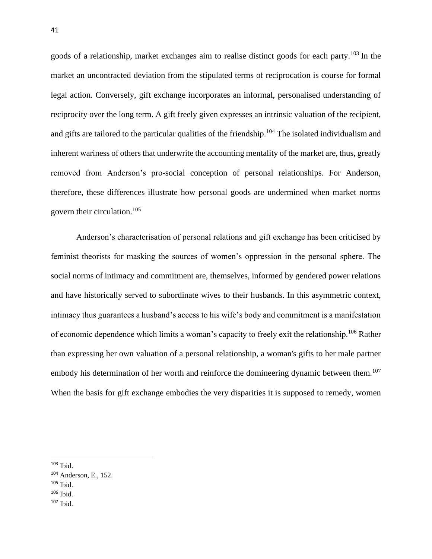goods of a relationship, market exchanges aim to realise distinct goods for each party.<sup>103</sup> In the market an uncontracted deviation from the stipulated terms of reciprocation is course for formal legal action. Conversely, gift exchange incorporates an informal, personalised understanding of reciprocity over the long term. A gift freely given expresses an intrinsic valuation of the recipient, and gifts are tailored to the particular qualities of the friendship.<sup>104</sup> The isolated individualism and inherent wariness of others that underwrite the accounting mentality of the market are, thus, greatly removed from Anderson's pro-social conception of personal relationships. For Anderson, therefore, these differences illustrate how personal goods are undermined when market norms govern their circulation.<sup>105</sup>

Anderson's characterisation of personal relations and gift exchange has been criticised by feminist theorists for masking the sources of women's oppression in the personal sphere. The social norms of intimacy and commitment are, themselves, informed by gendered power relations and have historically served to subordinate wives to their husbands. In this asymmetric context, intimacy thus guarantees a husband's access to his wife's body and commitment is a manifestation of economic dependence which limits a woman's capacity to freely exit the relationship.<sup>106</sup> Rather than expressing her own valuation of a personal relationship, a woman's gifts to her male partner embody his determination of her worth and reinforce the domineering dynamic between them.<sup>107</sup> When the basis for gift exchange embodies the very disparities it is supposed to remedy, women

 $105$  Ibid.

<sup>103</sup> Ibid.

<sup>104</sup> Anderson, E., 152.

<sup>106</sup> Ibid.

 $107$  Ibid.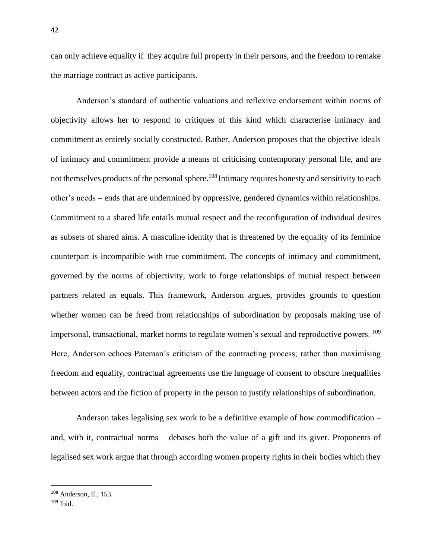can only achieve equality if they acquire full property in their persons, and the freedom to remake the marriage contract as active participants.

Anderson's standard of authentic valuations and reflexive endorsement within norms of objectivity allows her to respond to critiques of this kind which characterise intimacy and commitment as entirely socially constructed. Rather, Anderson proposes that the objective ideals of intimacy and commitment provide a means of criticising contemporary personal life, and are not themselves products of the personal sphere.<sup>108</sup> Intimacy requires honesty and sensitivity to each other's needs – ends that are undermined by oppressive, gendered dynamics within relationships. Commitment to a shared life entails mutual respect and the reconfiguration of individual desires as subsets of shared aims. A masculine identity that is threatened by the equality of its feminine counterpart is incompatible with true commitment. The concepts of intimacy and commitment, governed by the norms of objectivity, work to forge relationships of mutual respect between partners related as equals. This framework, Anderson argues, provides grounds to question whether women can be freed from relationships of subordination by proposals making use of impersonal, transactional, market norms to regulate women's sexual and reproductive powers. <sup>109</sup> Here, Anderson echoes Pateman's criticism of the contracting process; rather than maximising freedom and equality, contractual agreements use the language of consent to obscure inequalities between actors and the fiction of property in the person to justify relationships of subordination.

Anderson takes legalising sex work to be a definitive example of how commodification – and, with it, contractual norms – debases both the value of a gift and its giver. Proponents of legalised sex work argue that through according women property rights in their bodies which they

<sup>108</sup> Anderson, E., 153.

<sup>109</sup> Ibid.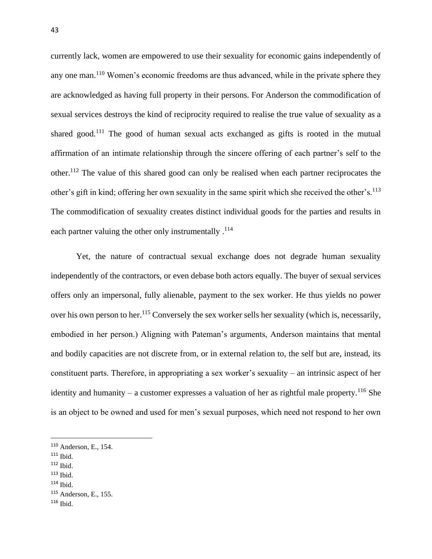currently lack, women are empowered to use their sexuality for economic gains independently of any one man.<sup>110</sup> Women's economic freedoms are thus advanced, while in the private sphere they are acknowledged as having full property in their persons. For Anderson the commodification of sexual services destroys the kind of reciprocity required to realise the true value of sexuality as a shared good.<sup>111</sup> The good of human sexual acts exchanged as gifts is rooted in the mutual affirmation of an intimate relationship through the sincere offering of each partner's self to the other.<sup>112</sup> The value of this shared good can only be realised when each partner reciprocates the other's gift in kind; offering her own sexuality in the same spirit which she received the other's.<sup>113</sup> The commodification of sexuality creates distinct individual goods for the parties and results in each partner valuing the other only instrumentally .<sup>114</sup>

Yet, the nature of contractual sexual exchange does not degrade human sexuality independently of the contractors, or even debase both actors equally. The buyer of sexual services offers only an impersonal, fully alienable, payment to the sex worker. He thus yields no power over his own person to her.<sup>115</sup> Conversely the sex worker sells her sexuality (which is, necessarily, embodied in her person.) Aligning with Pateman's arguments, Anderson maintains that mental and bodily capacities are not discrete from, or in external relation to, the self but are, instead, its constituent parts. Therefore, in appropriating a sex worker's sexuality – an intrinsic aspect of her identity and humanity – a customer expresses a valuation of her as rightful male property.<sup>116</sup> She is an object to be owned and used for men's sexual purposes, which need not respond to her own

 $112$  Ibid.

 $114$  Ibid.

<sup>110</sup> Anderson, E., 154.

 $111$  Ibid.

 $113$  Ibid.

<sup>115</sup> Anderson, E., 155.

 $116$  Ibid.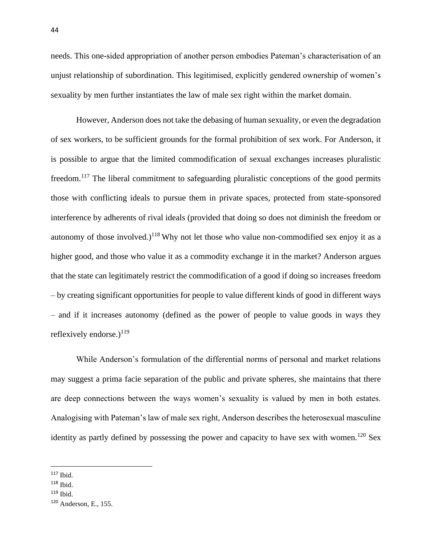needs. This one-sided appropriation of another person embodies Pateman's characterisation of an unjust relationship of subordination. This legitimised, explicitly gendered ownership of women's sexuality by men further instantiates the law of male sex right within the market domain.

However, Anderson does not take the debasing of human sexuality, or even the degradation of sex workers, to be sufficient grounds for the formal prohibition of sex work. For Anderson, it is possible to argue that the limited commodification of sexual exchanges increases pluralistic freedom.<sup>117</sup> The liberal commitment to safeguarding pluralistic conceptions of the good permits those with conflicting ideals to pursue them in private spaces, protected from state-sponsored interference by adherents of rival ideals (provided that doing so does not diminish the freedom or autonomy of those involved.)<sup>118</sup> Why not let those who value non-commodified sex enjoy it as a higher good, and those who value it as a commodity exchange it in the market? Anderson argues that the state can legitimately restrict the commodification of a good if doing so increases freedom – by creating significant opportunities for people to value different kinds of good in different ways – and if it increases autonomy (defined as the power of people to value goods in ways they reflexively endorse.) $119$ 

While Anderson's formulation of the differential norms of personal and market relations may suggest a prima facie separation of the public and private spheres, she maintains that there are deep connections between the ways women's sexuality is valued by men in both estates. Analogising with Pateman's law of male sex right, Anderson describes the heterosexual masculine identity as partly defined by possessing the power and capacity to have sex with women.<sup>120</sup> Sex

<sup>117</sup> Ibid.

<sup>118</sup> Ibid.

<sup>119</sup> Ibid.

<sup>120</sup> Anderson, E., 155.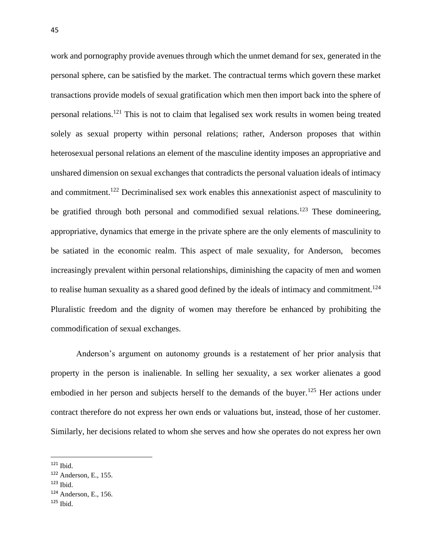work and pornography provide avenues through which the unmet demand for sex, generated in the personal sphere, can be satisfied by the market. The contractual terms which govern these market transactions provide models of sexual gratification which men then import back into the sphere of personal relations.<sup>121</sup> This is not to claim that legalised sex work results in women being treated solely as sexual property within personal relations; rather, Anderson proposes that within heterosexual personal relations an element of the masculine identity imposes an appropriative and unshared dimension on sexual exchanges that contradicts the personal valuation ideals of intimacy and commitment.<sup>122</sup> Decriminalised sex work enables this annexationist aspect of masculinity to be gratified through both personal and commodified sexual relations.<sup>123</sup> These domineering, appropriative, dynamics that emerge in the private sphere are the only elements of masculinity to be satiated in the economic realm. This aspect of male sexuality, for Anderson, becomes increasingly prevalent within personal relationships, diminishing the capacity of men and women to realise human sexuality as a shared good defined by the ideals of intimacy and commitment.<sup>124</sup> Pluralistic freedom and the dignity of women may therefore be enhanced by prohibiting the commodification of sexual exchanges.

Anderson's argument on autonomy grounds is a restatement of her prior analysis that property in the person is inalienable. In selling her sexuality, a sex worker alienates a good embodied in her person and subjects herself to the demands of the buyer.<sup>125</sup> Her actions under contract therefore do not express her own ends or valuations but, instead, those of her customer. Similarly, her decisions related to whom she serves and how she operates do not express her own

 $121$  Ibid.

<sup>122</sup> Anderson, E., 155.

 $123$  Ibid.

<sup>124</sup> Anderson, E., 156.

 $125$  Ibid.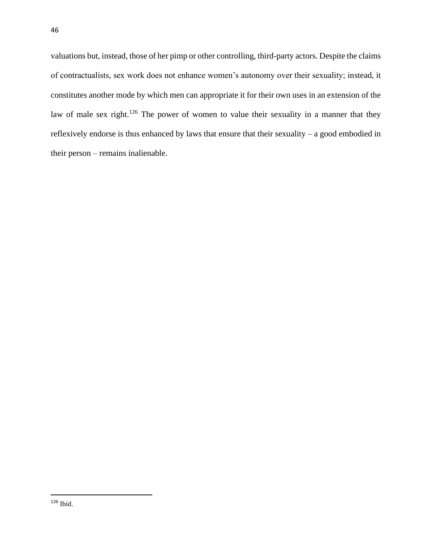valuations but, instead, those of her pimp or other controlling, third-party actors. Despite the claims of contractualists, sex work does not enhance women's autonomy over their sexuality; instead, it constitutes another mode by which men can appropriate it for their own uses in an extension of the law of male sex right.<sup>126</sup> The power of women to value their sexuality in a manner that they reflexively endorse is thus enhanced by laws that ensure that their sexuality – a good embodied in their person – remains inalienable.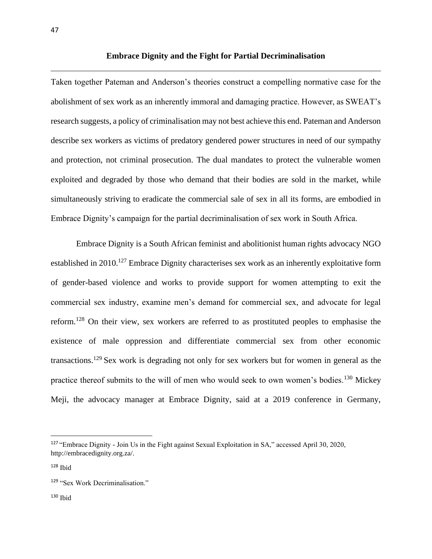Taken together Pateman and Anderson's theories construct a compelling normative case for the abolishment of sex work as an inherently immoral and damaging practice. However, as SWEAT's research suggests, a policy of criminalisation may not best achieve this end. Pateman and Anderson describe sex workers as victims of predatory gendered power structures in need of our sympathy and protection, not criminal prosecution. The dual mandates to protect the vulnerable women exploited and degraded by those who demand that their bodies are sold in the market, while simultaneously striving to eradicate the commercial sale of sex in all its forms, are embodied in Embrace Dignity's campaign for the partial decriminalisation of sex work in South Africa.

Embrace Dignity is a South African feminist and abolitionist human rights advocacy NGO established in 2010.<sup>127</sup> Embrace Dignity characterises sex work as an inherently exploitative form of gender-based violence and works to provide support for women attempting to exit the commercial sex industry, examine men's demand for commercial sex, and advocate for legal reform.<sup>128</sup> On their view, sex workers are referred to as prostituted peoples to emphasise the existence of male oppression and differentiate commercial sex from other economic transactions.<sup>129</sup> Sex work is degrading not only for sex workers but for women in general as the practice thereof submits to the will of men who would seek to own women's bodies.<sup>130</sup> Mickey Meji, the advocacy manager at Embrace Dignity, said at a 2019 conference in Germany,

<sup>127</sup> "Embrace Dignity - [Join Us in the Fight against Sexual Exploitation in SA," accessed April 30, 2020,](https://www.zotero.org/google-docs/?Oayxlf)  [http://embracedignity.org.za/.](https://www.zotero.org/google-docs/?Oayxlf)

 $128$  Ibid

<sup>&</sup>lt;sup>129</sup> ["Sex Work Decriminalisation."](https://www.zotero.org/google-docs/?W7HBfK)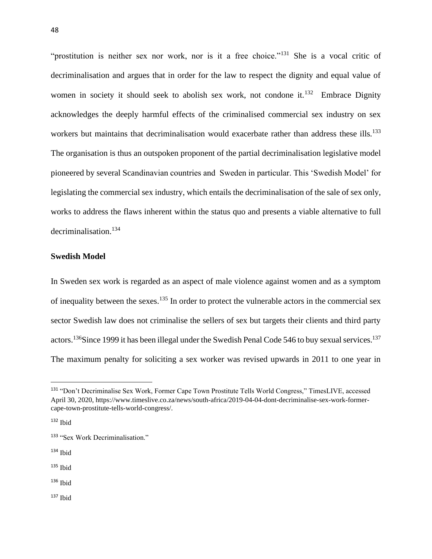"prostitution is neither sex nor work, nor is it a free choice."<sup>131</sup> She is a vocal critic of decriminalisation and argues that in order for the law to respect the dignity and equal value of women in society it should seek to abolish sex work, not condone it.<sup>132</sup> Embrace Dignity acknowledges the deeply harmful effects of the criminalised commercial sex industry on sex workers but maintains that decriminalisation would exacerbate rather than address these ills.<sup>133</sup> The organisation is thus an outspoken proponent of the partial decriminalisation legislative model pioneered by several Scandinavian countries and Sweden in particular. This 'Swedish Model' for legislating the commercial sex industry, which entails the decriminalisation of the sale of sex only, works to address the flaws inherent within the status quo and presents a viable alternative to full decriminalisation.<sup>134</sup>

### **Swedish Model**

In Sweden sex work is regarded as an aspect of male violence against women and as a symptom of inequality between the sexes.<sup>135</sup> In order to protect the vulnerable actors in the commercial sex sector Swedish law does not criminalise the sellers of sex but targets their clients and third party actors.<sup>136</sup>Since 1999 it has been illegal under the Swedish Penal Code 546 to buy sexual services.<sup>137</sup> The maximum penalty for soliciting a sex worker was revised upwards in 2011 to one year in

 $134$  Ibid

 $135$  Ibid

 $136$  Ibid

 $137$  Ibid

<sup>131</sup> ["Don't Decriminalise Sex Work, Former Cape Town Prostitute Tells World Congress," TimesLIVE, accessed](https://www.zotero.org/google-docs/?z0U85p)  [April 30, 2020, https://www.timeslive.co.za/news/south-africa/2019-04-04-dont-decriminalise-sex-work-former](https://www.zotero.org/google-docs/?z0U85p)[cape-town-prostitute-tells-world-congress/.](https://www.zotero.org/google-docs/?z0U85p)

<sup>132</sup> Ibid

<sup>133</sup> ["Sex Work Decriminalisation."](https://www.zotero.org/google-docs/?G6ulCH)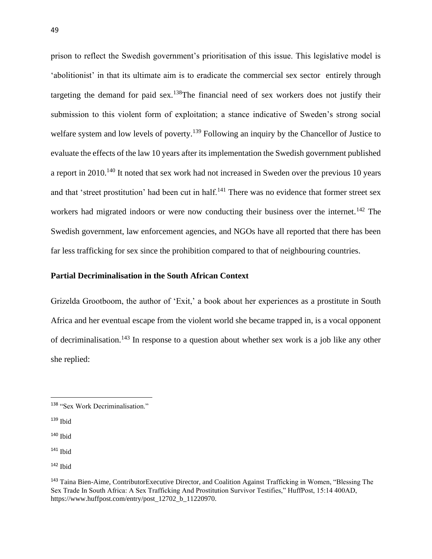prison to reflect the Swedish government's prioritisation of this issue. This legislative model is 'abolitionist' in that its ultimate aim is to eradicate the commercial sex sector entirely through targeting the demand for paid sex.<sup>138</sup>The financial need of sex workers does not justify their submission to this violent form of exploitation; a stance indicative of Sweden's strong social welfare system and low levels of poverty.<sup>139</sup> Following an inquiry by the Chancellor of Justice to evaluate the effects of the law 10 years after its implementation the Swedish government published a report in 2010.<sup>140</sup> It noted that sex work had not increased in Sweden over the previous 10 years and that 'street prostitution' had been cut in half.<sup>141</sup> There was no evidence that former street sex workers had migrated indoors or were now conducting their business over the internet.<sup>142</sup> The Swedish government, law enforcement agencies, and NGOs have all reported that there has been far less trafficking for sex since the prohibition compared to that of neighbouring countries.

### **Partial Decriminalisation in the South African Context**

Grizelda Grootboom, the author of 'Exit,' a book about her experiences as a prostitute in South Africa and her eventual escape from the violent world she became trapped in, is a vocal opponent of decriminalisation.<sup>143</sup> In response to a question about whether sex work is a job like any other she replied:

<sup>138</sup> ["Sex Work Decriminalisation."](https://www.zotero.org/google-docs/?j9kGTK)

 $139$  Ibid

 $140$  Ibid

<sup>141</sup> Ibid

<sup>142</sup> Ibid

<sup>143</sup> [Taina Bien-Aime, ContributorExecutive Director, and Coalition Against Trafficking in Women, "Blessing The](https://www.zotero.org/google-docs/?IDNyML)  [Sex Trade In South Africa: A Sex Trafficking And Prostitution Survivor Testifies," HuffPost, 15:14 400AD,](https://www.zotero.org/google-docs/?IDNyML)  [https://www.huffpost.com/entry/post\\_12702\\_b\\_11220970.](https://www.zotero.org/google-docs/?IDNyML)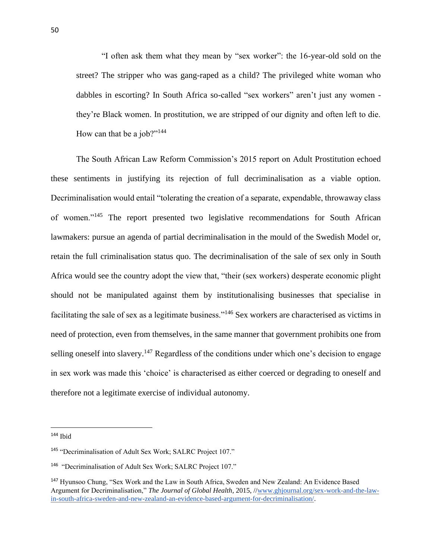"I often ask them what they mean by "sex worker": the 16-year-old sold on the street? The stripper who was gang-raped as a child? The privileged white woman who dabbles in escorting? In South Africa so-called "sex workers" aren't just any women they're Black women. In prostitution, we are stripped of our dignity and often left to die. How can that be a job?"<sup>144</sup>

The South African Law Reform Commission's 2015 report on Adult Prostitution echoed these sentiments in justifying its rejection of full decriminalisation as a viable option. Decriminalisation would entail "tolerating the creation of a separate, expendable, throwaway class of women."<sup>145</sup> The report presented two legislative recommendations for South African lawmakers: pursue an agenda of partial decriminalisation in the mould of the Swedish Model or, retain the full criminalisation status quo. The decriminalisation of the sale of sex only in South Africa would see the country adopt the view that, "their (sex workers) desperate economic plight should not be manipulated against them by institutionalising businesses that specialise in facilitating the sale of sex as a legitimate business."<sup>146</sup> Sex workers are characterised as victims in need of protection, even from themselves, in the same manner that government prohibits one from selling oneself into slavery.<sup>147</sup> Regardless of the conditions under which one's decision to engage in sex work was made this 'choice' is characterised as either coerced or degrading to oneself and therefore not a legitimate exercise of individual autonomy.

 $144$  Ibid

<sup>145</sup> ["Decriminalisation of Adult Sex Work; SALRC Project 107."](https://www.zotero.org/google-docs/?1GQbn3)

<sup>&</sup>lt;sup>146</sup> ["Decriminalisation of Adult Sex Work; SALRC Project 107."](https://www.zotero.org/google-docs/?1GQbn3)

<sup>147</sup> [Hyunsoo Chung, "Sex Work and the Law in South Africa, Sweden and New Zealand: An Evidence Based](https://www.zotero.org/google-docs/?ZWe5mO)  [Argument for Decriminalisation,"](https://www.zotero.org/google-docs/?ZWe5mO) *[The Journal of Global Health](https://www.zotero.org/google-docs/?ZWe5mO)*[, 2015, //](https://www.zotero.org/google-docs/?ZWe5mO)[www.ghjournal.org/sex-work-and-the-law](http://www.ghjournal.org/sex-work-and-the-law-in-south-africa-sweden-and-new-zealand-an-evidence-based-argument-for-decriminalization/)[in-south-africa-sweden-and-new-zealand-an-evidence-based-argument-for-decriminalisation/](http://www.ghjournal.org/sex-work-and-the-law-in-south-africa-sweden-and-new-zealand-an-evidence-based-argument-for-decriminalization/)[.](https://www.zotero.org/google-docs/?LHKyis)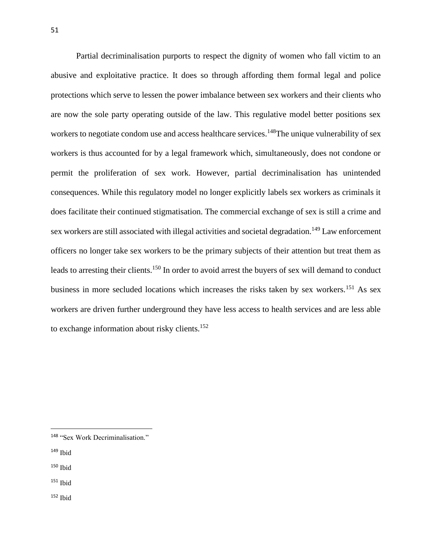Partial decriminalisation purports to respect the dignity of women who fall victim to an abusive and exploitative practice. It does so through affording them formal legal and police protections which serve to lessen the power imbalance between sex workers and their clients who are now the sole party operating outside of the law. This regulative model better positions sex workers to negotiate condom use and access healthcare services.<sup>148</sup>The unique vulnerability of sex workers is thus accounted for by a legal framework which, simultaneously, does not condone or permit the proliferation of sex work. However, partial decriminalisation has unintended consequences. While this regulatory model no longer explicitly labels sex workers as criminals it does facilitate their continued stigmatisation. The commercial exchange of sex is still a crime and sex workers are still associated with illegal activities and societal degradation.<sup>149</sup> Law enforcement officers no longer take sex workers to be the primary subjects of their attention but treat them as leads to arresting their clients.<sup>150</sup> In order to avoid arrest the buyers of sex will demand to conduct business in more secluded locations which increases the risks taken by sex workers.<sup>151</sup> As sex workers are driven further underground they have less access to health services and are less able to exchange information about risky clients.<sup>152</sup>

 $152$  Ibid

<sup>148</sup> ["Sex Work Decriminalisation."](https://www.zotero.org/google-docs/?6sMEqn)

 $149$  Ibid

 $150$  Ibid

 $151$  Ibid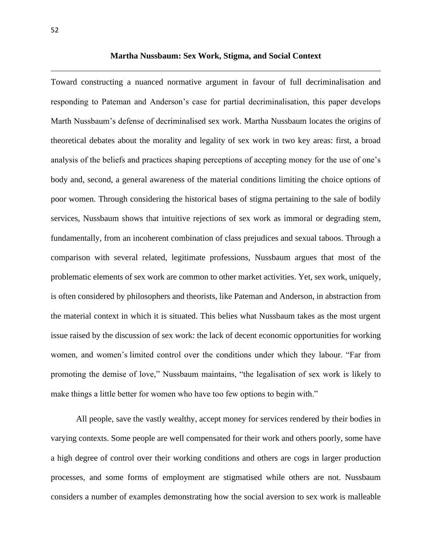Toward constructing a nuanced normative argument in favour of full decriminalisation and responding to Pateman and Anderson's case for partial decriminalisation, this paper develops Marth Nussbaum's defense of decriminalised sex work. Martha Nussbaum locates the origins of theoretical debates about the morality and legality of sex work in two key areas: first, a broad analysis of the beliefs and practices shaping perceptions of accepting money for the use of one's body and, second, a general awareness of the material conditions limiting the choice options of poor women. Through considering the historical bases of stigma pertaining to the sale of bodily services, Nussbaum shows that intuitive rejections of sex work as immoral or degrading stem, fundamentally, from an incoherent combination of class prejudices and sexual taboos. Through a comparison with several related, legitimate professions, Nussbaum argues that most of the problematic elements of sex work are common to other market activities. Yet, sex work, uniquely, is often considered by philosophers and theorists, like Pateman and Anderson, in abstraction from the material context in which it is situated. This belies what Nussbaum takes as the most urgent issue raised by the discussion of sex work: the lack of decent economic opportunities for working women, and women's limited control over the conditions under which they labour. "Far from promoting the demise of love," Nussbaum maintains, "the legalisation of sex work is likely to make things a little better for women who have too few options to begin with."

All people, save the vastly wealthy, accept money for services rendered by their bodies in varying contexts. Some people are well compensated for their work and others poorly, some have a high degree of control over their working conditions and others are cogs in larger production processes, and some forms of employment are stigmatised while others are not. Nussbaum considers a number of examples demonstrating how the social aversion to sex work is malleable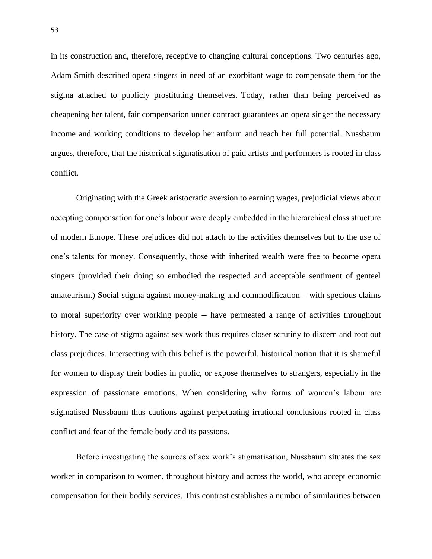in its construction and, therefore, receptive to changing cultural conceptions. Two centuries ago, Adam Smith described opera singers in need of an exorbitant wage to compensate them for the stigma attached to publicly prostituting themselves. Today, rather than being perceived as cheapening her talent, fair compensation under contract guarantees an opera singer the necessary income and working conditions to develop her artform and reach her full potential. Nussbaum argues, therefore, that the historical stigmatisation of paid artists and performers is rooted in class conflict.

Originating with the Greek aristocratic aversion to earning wages, prejudicial views about accepting compensation for one's labour were deeply embedded in the hierarchical class structure of modern Europe. These prejudices did not attach to the activities themselves but to the use of one's talents for money. Consequently, those with inherited wealth were free to become opera singers (provided their doing so embodied the respected and acceptable sentiment of genteel amateurism.) Social stigma against money-making and commodification – with specious claims to moral superiority over working people -- have permeated a range of activities throughout history. The case of stigma against sex work thus requires closer scrutiny to discern and root out class prejudices. Intersecting with this belief is the powerful, historical notion that it is shameful for women to display their bodies in public, or expose themselves to strangers, especially in the expression of passionate emotions. When considering why forms of women's labour are stigmatised Nussbaum thus cautions against perpetuating irrational conclusions rooted in class conflict and fear of the female body and its passions.

Before investigating the sources of sex work's stigmatisation, Nussbaum situates the sex worker in comparison to women, throughout history and across the world, who accept economic compensation for their bodily services. This contrast establishes a number of similarities between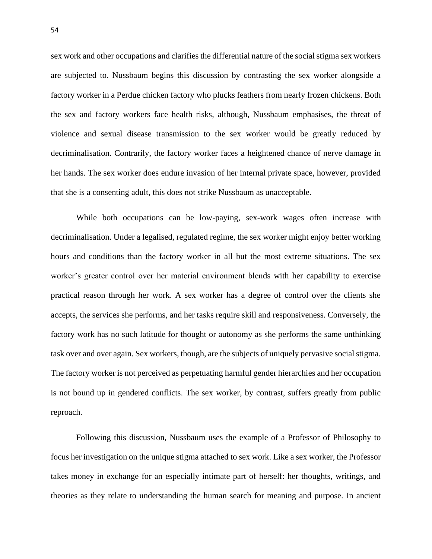sex work and other occupations and clarifies the differential nature of the social stigma sex workers are subjected to. Nussbaum begins this discussion by contrasting the sex worker alongside a factory worker in a Perdue chicken factory who plucks feathers from nearly frozen chickens. Both the sex and factory workers face health risks, although, Nussbaum emphasises, the threat of violence and sexual disease transmission to the sex worker would be greatly reduced by decriminalisation. Contrarily, the factory worker faces a heightened chance of nerve damage in her hands. The sex worker does endure invasion of her internal private space, however, provided that she is a consenting adult, this does not strike Nussbaum as unacceptable.

While both occupations can be low-paying, sex-work wages often increase with decriminalisation. Under a legalised, regulated regime, the sex worker might enjoy better working hours and conditions than the factory worker in all but the most extreme situations. The sex worker's greater control over her material environment blends with her capability to exercise practical reason through her work. A sex worker has a degree of control over the clients she accepts, the services she performs, and her tasks require skill and responsiveness. Conversely, the factory work has no such latitude for thought or autonomy as she performs the same unthinking task over and over again. Sex workers, though, are the subjects of uniquely pervasive social stigma. The factory worker is not perceived as perpetuating harmful gender hierarchies and her occupation is not bound up in gendered conflicts. The sex worker, by contrast, suffers greatly from public reproach.

Following this discussion, Nussbaum uses the example of a Professor of Philosophy to focus her investigation on the unique stigma attached to sex work. Like a sex worker, the Professor takes money in exchange for an especially intimate part of herself: her thoughts, writings, and theories as they relate to understanding the human search for meaning and purpose. In ancient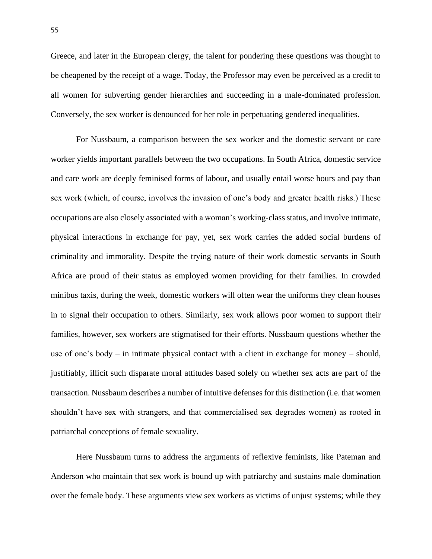Greece, and later in the European clergy, the talent for pondering these questions was thought to be cheapened by the receipt of a wage. Today, the Professor may even be perceived as a credit to all women for subverting gender hierarchies and succeeding in a male-dominated profession. Conversely, the sex worker is denounced for her role in perpetuating gendered inequalities.

For Nussbaum, a comparison between the sex worker and the domestic servant or care worker yields important parallels between the two occupations. In South Africa, domestic service and care work are deeply feminised forms of labour, and usually entail worse hours and pay than sex work (which, of course, involves the invasion of one's body and greater health risks.) These occupations are also closely associated with a woman's working-class status, and involve intimate, physical interactions in exchange for pay, yet, sex work carries the added social burdens of criminality and immorality. Despite the trying nature of their work domestic servants in South Africa are proud of their status as employed women providing for their families. In crowded minibus taxis, during the week, domestic workers will often wear the uniforms they clean houses in to signal their occupation to others. Similarly, sex work allows poor women to support their families, however, sex workers are stigmatised for their efforts. Nussbaum questions whether the use of one's body – in intimate physical contact with a client in exchange for money – should, justifiably, illicit such disparate moral attitudes based solely on whether sex acts are part of the transaction. Nussbaum describes a number of intuitive defenses for this distinction (i.e. that women shouldn't have sex with strangers, and that commercialised sex degrades women) as rooted in patriarchal conceptions of female sexuality.

Here Nussbaum turns to address the arguments of reflexive feminists, like Pateman and Anderson who maintain that sex work is bound up with patriarchy and sustains male domination over the female body. These arguments view sex workers as victims of unjust systems; while they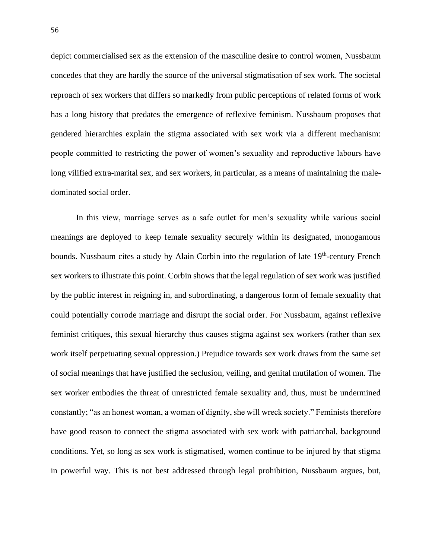depict commercialised sex as the extension of the masculine desire to control women, Nussbaum concedes that they are hardly the source of the universal stigmatisation of sex work. The societal reproach of sex workers that differs so markedly from public perceptions of related forms of work has a long history that predates the emergence of reflexive feminism. Nussbaum proposes that gendered hierarchies explain the stigma associated with sex work via a different mechanism: people committed to restricting the power of women's sexuality and reproductive labours have long vilified extra-marital sex, and sex workers, in particular, as a means of maintaining the maledominated social order.

In this view, marriage serves as a safe outlet for men's sexuality while various social meanings are deployed to keep female sexuality securely within its designated, monogamous bounds. Nussbaum cites a study by Alain Corbin into the regulation of late 19<sup>th</sup>-century French sex workers to illustrate this point. Corbin shows that the legal regulation of sex work was justified by the public interest in reigning in, and subordinating, a dangerous form of female sexuality that could potentially corrode marriage and disrupt the social order. For Nussbaum, against reflexive feminist critiques, this sexual hierarchy thus causes stigma against sex workers (rather than sex work itself perpetuating sexual oppression.) Prejudice towards sex work draws from the same set of social meanings that have justified the seclusion, veiling, and genital mutilation of women. The sex worker embodies the threat of unrestricted female sexuality and, thus, must be undermined constantly; "as an honest woman, a woman of dignity, she will wreck society." Feminists therefore have good reason to connect the stigma associated with sex work with patriarchal, background conditions. Yet, so long as sex work is stigmatised, women continue to be injured by that stigma in powerful way. This is not best addressed through legal prohibition, Nussbaum argues, but,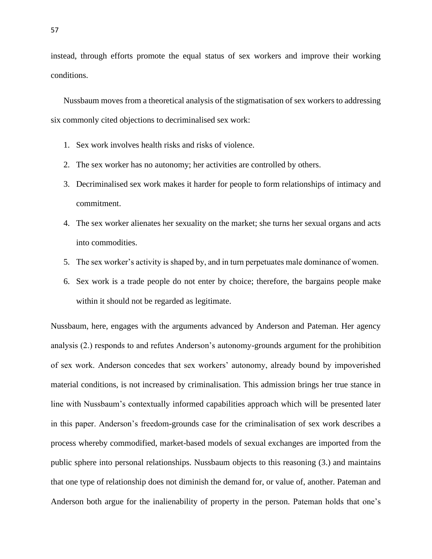instead, through efforts promote the equal status of sex workers and improve their working conditions.

Nussbaum moves from a theoretical analysis of the stigmatisation of sex workers to addressing six commonly cited objections to decriminalised sex work:

- 1. Sex work involves health risks and risks of violence.
- 2. The sex worker has no autonomy; her activities are controlled by others.
- 3. Decriminalised sex work makes it harder for people to form relationships of intimacy and commitment.
- 4. The sex worker alienates her sexuality on the market; she turns her sexual organs and acts into commodities.
- 5. The sex worker's activity is shaped by, and in turn perpetuates male dominance of women.
- 6. Sex work is a trade people do not enter by choice; therefore, the bargains people make within it should not be regarded as legitimate.

Nussbaum, here, engages with the arguments advanced by Anderson and Pateman. Her agency analysis (2.) responds to and refutes Anderson's autonomy-grounds argument for the prohibition of sex work. Anderson concedes that sex workers' autonomy, already bound by impoverished material conditions, is not increased by criminalisation. This admission brings her true stance in line with Nussbaum's contextually informed capabilities approach which will be presented later in this paper. Anderson's freedom-grounds case for the criminalisation of sex work describes a process whereby commodified, market-based models of sexual exchanges are imported from the public sphere into personal relationships. Nussbaum objects to this reasoning (3.) and maintains that one type of relationship does not diminish the demand for, or value of, another. Pateman and Anderson both argue for the inalienability of property in the person. Pateman holds that one's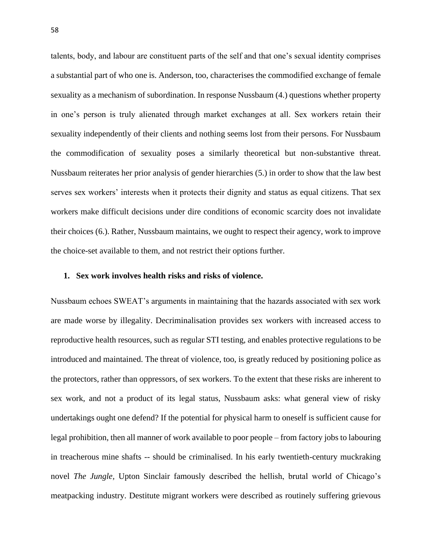talents, body, and labour are constituent parts of the self and that one's sexual identity comprises a substantial part of who one is. Anderson, too, characterises the commodified exchange of female sexuality as a mechanism of subordination. In response Nussbaum (4.) questions whether property in one's person is truly alienated through market exchanges at all. Sex workers retain their sexuality independently of their clients and nothing seems lost from their persons. For Nussbaum the commodification of sexuality poses a similarly theoretical but non-substantive threat. Nussbaum reiterates her prior analysis of gender hierarchies (5.) in order to show that the law best serves sex workers' interests when it protects their dignity and status as equal citizens. That sex workers make difficult decisions under dire conditions of economic scarcity does not invalidate their choices (6.). Rather, Nussbaum maintains, we ought to respect their agency, work to improve the choice-set available to them, and not restrict their options further.

#### **1. Sex work involves health risks and risks of violence.**

Nussbaum echoes SWEAT's arguments in maintaining that the hazards associated with sex work are made worse by illegality. Decriminalisation provides sex workers with increased access to reproductive health resources, such as regular STI testing, and enables protective regulations to be introduced and maintained. The threat of violence, too, is greatly reduced by positioning police as the protectors, rather than oppressors, of sex workers. To the extent that these risks are inherent to sex work, and not a product of its legal status, Nussbaum asks: what general view of risky undertakings ought one defend? If the potential for physical harm to oneself is sufficient cause for legal prohibition, then all manner of work available to poor people – from factory jobs to labouring in treacherous mine shafts -- should be criminalised. In his early twentieth-century muckraking novel *The Jungle,* Upton Sinclair famously described the hellish, brutal world of Chicago's meatpacking industry. Destitute migrant workers were described as routinely suffering grievous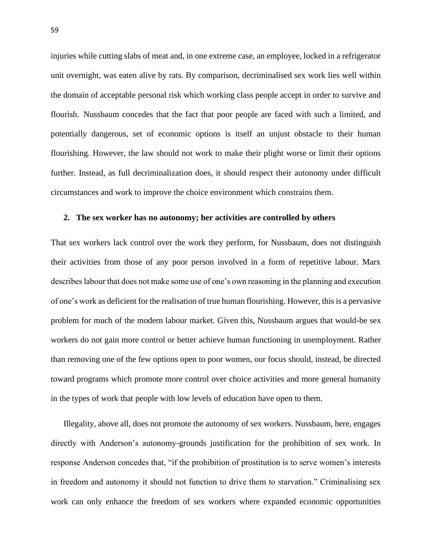injuries while cutting slabs of meat and, in one extreme case, an employee, locked in a refrigerator unit overnight, was eaten alive by rats. By comparison, decriminalised sex work lies well within the domain of acceptable personal risk which working class people accept in order to survive and flourish. Nussbaum concedes that the fact that poor people are faced with such a limited, and potentially dangerous, set of economic options is itself an unjust obstacle to their human flourishing. However, the law should not work to make their plight worse or limit their options further. Instead, as full decriminalization does, it should respect their autonomy under difficult circumstances and work to improve the choice environment which constrains them.

#### **2. The sex worker has no autonomy; her activities are controlled by others**

That sex workers lack control over the work they perform, for Nussbaum, does not distinguish their activities from those of any poor person involved in a form of repetitive labour. Marx describes labour that does not make some use of one's own reasoning in the planning and execution of one's work as deficient for the realisation of true human flourishing. However, this is a pervasive problem for much of the modern labour market. Given this, Nussbaum argues that would-be sex workers do not gain more control or better achieve human functioning in unemployment. Rather than removing one of the few options open to poor women, our focus should, instead, be directed toward programs which promote more control over choice activities and more general humanity in the types of work that people with low levels of education have open to them.

Illegality, above all, does not promote the autonomy of sex workers. Nussbaum, here, engages directly with Anderson's autonomy-grounds justification for the prohibition of sex work. In response Anderson concedes that, "if the prohibition of prostitution is to serve women's interests in freedom and autonomy it should not function to drive them to starvation." Criminalising sex work can only enhance the freedom of sex workers where expanded economic opportunities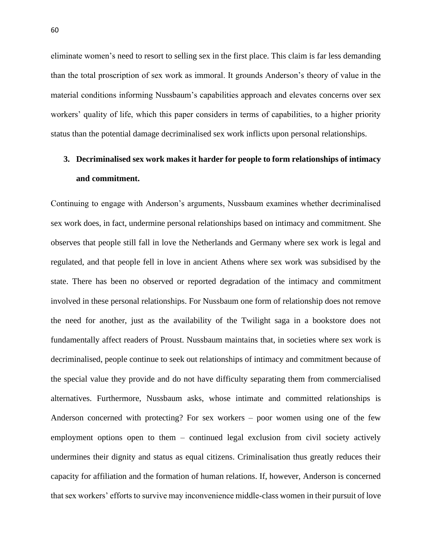eliminate women's need to resort to selling sex in the first place. This claim is far less demanding than the total proscription of sex work as immoral. It grounds Anderson's theory of value in the material conditions informing Nussbaum's capabilities approach and elevates concerns over sex workers' quality of life, which this paper considers in terms of capabilities, to a higher priority status than the potential damage decriminalised sex work inflicts upon personal relationships.

## **3. Decriminalised sex work makes it harder for people to form relationships of intimacy and commitment.**

Continuing to engage with Anderson's arguments, Nussbaum examines whether decriminalised sex work does, in fact, undermine personal relationships based on intimacy and commitment. She observes that people still fall in love the Netherlands and Germany where sex work is legal and regulated, and that people fell in love in ancient Athens where sex work was subsidised by the state. There has been no observed or reported degradation of the intimacy and commitment involved in these personal relationships. For Nussbaum one form of relationship does not remove the need for another, just as the availability of the Twilight saga in a bookstore does not fundamentally affect readers of Proust. Nussbaum maintains that, in societies where sex work is decriminalised, people continue to seek out relationships of intimacy and commitment because of the special value they provide and do not have difficulty separating them from commercialised alternatives. Furthermore, Nussbaum asks, whose intimate and committed relationships is Anderson concerned with protecting? For sex workers – poor women using one of the few employment options open to them – continued legal exclusion from civil society actively undermines their dignity and status as equal citizens. Criminalisation thus greatly reduces their capacity for affiliation and the formation of human relations. If, however, Anderson is concerned that sex workers' efforts to survive may inconvenience middle-class women in their pursuit of love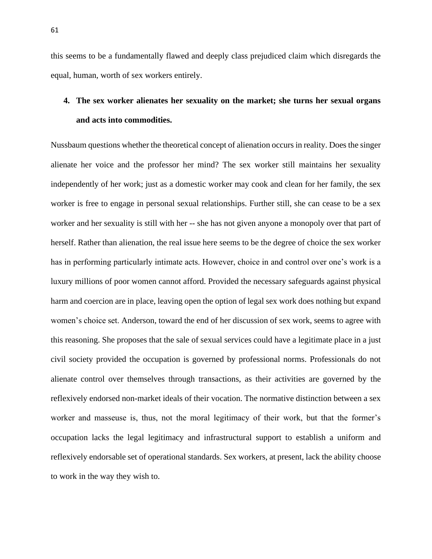this seems to be a fundamentally flawed and deeply class prejudiced claim which disregards the equal, human, worth of sex workers entirely.

## **4. The sex worker alienates her sexuality on the market; she turns her sexual organs and acts into commodities.**

Nussbaum questions whether the theoretical concept of alienation occurs in reality. Does the singer alienate her voice and the professor her mind? The sex worker still maintains her sexuality independently of her work; just as a domestic worker may cook and clean for her family, the sex worker is free to engage in personal sexual relationships. Further still, she can cease to be a sex worker and her sexuality is still with her -- she has not given anyone a monopoly over that part of herself. Rather than alienation, the real issue here seems to be the degree of choice the sex worker has in performing particularly intimate acts. However, choice in and control over one's work is a luxury millions of poor women cannot afford. Provided the necessary safeguards against physical harm and coercion are in place, leaving open the option of legal sex work does nothing but expand women's choice set. Anderson, toward the end of her discussion of sex work, seems to agree with this reasoning. She proposes that the sale of sexual services could have a legitimate place in a just civil society provided the occupation is governed by professional norms. Professionals do not alienate control over themselves through transactions, as their activities are governed by the reflexively endorsed non-market ideals of their vocation. The normative distinction between a sex worker and masseuse is, thus, not the moral legitimacy of their work, but that the former's occupation lacks the legal legitimacy and infrastructural support to establish a uniform and reflexively endorsable set of operational standards. Sex workers, at present, lack the ability choose to work in the way they wish to.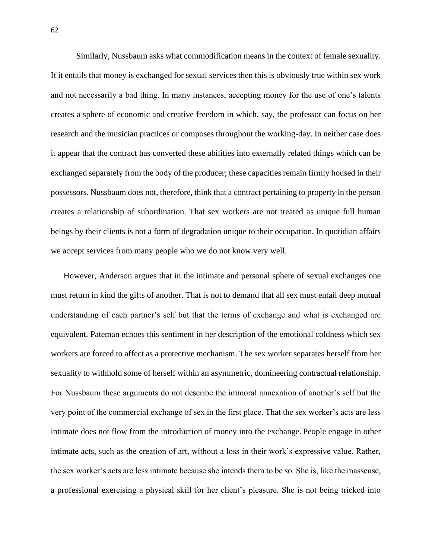Similarly, Nussbaum asks what commodification means in the context of female sexuality. If it entails that money is exchanged for sexual services then this is obviously true within sex work and not necessarily a bad thing. In many instances, accepting money for the use of one's talents creates a sphere of economic and creative freedom in which, say, the professor can focus on her research and the musician practices or composes throughout the working-day. In neither case does it appear that the contract has converted these abilities into externally related things which can be exchanged separately from the body of the producer; these capacities remain firmly housed in their possessors. Nussbaum does not, therefore, think that a contract pertaining to property in the person creates a relationship of subordination. That sex workers are not treated as unique full human beings by their clients is not a form of degradation unique to their occupation. In quotidian affairs we accept services from many people who we do not know very well.

However, Anderson argues that in the intimate and personal sphere of sexual exchanges one must return in kind the gifts of another. That is not to demand that all sex must entail deep mutual understanding of each partner's self but that the terms of exchange and what is exchanged are equivalent. Pateman echoes this sentiment in her description of the emotional coldness which sex workers are forced to affect as a protective mechanism. The sex worker separates herself from her sexuality to withhold some of herself within an asymmetric, domineering contractual relationship. For Nussbaum these arguments do not describe the immoral annexation of another's self but the very point of the commercial exchange of sex in the first place. That the sex worker's acts are less intimate does not flow from the introduction of money into the exchange. People engage in other intimate acts, such as the creation of art, without a loss in their work's expressive value. Rather, the sex worker's acts are less intimate because she intends them to be so. She is, like the masseuse, a professional exercising a physical skill for her client's pleasure. She is not being tricked into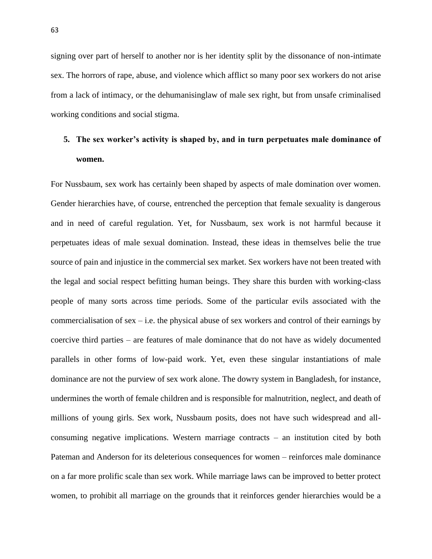signing over part of herself to another nor is her identity split by the dissonance of non-intimate sex. The horrors of rape, abuse, and violence which afflict so many poor sex workers do not arise from a lack of intimacy, or the dehumanisinglaw of male sex right, but from unsafe criminalised working conditions and social stigma.

# **5. The sex worker's activity is shaped by, and in turn perpetuates male dominance of women.**

For Nussbaum, sex work has certainly been shaped by aspects of male domination over women. Gender hierarchies have, of course, entrenched the perception that female sexuality is dangerous and in need of careful regulation. Yet, for Nussbaum, sex work is not harmful because it perpetuates ideas of male sexual domination. Instead, these ideas in themselves belie the true source of pain and injustice in the commercial sex market. Sex workers have not been treated with the legal and social respect befitting human beings. They share this burden with working-class people of many sorts across time periods. Some of the particular evils associated with the commercialisation of sex – i.e. the physical abuse of sex workers and control of their earnings by coercive third parties – are features of male dominance that do not have as widely documented parallels in other forms of low-paid work. Yet, even these singular instantiations of male dominance are not the purview of sex work alone. The dowry system in Bangladesh, for instance, undermines the worth of female children and is responsible for malnutrition, neglect, and death of millions of young girls. Sex work, Nussbaum posits, does not have such widespread and allconsuming negative implications. Western marriage contracts – an institution cited by both Pateman and Anderson for its deleterious consequences for women – reinforces male dominance on a far more prolific scale than sex work. While marriage laws can be improved to better protect women, to prohibit all marriage on the grounds that it reinforces gender hierarchies would be a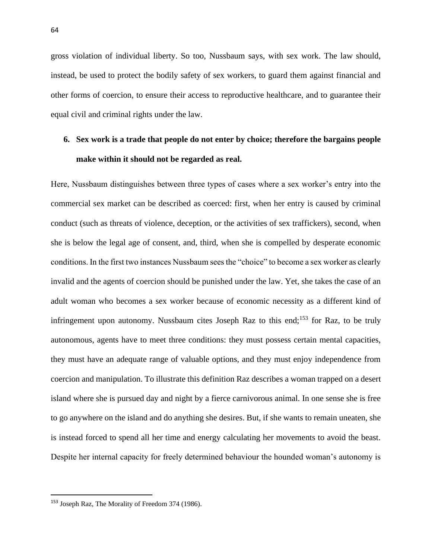gross violation of individual liberty. So too, Nussbaum says, with sex work. The law should, instead, be used to protect the bodily safety of sex workers, to guard them against financial and other forms of coercion, to ensure their access to reproductive healthcare, and to guarantee their equal civil and criminal rights under the law.

# **6. Sex work is a trade that people do not enter by choice; therefore the bargains people make within it should not be regarded as real.**

Here, Nussbaum distinguishes between three types of cases where a sex worker's entry into the commercial sex market can be described as coerced: first, when her entry is caused by criminal conduct (such as threats of violence, deception, or the activities of sex traffickers), second, when she is below the legal age of consent, and, third, when she is compelled by desperate economic conditions. In the first two instances Nussbaum sees the "choice" to become a sex worker as clearly invalid and the agents of coercion should be punished under the law. Yet, she takes the case of an adult woman who becomes a sex worker because of economic necessity as a different kind of infringement upon autonomy. Nussbaum cites Joseph Raz to this end;<sup>153</sup> for Raz, to be truly autonomous, agents have to meet three conditions: they must possess certain mental capacities, they must have an adequate range of valuable options, and they must enjoy independence from coercion and manipulation. To illustrate this definition Raz describes a woman trapped on a desert island where she is pursued day and night by a fierce carnivorous animal. In one sense she is free to go anywhere on the island and do anything she desires. But, if she wants to remain uneaten, she is instead forced to spend all her time and energy calculating her movements to avoid the beast. Despite her internal capacity for freely determined behaviour the hounded woman's autonomy is

<sup>153</sup> Joseph Raz, The Morality of Freedom 374 (1986).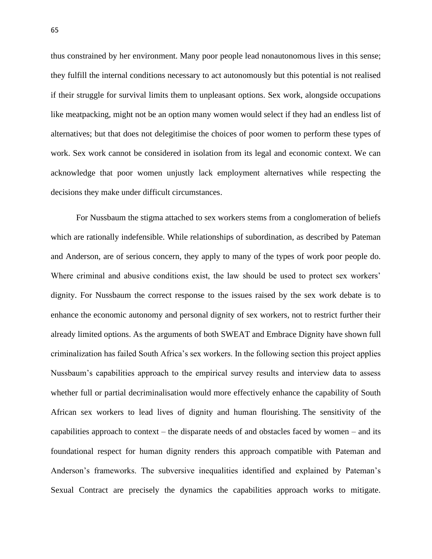thus constrained by her environment. Many poor people lead nonautonomous lives in this sense; they fulfill the internal conditions necessary to act autonomously but this potential is not realised if their struggle for survival limits them to unpleasant options. Sex work, alongside occupations like meatpacking, might not be an option many women would select if they had an endless list of alternatives; but that does not delegitimise the choices of poor women to perform these types of work. Sex work cannot be considered in isolation from its legal and economic context. We can acknowledge that poor women unjustly lack employment alternatives while respecting the decisions they make under difficult circumstances.

For Nussbaum the stigma attached to sex workers stems from a conglomeration of beliefs which are rationally indefensible. While relationships of subordination, as described by Pateman and Anderson, are of serious concern, they apply to many of the types of work poor people do. Where criminal and abusive conditions exist, the law should be used to protect sex workers' dignity. For Nussbaum the correct response to the issues raised by the sex work debate is to enhance the economic autonomy and personal dignity of sex workers, not to restrict further their already limited options. As the arguments of both SWEAT and Embrace Dignity have shown full criminalization has failed South Africa's sex workers. In the following section this project applies Nussbaum's capabilities approach to the empirical survey results and interview data to assess whether full or partial decriminalisation would more effectively enhance the capability of South African sex workers to lead lives of dignity and human flourishing. The sensitivity of the capabilities approach to context – the disparate needs of and obstacles faced by women – and its foundational respect for human dignity renders this approach compatible with Pateman and Anderson's frameworks. The subversive inequalities identified and explained by Pateman's Sexual Contract are precisely the dynamics the capabilities approach works to mitigate.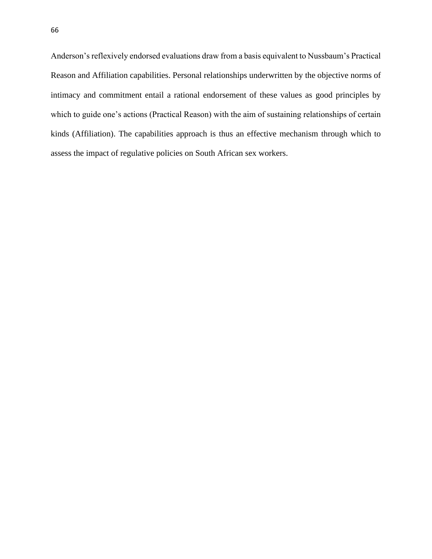Anderson's reflexively endorsed evaluations draw from a basis equivalent to Nussbaum's Practical Reason and Affiliation capabilities. Personal relationships underwritten by the objective norms of intimacy and commitment entail a rational endorsement of these values as good principles by which to guide one's actions (Practical Reason) with the aim of sustaining relationships of certain kinds (Affiliation). The capabilities approach is thus an effective mechanism through which to assess the impact of regulative policies on South African sex workers.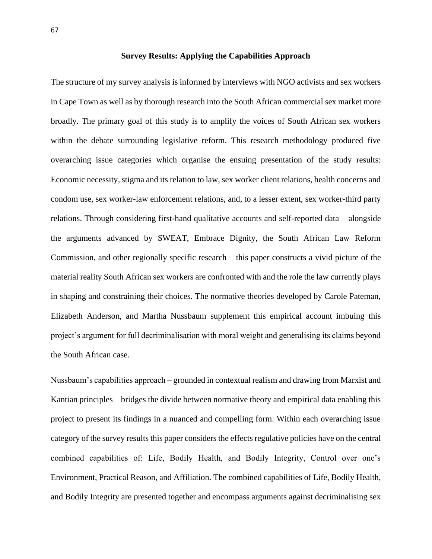**Survey Results: Applying the Capabilities Approach**

The structure of my survey analysis is informed by interviews with NGO activists and sex workers in Cape Town as well as by thorough research into the South African commercial sex market more broadly. The primary goal of this study is to amplify the voices of South African sex workers within the debate surrounding legislative reform. This research methodology produced five overarching issue categories which organise the ensuing presentation of the study results: Economic necessity, stigma and its relation to law, sex worker client relations, health concerns and condom use, sex worker-law enforcement relations, and, to a lesser extent, sex worker-third party relations. Through considering first-hand qualitative accounts and self-reported data – alongside the arguments advanced by SWEAT, Embrace Dignity, the South African Law Reform Commission, and other regionally specific research – this paper constructs a vivid picture of the material reality South African sex workers are confronted with and the role the law currently plays in shaping and constraining their choices. The normative theories developed by Carole Pateman, Elizabeth Anderson, and Martha Nussbaum supplement this empirical account imbuing this project's argument for full decriminalisation with moral weight and generalising its claims beyond the South African case.

Nussbaum's capabilities approach – grounded in contextual realism and drawing from Marxist and Kantian principles – bridges the divide between normative theory and empirical data enabling this project to present its findings in a nuanced and compelling form. Within each overarching issue category of the survey results this paper considers the effects regulative policies have on the central combined capabilities of: Life, Bodily Health, and Bodily Integrity, Control over one's Environment, Practical Reason, and Affiliation. The combined capabilities of Life, Bodily Health, and Bodily Integrity are presented together and encompass arguments against decriminalising sex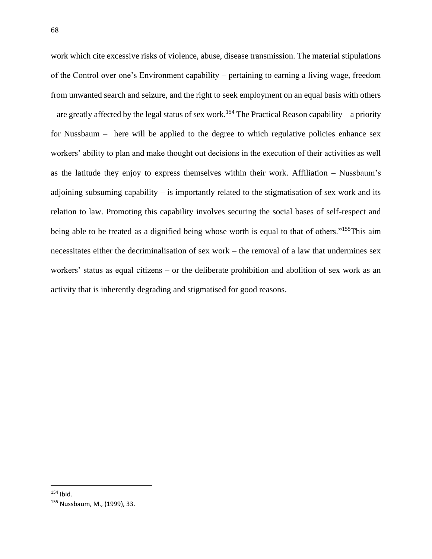work which cite excessive risks of violence, abuse, disease transmission. The material stipulations of the Control over one's Environment capability – pertaining to earning a living wage, freedom from unwanted search and seizure, and the right to seek employment on an equal basis with others – are greatly affected by the legal status of sex work.<sup>154</sup> The Practical Reason capability – a priority for Nussbaum – here will be applied to the degree to which regulative policies enhance sex workers' ability to plan and make thought out decisions in the execution of their activities as well as the latitude they enjoy to express themselves within their work. Affiliation – Nussbaum's adjoining subsuming capability – is importantly related to the stigmatisation of sex work and its relation to law. Promoting this capability involves securing the social bases of self-respect and being able to be treated as a dignified being whose worth is equal to that of others."<sup>155</sup>This aim necessitates either the decriminalisation of sex work – the removal of a law that undermines sex workers' status as equal citizens – or the deliberate prohibition and abolition of sex work as an activity that is inherently degrading and stigmatised for good reasons.

 $154$  Ibid.

<sup>155</sup> Nussbaum, M., (1999), 33.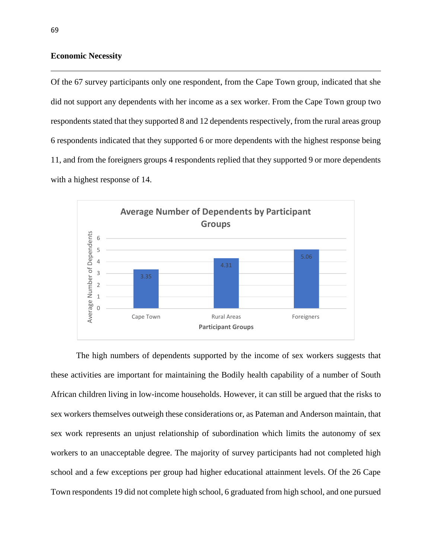### **Economic Necessity**

Of the 67 survey participants only one respondent, from the Cape Town group, indicated that she did not support any dependents with her income as a sex worker. From the Cape Town group two respondents stated that they supported 8 and 12 dependents respectively, from the rural areas group 6 respondents indicated that they supported 6 or more dependents with the highest response being 11, and from the foreigners groups 4 respondents replied that they supported 9 or more dependents with a highest response of 14.



The high numbers of dependents supported by the income of sex workers suggests that these activities are important for maintaining the Bodily health capability of a number of South African children living in low-income households. However, it can still be argued that the risks to sex workers themselves outweigh these considerations or, as Pateman and Anderson maintain, that sex work represents an unjust relationship of subordination which limits the autonomy of sex workers to an unacceptable degree. The majority of survey participants had not completed high school and a few exceptions per group had higher educational attainment levels. Of the 26 Cape Town respondents 19 did not complete high school, 6 graduated from high school, and one pursued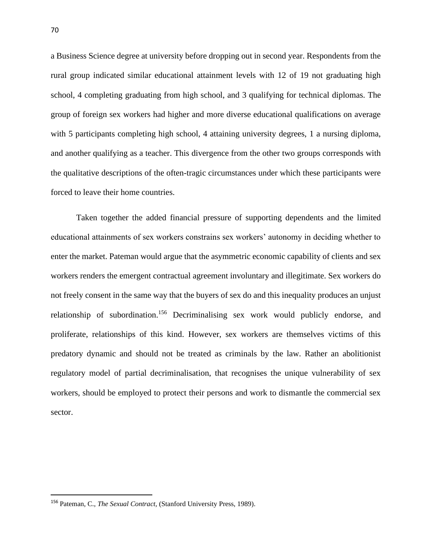a Business Science degree at university before dropping out in second year. Respondents from the rural group indicated similar educational attainment levels with 12 of 19 not graduating high school, 4 completing graduating from high school, and 3 qualifying for technical diplomas. The group of foreign sex workers had higher and more diverse educational qualifications on average with 5 participants completing high school, 4 attaining university degrees, 1 a nursing diploma, and another qualifying as a teacher. This divergence from the other two groups corresponds with the qualitative descriptions of the often-tragic circumstances under which these participants were forced to leave their home countries.

Taken together the added financial pressure of supporting dependents and the limited educational attainments of sex workers constrains sex workers' autonomy in deciding whether to enter the market. Pateman would argue that the asymmetric economic capability of clients and sex workers renders the emergent contractual agreement involuntary and illegitimate. Sex workers do not freely consent in the same way that the buyers of sex do and this inequality produces an unjust relationship of subordination.<sup>156</sup> Decriminalising sex work would publicly endorse, and proliferate, relationships of this kind. However, sex workers are themselves victims of this predatory dynamic and should not be treated as criminals by the law. Rather an abolitionist regulatory model of partial decriminalisation, that recognises the unique vulnerability of sex workers, should be employed to protect their persons and work to dismantle the commercial sex sector.

<sup>156</sup> Pateman, C., *The Sexual Contract,* (Stanford University Press, 1989).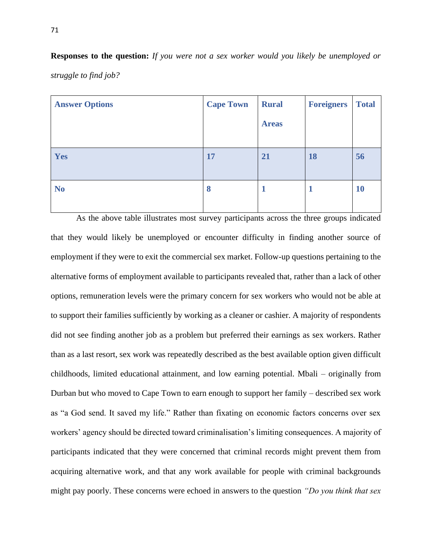| <b>Answer Options</b> | <b>Cape Town</b> | <b>Rural</b> | <b>Foreigners</b> | <b>Total</b> |
|-----------------------|------------------|--------------|-------------------|--------------|
|                       |                  | <b>Areas</b> |                   |              |
|                       |                  |              |                   |              |
| Yes                   | 17               | 21           | 18                | 56           |
|                       |                  |              |                   |              |
| N <sub>o</sub>        | 8                |              |                   | <b>10</b>    |
|                       |                  |              |                   |              |

As the above table illustrates most survey participants across the three groups indicated

**Responses to the question:** *If you were not a sex worker would you likely be unemployed or struggle to find job?* 

that they would likely be unemployed or encounter difficulty in finding another source of employment if they were to exit the commercial sex market. Follow-up questions pertaining to the alternative forms of employment available to participants revealed that, rather than a lack of other options, remuneration levels were the primary concern for sex workers who would not be able at to support their families sufficiently by working as a cleaner or cashier. A majority of respondents did not see finding another job as a problem but preferred their earnings as sex workers. Rather than as a last resort, sex work was repeatedly described as the best available option given difficult childhoods, limited educational attainment, and low earning potential. Mbali – originally from Durban but who moved to Cape Town to earn enough to support her family – described sex work as "a God send. It saved my life." Rather than fixating on economic factors concerns over sex workers' agency should be directed toward criminalisation's limiting consequences. A majority of participants indicated that they were concerned that criminal records might prevent them from acquiring alternative work, and that any work available for people with criminal backgrounds might pay poorly. These concerns were echoed in answers to the question *"Do you think that sex*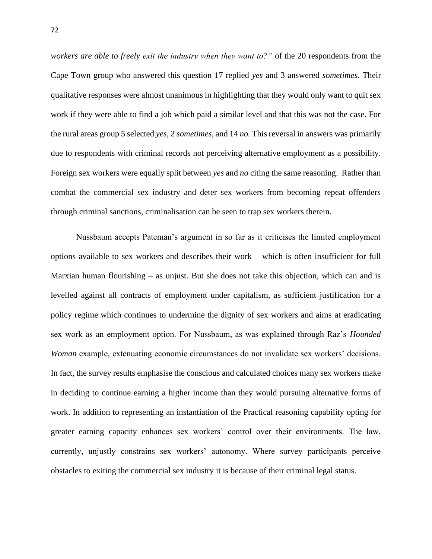*workers are able to freely exit the industry when they want to?"* of the 20 respondents from the Cape Town group who answered this question 17 replied *yes* and 3 answered *sometimes.* Their qualitative responses were almost unanimous in highlighting that they would only want to quit sex work if they were able to find a job which paid a similar level and that this was not the case. For the rural areas group 5 selected *yes,* 2 *sometimes,* and 14 *no.* This reversal in answers was primarily due to respondents with criminal records not perceiving alternative employment as a possibility. Foreign sex workers were equally split between *yes* and *no* citing the same reasoning. Rather than combat the commercial sex industry and deter sex workers from becoming repeat offenders through criminal sanctions, criminalisation can be seen to trap sex workers therein.

Nussbaum accepts Pateman's argument in so far as it criticises the limited employment options available to sex workers and describes their work – which is often insufficient for full Marxian human flourishing – as unjust. But she does not take this objection, which can and is levelled against all contracts of employment under capitalism, as sufficient justification for a policy regime which continues to undermine the dignity of sex workers and aims at eradicating sex work as an employment option. For Nussbaum, as was explained through Raz's *Hounded Woman* example, extenuating economic circumstances do not invalidate sex workers' decisions. In fact, the survey results emphasise the conscious and calculated choices many sex workers make in deciding to continue earning a higher income than they would pursuing alternative forms of work. In addition to representing an instantiation of the Practical reasoning capability opting for greater earning capacity enhances sex workers' control over their environments. The law, currently, unjustly constrains sex workers' autonomy. Where survey participants perceive obstacles to exiting the commercial sex industry it is because of their criminal legal status.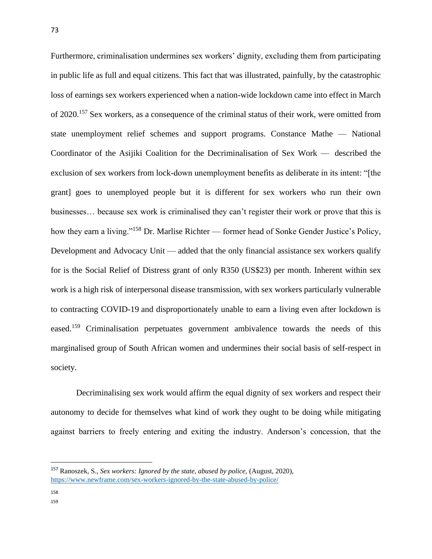Furthermore, criminalisation undermines sex workers' dignity, excluding them from participating in public life as full and equal citizens. This fact that was illustrated, painfully, by the catastrophic loss of earnings sex workers experienced when a nation-wide lockdown came into effect in March of 2020.<sup>157</sup> Sex workers, as a consequence of the criminal status of their work, were omitted from state unemployment relief schemes and support programs. Constance Mathe — National Coordinator of the Asijiki Coalition for the Decriminalisation of Sex Work — described the exclusion of sex workers from lock-down unemployment benefits as deliberate in its intent: "[the grant] goes to unemployed people but it is different for sex workers who run their own businesses… because sex work is criminalised they can't register their work or prove that this is how they earn a living."<sup>158</sup> Dr. Marlise Richter — former head of Sonke Gender Justice's Policy, Development and Advocacy Unit — added that the only financial assistance sex workers qualify for is the Social Relief of Distress grant of only R350 (US\$23) per month. Inherent within sex work is a high risk of interpersonal disease transmission, with sex workers particularly vulnerable to contracting COVID-19 and disproportionately unable to earn a living even after lockdown is eased.<sup>159</sup> Criminalisation perpetuates government ambivalence towards the needs of this marginalised group of South African women and undermines their social basis of self-respect in society.

Decriminalising sex work would affirm the equal dignity of sex workers and respect their autonomy to decide for themselves what kind of work they ought to be doing while mitigating against barriers to freely entering and exiting the industry. Anderson's concession, that the

158 159

<sup>157</sup> Ranoszek, S., *Sex workers: Ignored by the state, abused by police,* (August, 2020), <https://www.newframe.com/sex-workers-ignored-by-the-state-abused-by-police/>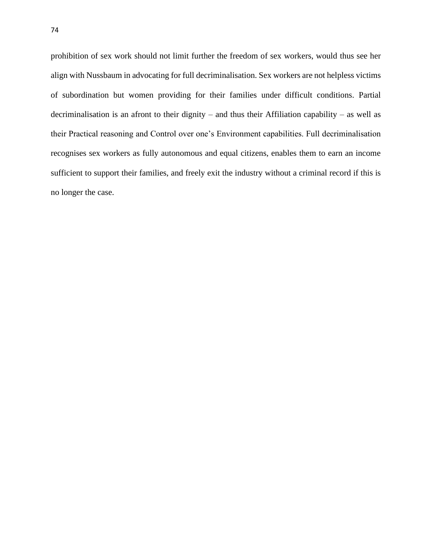prohibition of sex work should not limit further the freedom of sex workers, would thus see her align with Nussbaum in advocating for full decriminalisation. Sex workers are not helpless victims of subordination but women providing for their families under difficult conditions. Partial decriminalisation is an afront to their dignity – and thus their Affiliation capability – as well as their Practical reasoning and Control over one's Environment capabilities. Full decriminalisation recognises sex workers as fully autonomous and equal citizens, enables them to earn an income sufficient to support their families, and freely exit the industry without a criminal record if this is no longer the case.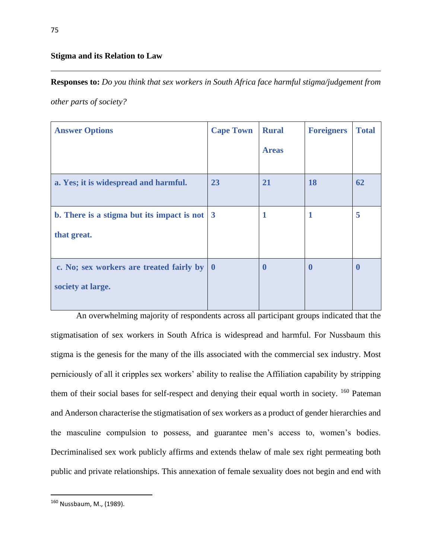### **Stigma and its Relation to Law**

**Responses to:** *Do you think that sex workers in South Africa face harmful stigma/judgement from* 

*other parts of society?* 

| <b>Answer Options</b>                                                           | <b>Cape Town</b> | <b>Rural</b><br><b>Areas</b> | <b>Foreigners</b> | <b>Total</b> |
|---------------------------------------------------------------------------------|------------------|------------------------------|-------------------|--------------|
| a. Yes; it is widespread and harmful.                                           | 23               | 21                           | 18                | 62           |
| b. There is a stigma but its impact is not $\vert 3 \rangle$<br>that great.     |                  | 1                            |                   | 5            |
| c. No; sex workers are treated fairly by $\vert 0 \rangle$<br>society at large. |                  | $\boldsymbol{0}$             | $\mathbf 0$       | $\mathbf 0$  |

An overwhelming majority of respondents across all participant groups indicated that the stigmatisation of sex workers in South Africa is widespread and harmful. For Nussbaum this stigma is the genesis for the many of the ills associated with the commercial sex industry. Most perniciously of all it cripples sex workers' ability to realise the Affiliation capability by stripping them of their social bases for self-respect and denying their equal worth in society. <sup>160</sup> Pateman and Anderson characterise the stigmatisation of sex workers as a product of gender hierarchies and the masculine compulsion to possess, and guarantee men's access to, women's bodies. Decriminalised sex work publicly affirms and extends thelaw of male sex right permeating both public and private relationships. This annexation of female sexuality does not begin and end with

<sup>160</sup> Nussbaum, M., (1989).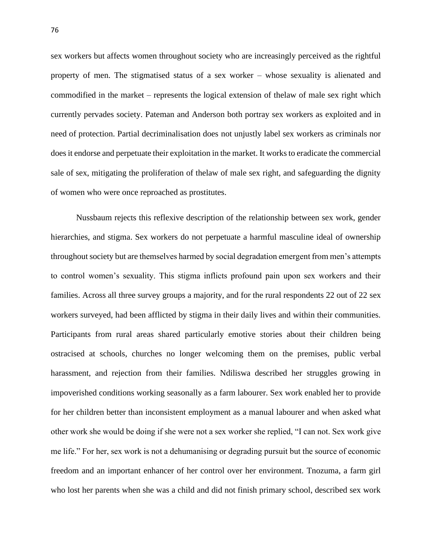sex workers but affects women throughout society who are increasingly perceived as the rightful property of men. The stigmatised status of a sex worker – whose sexuality is alienated and commodified in the market – represents the logical extension of thelaw of male sex right which currently pervades society. Pateman and Anderson both portray sex workers as exploited and in need of protection. Partial decriminalisation does not unjustly label sex workers as criminals nor does it endorse and perpetuate their exploitation in the market. It works to eradicate the commercial sale of sex, mitigating the proliferation of thelaw of male sex right, and safeguarding the dignity of women who were once reproached as prostitutes.

Nussbaum rejects this reflexive description of the relationship between sex work, gender hierarchies, and stigma. Sex workers do not perpetuate a harmful masculine ideal of ownership throughout society but are themselves harmed by social degradation emergent from men's attempts to control women's sexuality. This stigma inflicts profound pain upon sex workers and their families. Across all three survey groups a majority, and for the rural respondents 22 out of 22 sex workers surveyed, had been afflicted by stigma in their daily lives and within their communities. Participants from rural areas shared particularly emotive stories about their children being ostracised at schools, churches no longer welcoming them on the premises, public verbal harassment, and rejection from their families. Ndiliswa described her struggles growing in impoverished conditions working seasonally as a farm labourer. Sex work enabled her to provide for her children better than inconsistent employment as a manual labourer and when asked what other work she would be doing if she were not a sex worker she replied, "I can not. Sex work give me life." For her, sex work is not a dehumanising or degrading pursuit but the source of economic freedom and an important enhancer of her control over her environment. Tnozuma, a farm girl who lost her parents when she was a child and did not finish primary school, described sex work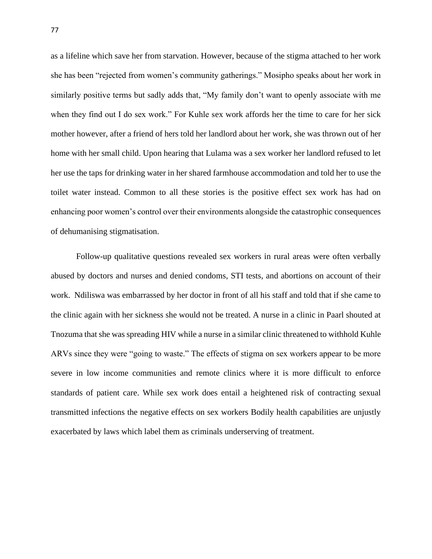as a lifeline which save her from starvation. However, because of the stigma attached to her work she has been "rejected from women's community gatherings." Mosipho speaks about her work in similarly positive terms but sadly adds that, "My family don't want to openly associate with me when they find out I do sex work." For Kuhle sex work affords her the time to care for her sick mother however, after a friend of hers told her landlord about her work, she was thrown out of her home with her small child. Upon hearing that Lulama was a sex worker her landlord refused to let her use the taps for drinking water in her shared farmhouse accommodation and told her to use the toilet water instead. Common to all these stories is the positive effect sex work has had on enhancing poor women's control over their environments alongside the catastrophic consequences of dehumanising stigmatisation.

Follow-up qualitative questions revealed sex workers in rural areas were often verbally abused by doctors and nurses and denied condoms, STI tests, and abortions on account of their work. Ndiliswa was embarrassed by her doctor in front of all his staff and told that if she came to the clinic again with her sickness she would not be treated. A nurse in a clinic in Paarl shouted at Tnozuma that she was spreading HIV while a nurse in a similar clinic threatened to withhold Kuhle ARVs since they were "going to waste." The effects of stigma on sex workers appear to be more severe in low income communities and remote clinics where it is more difficult to enforce standards of patient care. While sex work does entail a heightened risk of contracting sexual transmitted infections the negative effects on sex workers Bodily health capabilities are unjustly exacerbated by laws which label them as criminals underserving of treatment.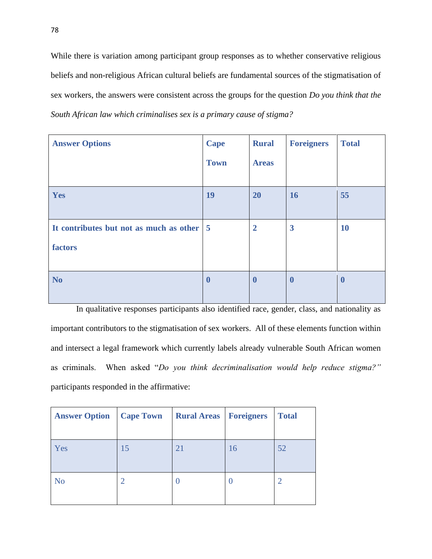While there is variation among participant group responses as to whether conservative religious beliefs and non-religious African cultural beliefs are fundamental sources of the stigmatisation of sex workers, the answers were consistent across the groups for the question *Do you think that the South African law which criminalises sex is a primary cause of stigma?* 

| <b>Answer Options</b>                     | <b>Cape</b>      | <b>Rural</b>     | <b>Foreigners</b>       | <b>Total</b>     |
|-------------------------------------------|------------------|------------------|-------------------------|------------------|
|                                           | <b>Town</b>      | <b>Areas</b>     |                         |                  |
|                                           |                  |                  |                         |                  |
| Yes                                       | <b>19</b>        | <b>20</b>        | <b>16</b>               | 55               |
|                                           |                  |                  |                         |                  |
| It contributes but not as much as other 5 |                  | $\overline{2}$   | $\overline{\mathbf{3}}$ | 10               |
| factors                                   |                  |                  |                         |                  |
|                                           |                  |                  |                         |                  |
| <b>No</b>                                 | $\boldsymbol{0}$ | $\boldsymbol{0}$ | $\boldsymbol{0}$        | $\boldsymbol{0}$ |
|                                           |                  |                  |                         |                  |

In qualitative responses participants also identified race, gender, class, and nationality as important contributors to the stigmatisation of sex workers. All of these elements function within and intersect a legal framework which currently labels already vulnerable South African women as criminals. When asked "*Do you think decriminalisation would help reduce stigma?"*  participants responded in the affirmative:

| <b>Answer Option</b> | <b>Cape Town</b> | <b>Rural Areas   Foreigners</b> |    | <b>Total</b> |
|----------------------|------------------|---------------------------------|----|--------------|
| Yes                  | 15               | 21                              | 16 | 52           |
| N <sub>o</sub>       | $\overline{2}$   |                                 |    |              |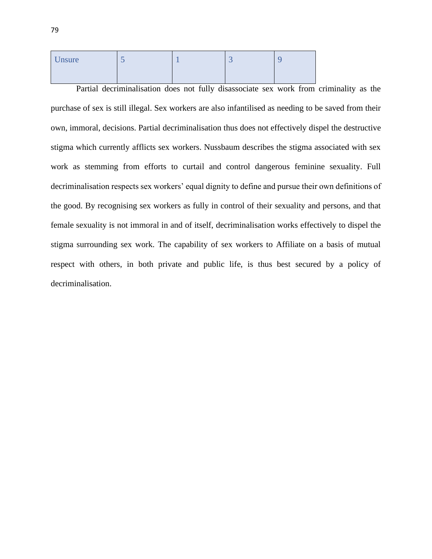| Unsure | $\overline{\phantom{0}}$ | $\sim$ |  |
|--------|--------------------------|--------|--|
|        |                          |        |  |

Partial decriminalisation does not fully disassociate sex work from criminality as the purchase of sex is still illegal. Sex workers are also infantilised as needing to be saved from their own, immoral, decisions. Partial decriminalisation thus does not effectively dispel the destructive stigma which currently afflicts sex workers. Nussbaum describes the stigma associated with sex work as stemming from efforts to curtail and control dangerous feminine sexuality. Full decriminalisation respects sex workers' equal dignity to define and pursue their own definitions of the good. By recognising sex workers as fully in control of their sexuality and persons, and that female sexuality is not immoral in and of itself, decriminalisation works effectively to dispel the stigma surrounding sex work. The capability of sex workers to Affiliate on a basis of mutual respect with others, in both private and public life, is thus best secured by a policy of decriminalisation.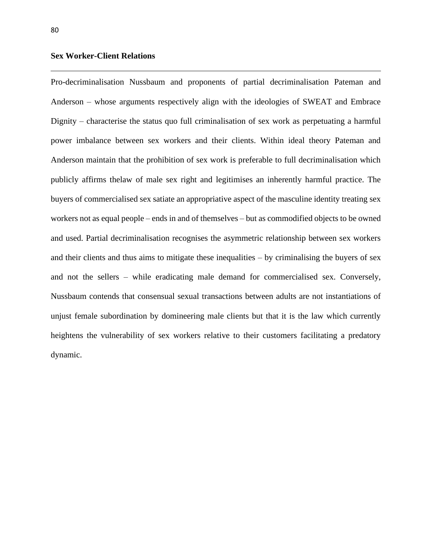# **Sex Worker-Client Relations**

Pro-decriminalisation Nussbaum and proponents of partial decriminalisation Pateman and Anderson – whose arguments respectively align with the ideologies of SWEAT and Embrace Dignity – characterise the status quo full criminalisation of sex work as perpetuating a harmful power imbalance between sex workers and their clients. Within ideal theory Pateman and Anderson maintain that the prohibition of sex work is preferable to full decriminalisation which publicly affirms thelaw of male sex right and legitimises an inherently harmful practice. The buyers of commercialised sex satiate an appropriative aspect of the masculine identity treating sex workers not as equal people – ends in and of themselves – but as commodified objects to be owned and used. Partial decriminalisation recognises the asymmetric relationship between sex workers and their clients and thus aims to mitigate these inequalities – by criminalising the buyers of sex and not the sellers – while eradicating male demand for commercialised sex. Conversely, Nussbaum contends that consensual sexual transactions between adults are not instantiations of unjust female subordination by domineering male clients but that it is the law which currently heightens the vulnerability of sex workers relative to their customers facilitating a predatory dynamic.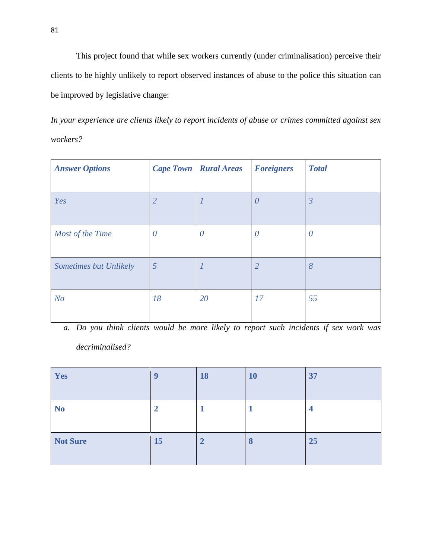This project found that while sex workers currently (under criminalisation) perceive their clients to be highly unlikely to report observed instances of abuse to the police this situation can be improved by legislative change:

*In your experience are clients likely to report incidents of abuse or crimes committed against sex workers?*

| <b>Answer Options</b>  |                | <b>Cape Town Rural Areas</b> | <b>Foreigners</b> | <b>Total</b>   |
|------------------------|----------------|------------------------------|-------------------|----------------|
|                        |                |                              |                   |                |
| Yes                    | $\overline{2}$ |                              | $\theta$          | $\overline{3}$ |
| Most of the Time       | $\theta$       | $\theta$                     | $\theta$          | 0              |
| Sometimes but Unlikely | $\overline{5}$ |                              | $\overline{2}$    | 8              |
| N <sub>O</sub>         | 18             | 20                           | 17                | 55             |

*a. Do you think clients would be more likely to report such incidents if sex work was decriminalised?* 

| Yes             |    | 18 | <b>10</b> | 37 |
|-----------------|----|----|-----------|----|
| N <sub>o</sub>  |    |    |           |    |
| <b>Not Sure</b> | 15 | 2  | ð         | 25 |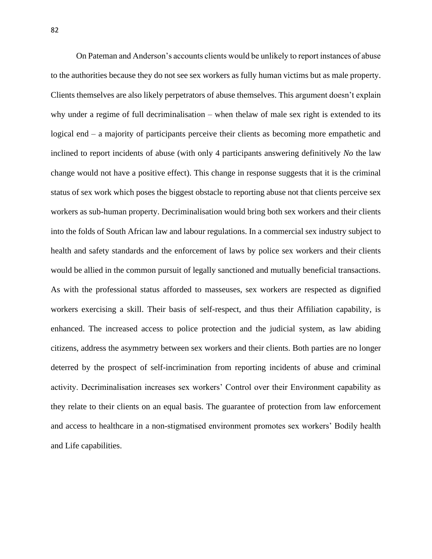On Pateman and Anderson's accounts clients would be unlikely to report instances of abuse to the authorities because they do not see sex workers as fully human victims but as male property. Clients themselves are also likely perpetrators of abuse themselves. This argument doesn't explain why under a regime of full decriminalisation – when thelaw of male sex right is extended to its logical end – a majority of participants perceive their clients as becoming more empathetic and inclined to report incidents of abuse (with only 4 participants answering definitively *No* the law change would not have a positive effect). This change in response suggests that it is the criminal status of sex work which poses the biggest obstacle to reporting abuse not that clients perceive sex workers as sub-human property. Decriminalisation would bring both sex workers and their clients into the folds of South African law and labour regulations. In a commercial sex industry subject to health and safety standards and the enforcement of laws by police sex workers and their clients would be allied in the common pursuit of legally sanctioned and mutually beneficial transactions. As with the professional status afforded to masseuses, sex workers are respected as dignified workers exercising a skill. Their basis of self-respect, and thus their Affiliation capability, is enhanced. The increased access to police protection and the judicial system, as law abiding citizens, address the asymmetry between sex workers and their clients. Both parties are no longer deterred by the prospect of self-incrimination from reporting incidents of abuse and criminal activity. Decriminalisation increases sex workers' Control over their Environment capability as they relate to their clients on an equal basis. The guarantee of protection from law enforcement and access to healthcare in a non-stigmatised environment promotes sex workers' Bodily health and Life capabilities.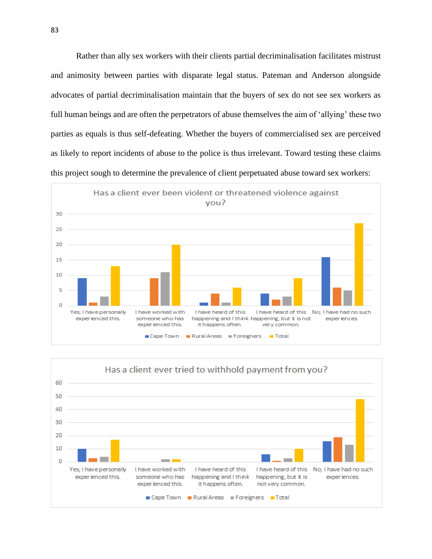Rather than ally sex workers with their clients partial decriminalisation facilitates mistrust and animosity between parties with disparate legal status. Pateman and Anderson alongside advocates of partial decriminalisation maintain that the buyers of sex do not see sex workers as full human beings and are often the perpetrators of abuse themselves the aim of 'allying' these two parties as equals is thus self-defeating. Whether the buyers of commercialised sex are perceived as likely to report incidents of abuse to the police is thus irrelevant. Toward testing these claims this project sough to determine the prevalence of client perpetuated abuse toward sex workers:



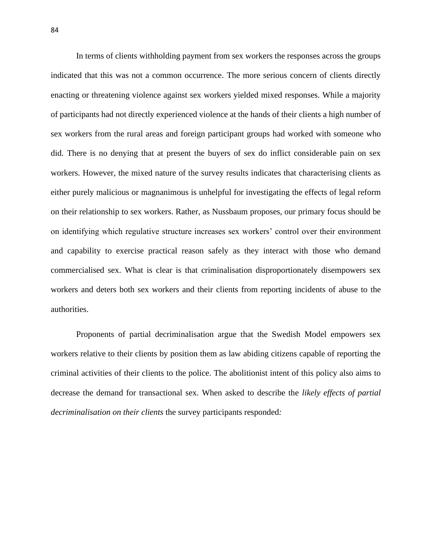In terms of clients withholding payment from sex workers the responses across the groups indicated that this was not a common occurrence. The more serious concern of clients directly enacting or threatening violence against sex workers yielded mixed responses. While a majority of participants had not directly experienced violence at the hands of their clients a high number of sex workers from the rural areas and foreign participant groups had worked with someone who did. There is no denying that at present the buyers of sex do inflict considerable pain on sex workers. However, the mixed nature of the survey results indicates that characterising clients as either purely malicious or magnanimous is unhelpful for investigating the effects of legal reform on their relationship to sex workers. Rather, as Nussbaum proposes, our primary focus should be on identifying which regulative structure increases sex workers' control over their environment and capability to exercise practical reason safely as they interact with those who demand commercialised sex. What is clear is that criminalisation disproportionately disempowers sex workers and deters both sex workers and their clients from reporting incidents of abuse to the authorities.

Proponents of partial decriminalisation argue that the Swedish Model empowers sex workers relative to their clients by position them as law abiding citizens capable of reporting the criminal activities of their clients to the police. The abolitionist intent of this policy also aims to decrease the demand for transactional sex. When asked to describe the *likely effects of partial decriminalisation on their clients* the survey participants responded*:*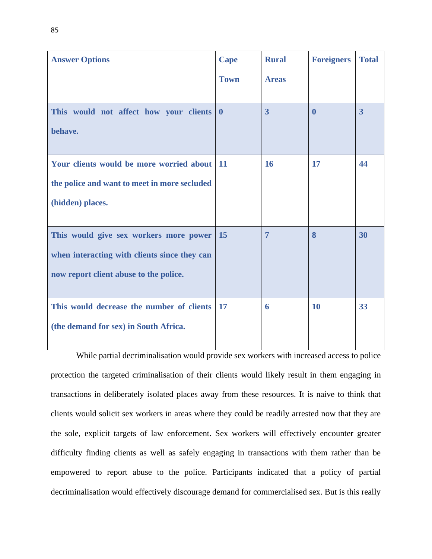| <b>Answer Options</b>                        | <b>Cape</b> | <b>Rural</b>   | <b>Foreigners</b> | <b>Total</b>   |
|----------------------------------------------|-------------|----------------|-------------------|----------------|
|                                              | <b>Town</b> | <b>Areas</b>   |                   |                |
|                                              |             |                |                   |                |
| This would not affect how your clients       | $\mathbf 0$ | $\overline{3}$ | $\mathbf{0}$      | $\overline{3}$ |
| behave.                                      |             |                |                   |                |
|                                              |             |                |                   |                |
| Your clients would be more worried about     | <b>11</b>   | <b>16</b>      | 17                | 44             |
| the police and want to meet in more secluded |             |                |                   |                |
| (hidden) places.                             |             |                |                   |                |
|                                              |             |                |                   |                |
| This would give sex workers more power       | <b>15</b>   | $\overline{7}$ | 8                 | 30             |
| when interacting with clients since they can |             |                |                   |                |
| now report client abuse to the police.       |             |                |                   |                |
|                                              |             |                |                   |                |
| This would decrease the number of clients    | 17          | 6              | <b>10</b>         | 33             |
| (the demand for sex) in South Africa.        |             |                |                   |                |
|                                              |             |                |                   |                |

While partial decriminalisation would provide sex workers with increased access to police protection the targeted criminalisation of their clients would likely result in them engaging in transactions in deliberately isolated places away from these resources. It is naive to think that clients would solicit sex workers in areas where they could be readily arrested now that they are the sole, explicit targets of law enforcement. Sex workers will effectively encounter greater difficulty finding clients as well as safely engaging in transactions with them rather than be empowered to report abuse to the police. Participants indicated that a policy of partial decriminalisation would effectively discourage demand for commercialised sex. But is this really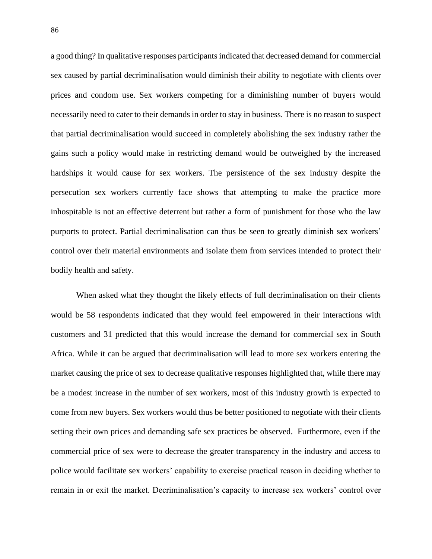a good thing? In qualitative responses participants indicated that decreased demand for commercial sex caused by partial decriminalisation would diminish their ability to negotiate with clients over prices and condom use. Sex workers competing for a diminishing number of buyers would necessarily need to cater to their demands in order to stay in business. There is no reason to suspect that partial decriminalisation would succeed in completely abolishing the sex industry rather the gains such a policy would make in restricting demand would be outweighed by the increased hardships it would cause for sex workers. The persistence of the sex industry despite the persecution sex workers currently face shows that attempting to make the practice more inhospitable is not an effective deterrent but rather a form of punishment for those who the law purports to protect. Partial decriminalisation can thus be seen to greatly diminish sex workers' control over their material environments and isolate them from services intended to protect their bodily health and safety.

When asked what they thought the likely effects of full decriminalisation on their clients would be 58 respondents indicated that they would feel empowered in their interactions with customers and 31 predicted that this would increase the demand for commercial sex in South Africa. While it can be argued that decriminalisation will lead to more sex workers entering the market causing the price of sex to decrease qualitative responses highlighted that, while there may be a modest increase in the number of sex workers, most of this industry growth is expected to come from new buyers. Sex workers would thus be better positioned to negotiate with their clients setting their own prices and demanding safe sex practices be observed. Furthermore, even if the commercial price of sex were to decrease the greater transparency in the industry and access to police would facilitate sex workers' capability to exercise practical reason in deciding whether to remain in or exit the market. Decriminalisation's capacity to increase sex workers' control over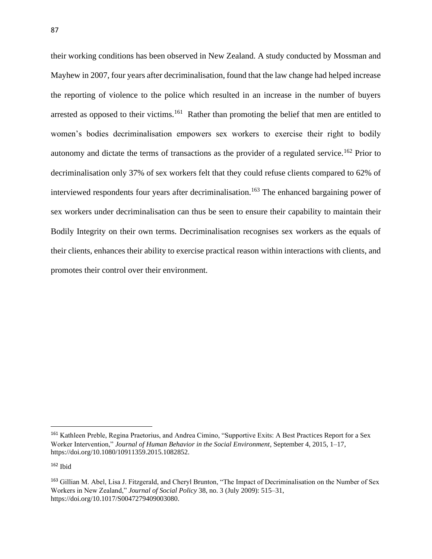their working conditions has been observed in New Zealand. A study conducted by Mossman and Mayhew in 2007, four years after decriminalisation, found that the law change had helped increase the reporting of violence to the police which resulted in an increase in the number of buyers arrested as opposed to their victims.<sup>161</sup> Rather than promoting the belief that men are entitled to women's bodies decriminalisation empowers sex workers to exercise their right to bodily autonomy and dictate the terms of transactions as the provider of a regulated service.<sup>162</sup> Prior to decriminalisation only 37% of sex workers felt that they could refuse clients compared to 62% of interviewed respondents four years after decriminalisation.<sup>163</sup> The enhanced bargaining power of sex workers under decriminalisation can thus be seen to ensure their capability to maintain their Bodily Integrity on their own terms. Decriminalisation recognises sex workers as the equals of their clients, enhances their ability to exercise practical reason within interactions with clients, and promotes their control over their environment.

<sup>161</sup> [Kathleen Preble, Regina Praetorius, and Andrea Cimino, "Supportive Exits: A Best Practices Report for a Sex](https://www.zotero.org/google-docs/?kZmTmh)  [Worker Intervention,"](https://www.zotero.org/google-docs/?kZmTmh) *[Journal of Human Behavior in the Social Environment](https://www.zotero.org/google-docs/?kZmTmh)*[, September 4, 2015, 1–17,](https://www.zotero.org/google-docs/?kZmTmh)  [https://doi.org/10.1080/10911359.2015.1082852.](https://www.zotero.org/google-docs/?kZmTmh)

<sup>162</sup> Ibid

<sup>163</sup> [Gillian M. Abel, Lisa J. Fitzgerald, and Cheryl Brunton, "The Impact of Decriminalisation on the Number of Sex](https://www.zotero.org/google-docs/?t7mvco)  [Workers in New Zealand,"](https://www.zotero.org/google-docs/?t7mvco) *[Journal of Social Policy](https://www.zotero.org/google-docs/?t7mvco)* [38, no. 3 \(July 2009\): 515–31,](https://www.zotero.org/google-docs/?t7mvco)  [https://doi.org/10.1017/S0047279409003080.](https://www.zotero.org/google-docs/?t7mvco)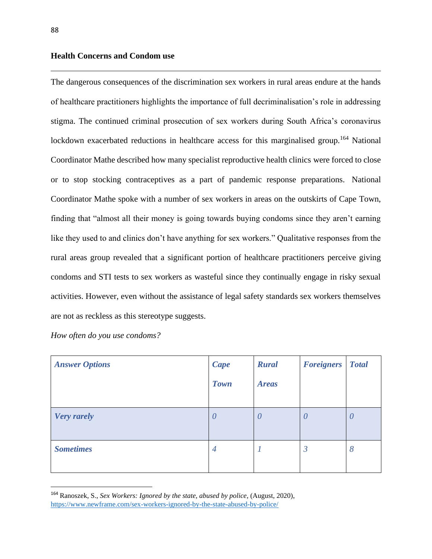## **Health Concerns and Condom use**

The dangerous consequences of the discrimination sex workers in rural areas endure at the hands of healthcare practitioners highlights the importance of full decriminalisation's role in addressing stigma. The continued criminal prosecution of sex workers during South Africa's coronavirus lockdown exacerbated reductions in healthcare access for this marginalised group.<sup>164</sup> National Coordinator Mathe described how many specialist reproductive health clinics were forced to close or to stop stocking contraceptives as a part of pandemic response preparations. National Coordinator Mathe spoke with a number of sex workers in areas on the outskirts of Cape Town, finding that "almost all their money is going towards buying condoms since they aren't earning like they used to and clinics don't have anything for sex workers." Qualitative responses from the rural areas group revealed that a significant portion of healthcare practitioners perceive giving condoms and STI tests to sex workers as wasteful since they continually engage in risky sexual activities. However, even without the assistance of legal safety standards sex workers themselves are not as reckless as this stereotype suggests.

*How often do you use condoms?* 

| <b>Answer Options</b> | <b>Cape</b>           | <b>Rural</b>          | <b>Foreigners</b> | <b>Total</b> |
|-----------------------|-----------------------|-----------------------|-------------------|--------------|
|                       | <b>Town</b>           | <b>Areas</b>          |                   |              |
|                       |                       |                       |                   |              |
| <b>Very rarely</b>    | $\boldsymbol{\theta}$ | $\boldsymbol{\theta}$ | $\boldsymbol{U}$  | $\theta$     |
|                       |                       |                       |                   |              |
| <b>Sometimes</b>      | 4                     |                       | $\mathfrak{Z}$    | 8            |
|                       |                       |                       |                   |              |

<sup>164</sup> Ranoszek, S., *Sex Workers: Ignored by the state, abused by police*, (August, 2020), <https://www.newframe.com/sex-workers-ignored-by-the-state-abused-by-police/>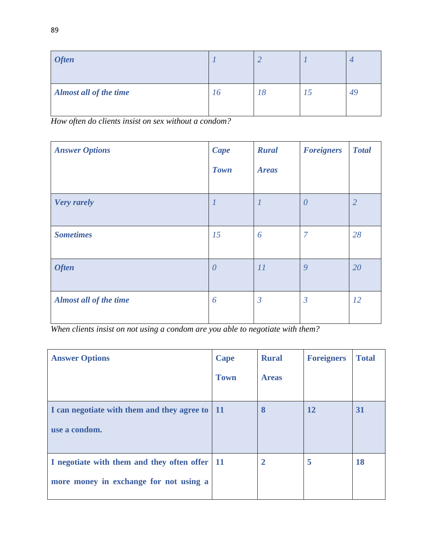| <b>Often</b>           |    |          |              |    |
|------------------------|----|----------|--------------|----|
| Almost all of the time | 70 | $\Omega$ | $12^{\circ}$ | 49 |

*How often do clients insist on sex without a condom?* 

| <b>Answer Options</b>         | <b>Cape</b><br><b>Town</b> | <b>Rural</b><br><b>Areas</b> | <b>Foreigners</b> | <b>Total</b>   |
|-------------------------------|----------------------------|------------------------------|-------------------|----------------|
| <b>Very rarely</b>            | $\boldsymbol{l}$           | $\boldsymbol{l}$             | $\theta$          | $\overline{2}$ |
| <b>Sometimes</b>              | 15                         | 6                            | $\overline{7}$    | 28             |
| <b>Often</b>                  | $\theta$                   | 11                           | 9                 | 20             |
| <b>Almost all of the time</b> | 6                          | $\mathfrak{Z}$               | $\mathfrak{Z}$    | 12             |

*When clients insist on not using a condom are you able to negotiate with them?* 

| <b>Answer Options</b>                       | <b>Cape</b> | <b>Rural</b>   | <b>Foreigners</b> | <b>Total</b> |
|---------------------------------------------|-------------|----------------|-------------------|--------------|
|                                             | <b>Town</b> | <b>Areas</b>   |                   |              |
|                                             |             |                |                   |              |
| I can negotiate with them and they agree to | -11         | 8              | 12                | 31           |
| use a condom.                               |             |                |                   |              |
|                                             |             |                |                   |              |
| I negotiate with them and they often offer  | <b>11</b>   | $\overline{2}$ | 5                 | 18           |
| more money in exchange for not using a      |             |                |                   |              |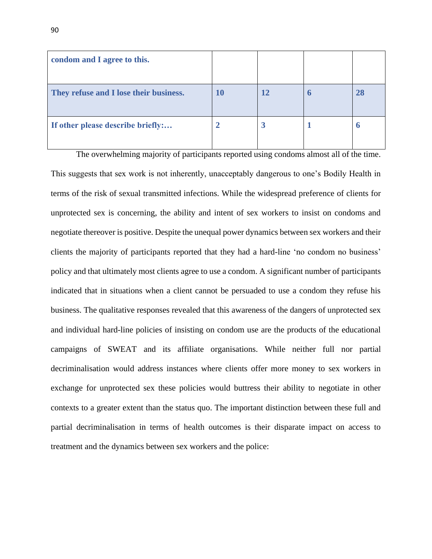| condom and I agree to this.            |           |    |    |
|----------------------------------------|-----------|----|----|
| They refuse and I lose their business. | <b>10</b> | 12 | 28 |
| If other please describe briefly:      |           |    |    |

The overwhelming majority of participants reported using condoms almost all of the time. This suggests that sex work is not inherently, unacceptably dangerous to one's Bodily Health in terms of the risk of sexual transmitted infections. While the widespread preference of clients for unprotected sex is concerning, the ability and intent of sex workers to insist on condoms and negotiate thereover is positive. Despite the unequal power dynamics between sex workers and their clients the majority of participants reported that they had a hard-line 'no condom no business' policy and that ultimately most clients agree to use a condom. A significant number of participants indicated that in situations when a client cannot be persuaded to use a condom they refuse his business. The qualitative responses revealed that this awareness of the dangers of unprotected sex and individual hard-line policies of insisting on condom use are the products of the educational campaigns of SWEAT and its affiliate organisations. While neither full nor partial decriminalisation would address instances where clients offer more money to sex workers in exchange for unprotected sex these policies would buttress their ability to negotiate in other contexts to a greater extent than the status quo. The important distinction between these full and partial decriminalisation in terms of health outcomes is their disparate impact on access to treatment and the dynamics between sex workers and the police: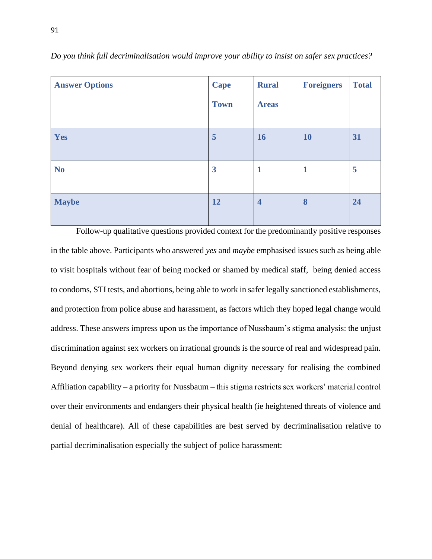| <b>Answer Options</b> | <b>Cape</b>             | <b>Rural</b>            | <b>Foreigners</b> | <b>Total</b> |
|-----------------------|-------------------------|-------------------------|-------------------|--------------|
|                       | <b>Town</b>             | <b>Areas</b>            |                   |              |
|                       |                         |                         |                   |              |
| Yes                   | 5                       | 16                      | <b>10</b>         | 31           |
|                       |                         |                         |                   |              |
| N <sub>o</sub>        | $\overline{\mathbf{3}}$ | $\mathbf{1}$            | $\mathbf{1}$      | 5            |
|                       |                         |                         |                   |              |
| <b>Maybe</b>          | <b>12</b>               | $\overline{\mathbf{4}}$ | 8                 | 24           |

*Do you think full decriminalisation would improve your ability to insist on safer sex practices?* 

Follow-up qualitative questions provided context for the predominantly positive responses in the table above. Participants who answered *yes* and *maybe* emphasised issues such as being able to visit hospitals without fear of being mocked or shamed by medical staff, being denied access to condoms, STI tests, and abortions, being able to work in safer legally sanctioned establishments, and protection from police abuse and harassment, as factors which they hoped legal change would address. These answers impress upon us the importance of Nussbaum's stigma analysis: the unjust discrimination against sex workers on irrational grounds is the source of real and widespread pain. Beyond denying sex workers their equal human dignity necessary for realising the combined Affiliation capability – a priority for Nussbaum – this stigma restricts sex workers' material control over their environments and endangers their physical health (ie heightened threats of violence and denial of healthcare). All of these capabilities are best served by decriminalisation relative to partial decriminalisation especially the subject of police harassment: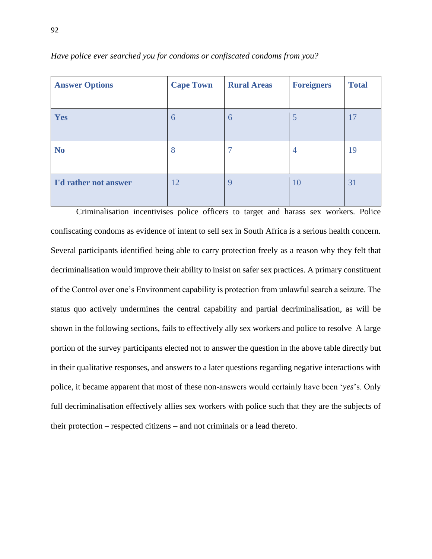| <b>Answer Options</b> | <b>Cape Town</b> | <b>Rural Areas</b> | <b>Foreigners</b> | <b>Total</b> |
|-----------------------|------------------|--------------------|-------------------|--------------|
|                       |                  |                    |                   |              |
| Yes                   | 6                | 6                  |                   | 17           |
|                       |                  |                    |                   |              |
| N <sub>o</sub>        | 8                | ┑                  | 4                 | 19           |
|                       |                  |                    |                   |              |
| I'd rather not answer | 12               | <b>9</b>           | 10                | 31           |
|                       |                  |                    |                   |              |

*Have police ever searched you for condoms or confiscated condoms from you?* 

Criminalisation incentivises police officers to target and harass sex workers. Police confiscating condoms as evidence of intent to sell sex in South Africa is a serious health concern. Several participants identified being able to carry protection freely as a reason why they felt that decriminalisation would improve their ability to insist on safer sex practices. A primary constituent of the Control over one's Environment capability is protection from unlawful search a seizure. The status quo actively undermines the central capability and partial decriminalisation, as will be shown in the following sections, fails to effectively ally sex workers and police to resolve A large portion of the survey participants elected not to answer the question in the above table directly but in their qualitative responses, and answers to a later questions regarding negative interactions with police, it became apparent that most of these non-answers would certainly have been '*yes*'s. Only full decriminalisation effectively allies sex workers with police such that they are the subjects of their protection – respected citizens – and not criminals or a lead thereto.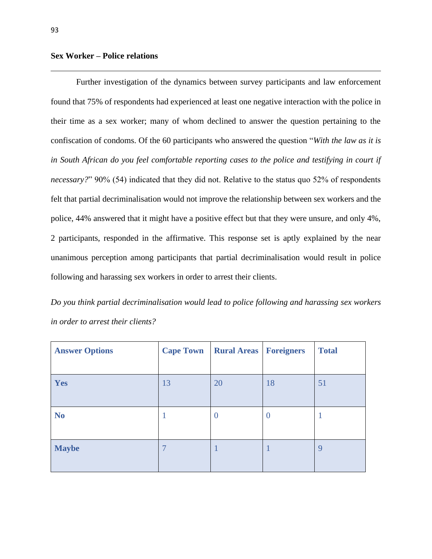# **Sex Worker – Police relations**

Further investigation of the dynamics between survey participants and law enforcement found that 75% of respondents had experienced at least one negative interaction with the police in their time as a sex worker; many of whom declined to answer the question pertaining to the confiscation of condoms. Of the 60 participants who answered the question "*With the law as it is in South African do you feel comfortable reporting cases to the police and testifying in court if necessary?*" 90% (54) indicated that they did not. Relative to the status quo 52% of respondents felt that partial decriminalisation would not improve the relationship between sex workers and the police, 44% answered that it might have a positive effect but that they were unsure, and only 4%, 2 participants, responded in the affirmative. This response set is aptly explained by the near unanimous perception among participants that partial decriminalisation would result in police following and harassing sex workers in order to arrest their clients.

*Do you think partial decriminalisation would lead to police following and harassing sex workers in order to arrest their clients?* 

| <b>Answer Options</b> | <b>Cape Town</b> | <b>Rural Areas</b> | <b>Foreigners</b> | <b>Total</b> |
|-----------------------|------------------|--------------------|-------------------|--------------|
|                       |                  |                    |                   |              |
| Yes                   | 13               | 20                 | 18                | 51           |
|                       |                  |                    |                   |              |
| N <sub>0</sub>        |                  | $\theta$           |                   |              |
|                       |                  |                    |                   |              |
| <b>Maybe</b>          |                  |                    |                   | 9            |
|                       |                  |                    |                   |              |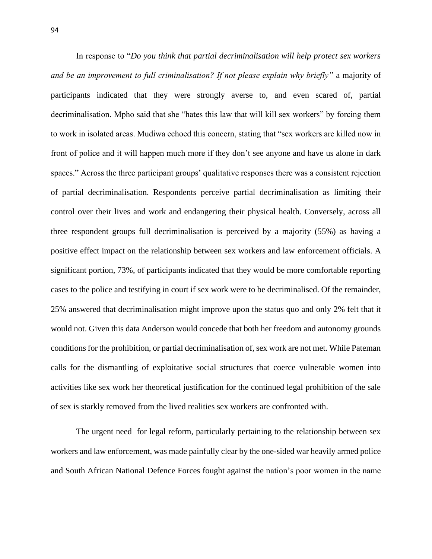In response to "*Do you think that partial decriminalisation will help protect sex workers and be an improvement to full criminalisation? If not please explain why briefly"* a majority of participants indicated that they were strongly averse to, and even scared of, partial decriminalisation. Mpho said that she "hates this law that will kill sex workers" by forcing them to work in isolated areas. Mudiwa echoed this concern, stating that "sex workers are killed now in front of police and it will happen much more if they don't see anyone and have us alone in dark spaces." Across the three participant groups' qualitative responses there was a consistent rejection of partial decriminalisation. Respondents perceive partial decriminalisation as limiting their control over their lives and work and endangering their physical health. Conversely, across all three respondent groups full decriminalisation is perceived by a majority (55%) as having a positive effect impact on the relationship between sex workers and law enforcement officials. A significant portion, 73%, of participants indicated that they would be more comfortable reporting cases to the police and testifying in court if sex work were to be decriminalised. Of the remainder, 25% answered that decriminalisation might improve upon the status quo and only 2% felt that it would not. Given this data Anderson would concede that both her freedom and autonomy grounds conditions for the prohibition, or partial decriminalisation of, sex work are not met. While Pateman calls for the dismantling of exploitative social structures that coerce vulnerable women into activities like sex work her theoretical justification for the continued legal prohibition of the sale of sex is starkly removed from the lived realities sex workers are confronted with.

The urgent need for legal reform, particularly pertaining to the relationship between sex workers and law enforcement, was made painfully clear by the one-sided war heavily armed police and South African National Defence Forces fought against the nation's poor women in the name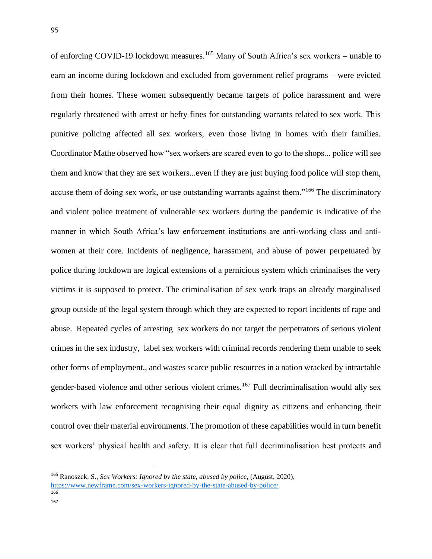of enforcing COVID-19 lockdown measures.<sup>165</sup> Many of South Africa's sex workers – unable to earn an income during lockdown and excluded from government relief programs – were evicted from their homes. These women subsequently became targets of police harassment and were regularly threatened with arrest or hefty fines for outstanding warrants related to sex work. This punitive policing affected all sex workers, even those living in homes with their families. Coordinator Mathe observed how "sex workers are scared even to go to the shops... police will see them and know that they are sex workers...even if they are just buying food police will stop them, accuse them of doing sex work, or use outstanding warrants against them."<sup>166</sup> The discriminatory and violent police treatment of vulnerable sex workers during the pandemic is indicative of the manner in which South Africa's law enforcement institutions are anti-working class and antiwomen at their core. Incidents of negligence, harassment, and abuse of power perpetuated by police during lockdown are logical extensions of a pernicious system which criminalises the very victims it is supposed to protect. The criminalisation of sex work traps an already marginalised group outside of the legal system through which they are expected to report incidents of rape and abuse. Repeated cycles of arresting sex workers do not target the perpetrators of serious violent crimes in the sex industry, label sex workers with criminal records rendering them unable to seek other forms of employment,, and wastes scarce public resources in a nation wracked by intractable gender-based violence and other serious violent crimes.<sup>167</sup> Full decriminalisation would ally sex workers with law enforcement recognising their equal dignity as citizens and enhancing their control over their material environments. The promotion of these capabilities would in turn benefit sex workers' physical health and safety. It is clear that full decriminalisation best protects and

<sup>165</sup> Ranoszek, S., *Sex Workers: Ignored by the state, abused by police*, (August, 2020), <https://www.newframe.com/sex-workers-ignored-by-the-state-abused-by-police/> 166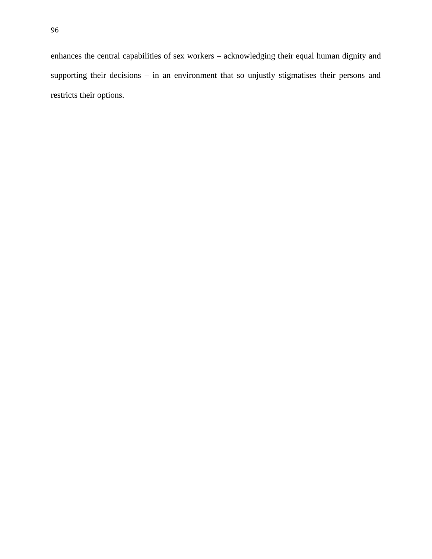enhances the central capabilities of sex workers – acknowledging their equal human dignity and supporting their decisions – in an environment that so unjustly stigmatises their persons and restricts their options.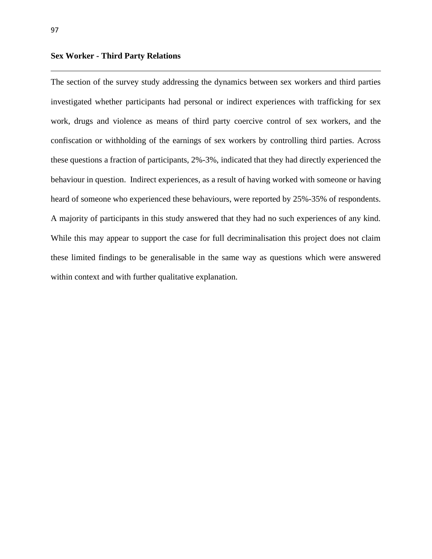# **Sex Worker - Third Party Relations**

The section of the survey study addressing the dynamics between sex workers and third parties investigated whether participants had personal or indirect experiences with trafficking for sex work, drugs and violence as means of third party coercive control of sex workers, and the confiscation or withholding of the earnings of sex workers by controlling third parties. Across these questions a fraction of participants, 2%-3%, indicated that they had directly experienced the behaviour in question. Indirect experiences, as a result of having worked with someone or having heard of someone who experienced these behaviours, were reported by 25%-35% of respondents. A majority of participants in this study answered that they had no such experiences of any kind. While this may appear to support the case for full decriminalisation this project does not claim these limited findings to be generalisable in the same way as questions which were answered within context and with further qualitative explanation.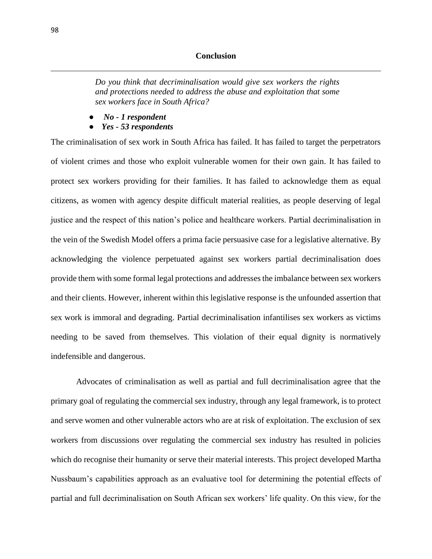#### **Conclusion**

*Do you think that decriminalisation would give sex workers the rights and protections needed to address the abuse and exploitation that some sex workers face in South Africa?* 

- *No - 1 respondent*
- *Yes - 53 respondents*

The criminalisation of sex work in South Africa has failed. It has failed to target the perpetrators of violent crimes and those who exploit vulnerable women for their own gain. It has failed to protect sex workers providing for their families. It has failed to acknowledge them as equal citizens, as women with agency despite difficult material realities, as people deserving of legal justice and the respect of this nation's police and healthcare workers. Partial decriminalisation in the vein of the Swedish Model offers a prima facie persuasive case for a legislative alternative. By acknowledging the violence perpetuated against sex workers partial decriminalisation does provide them with some formal legal protections and addresses the imbalance between sex workers and their clients. However, inherent within this legislative response is the unfounded assertion that sex work is immoral and degrading. Partial decriminalisation infantilises sex workers as victims needing to be saved from themselves. This violation of their equal dignity is normatively indefensible and dangerous.

Advocates of criminalisation as well as partial and full decriminalisation agree that the primary goal of regulating the commercial sex industry, through any legal framework, is to protect and serve women and other vulnerable actors who are at risk of exploitation. The exclusion of sex workers from discussions over regulating the commercial sex industry has resulted in policies which do recognise their humanity or serve their material interests. This project developed Martha Nussbaum's capabilities approach as an evaluative tool for determining the potential effects of partial and full decriminalisation on South African sex workers' life quality. On this view, for the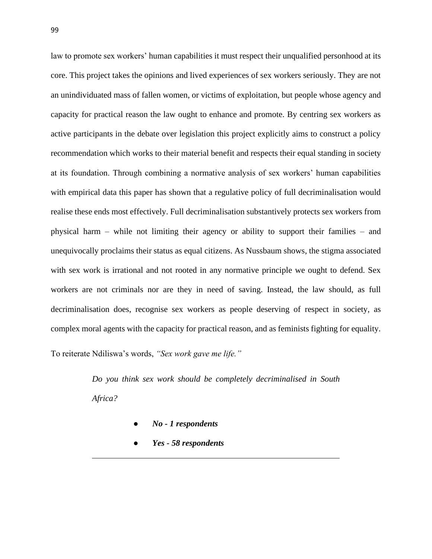law to promote sex workers' human capabilities it must respect their unqualified personhood at its core. This project takes the opinions and lived experiences of sex workers seriously. They are not an unindividuated mass of fallen women, or victims of exploitation, but people whose agency and capacity for practical reason the law ought to enhance and promote. By centring sex workers as active participants in the debate over legislation this project explicitly aims to construct a policy recommendation which works to their material benefit and respects their equal standing in society at its foundation. Through combining a normative analysis of sex workers' human capabilities with empirical data this paper has shown that a regulative policy of full decriminalisation would realise these ends most effectively. Full decriminalisation substantively protects sex workers from physical harm – while not limiting their agency or ability to support their families – and unequivocally proclaims their status as equal citizens. As Nussbaum shows, the stigma associated with sex work is irrational and not rooted in any normative principle we ought to defend. Sex workers are not criminals nor are they in need of saving. Instead, the law should, as full decriminalisation does, recognise sex workers as people deserving of respect in society, as complex moral agents with the capacity for practical reason, and as feminists fighting for equality.

To reiterate Ndiliswa's words, *"Sex work gave me life."*

*Do you think sex work should be completely decriminalised in South Africa?* 

- *No - 1 respondents*
- *Yes - 58 respondents*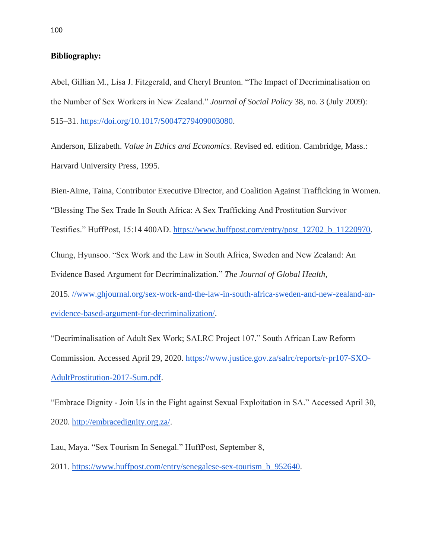### **Bibliography:**

Abel, Gillian M., Lisa J. Fitzgerald, and Cheryl Brunton. "The Impact of Decriminalisation on the Number of Sex Workers in New Zealand." *Journal of Social Policy* 38, no. 3 (July 2009): 515–31. [https://doi.org/10.1017/S0047279409003080.](https://doi.org/10.1017/S0047279409003080)

Anderson, Elizabeth. *Value in Ethics and Economics*. Revised ed. edition. Cambridge, Mass.: Harvard University Press, 1995.

Bien-Aime, Taina, Contributor Executive Director, and Coalition Against Trafficking in Women. "Blessing The Sex Trade In South Africa: A Sex Trafficking And Prostitution Survivor Testifies." HuffPost, 15:14 400AD. [https://www.huffpost.com/entry/post\\_12702\\_b\\_11220970.](https://www.huffpost.com/entry/post_12702_b_11220970)

Chung, Hyunsoo. "Sex Work and the Law in South Africa, Sweden and New Zealand: An Evidence Based Argument for Decriminalization." *The Journal of Global Health*, 2015. [//www.ghjournal.org/sex-work-and-the-law-in-south-africa-sweden-and-new-zealand-an](https://doi.org/www.ghjournal.org/sex-work-and-the-law-in-south-africa-sweden-and-new-zealand-an-evidence-based-argument-for-decriminalization/)[evidence-based-argument-for-decriminalization/.](https://doi.org/www.ghjournal.org/sex-work-and-the-law-in-south-africa-sweden-and-new-zealand-an-evidence-based-argument-for-decriminalization/)

"Decriminalisation of Adult Sex Work; SALRC Project 107." South African Law Reform Commission. Accessed April 29, 2020. [https://www.justice.gov.za/salrc/reports/r-pr107-SXO-](https://www.justice.gov.za/salrc/reports/r-pr107-SXO-AdultProstitution-2017-Sum.pdf)[AdultProstitution-2017-Sum.pdf.](https://www.justice.gov.za/salrc/reports/r-pr107-SXO-AdultProstitution-2017-Sum.pdf)

"Embrace Dignity - Join Us in the Fight against Sexual Exploitation in SA." Accessed April 30, 2020. [http://embracedignity.org.za/.](http://embracedignity.org.za/)

Lau, Maya. "Sex Tourism In Senegal." HuffPost, September 8, 2011. [https://www.huffpost.com/entry/senegalese-sex-tourism\\_b\\_952640.](https://www.huffpost.com/entry/senegalese-sex-tourism_b_952640)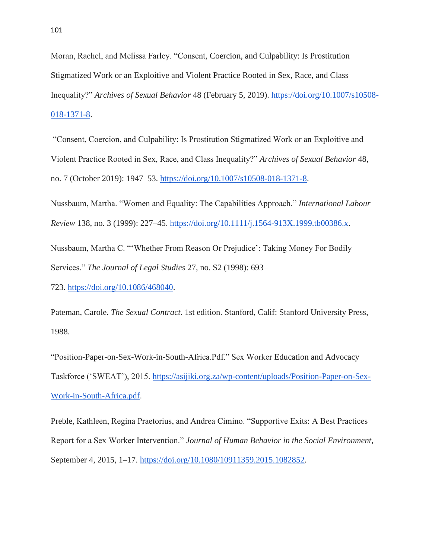Moran, Rachel, and Melissa Farley. "Consent, Coercion, and Culpability: Is Prostitution Stigmatized Work or an Exploitive and Violent Practice Rooted in Sex, Race, and Class Inequality?" *Archives of Sexual Behavior* 48 (February 5, 2019). [https://doi.org/10.1007/s10508-](https://doi.org/10.1007/s10508-018-1371-8) [018-1371-8.](https://doi.org/10.1007/s10508-018-1371-8)

"Consent, Coercion, and Culpability: Is Prostitution Stigmatized Work or an Exploitive and Violent Practice Rooted in Sex, Race, and Class Inequality?" *Archives of Sexual Behavior* 48, no. 7 (October 2019): 1947–53. [https://doi.org/10.1007/s10508-018-1371-8.](https://doi.org/10.1007/s10508-018-1371-8)

Nussbaum, Martha. "Women and Equality: The Capabilities Approach." *International Labour Review* 138, no. 3 (1999): 227–45. [https://doi.org/10.1111/j.1564-913X.1999.tb00386.x.](https://doi.org/10.1111/j.1564-913X.1999.tb00386.x)

Nussbaum, Martha C. "'Whether From Reason Or Prejudice': Taking Money For Bodily Services." *The Journal of Legal Studies* 27, no. S2 (1998): 693–

723. [https://doi.org/10.1086/468040.](https://doi.org/10.1086/468040)

Pateman, Carole. *The Sexual Contract*. 1st edition. Stanford, Calif: Stanford University Press, 1988.

"Position-Paper-on-Sex-Work-in-South-Africa.Pdf." Sex Worker Education and Advocacy Taskforce ('SWEAT'), 2015. [https://asijiki.org.za/wp-content/uploads/Position-Paper-on-Sex-](https://asijiki.org.za/wp-content/uploads/Position-Paper-on-Sex-Work-in-South-Africa.pdf)[Work-in-South-Africa.pdf.](https://asijiki.org.za/wp-content/uploads/Position-Paper-on-Sex-Work-in-South-Africa.pdf)

Preble, Kathleen, Regina Praetorius, and Andrea Cimino. "Supportive Exits: A Best Practices Report for a Sex Worker Intervention." *Journal of Human Behavior in the Social Environment*, September 4, 2015, 1–17. [https://doi.org/10.1080/10911359.2015.1082852.](https://doi.org/10.1080/10911359.2015.1082852)